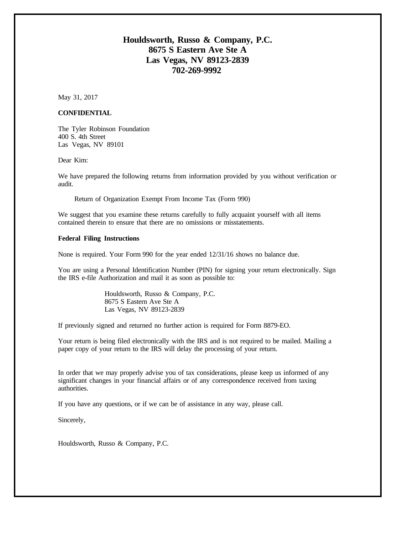# **Houldsworth, Russo & Company, P.C. 8675 S Eastern Ave Ste A Las Vegas, NV 89123-2839 702-269-9992**

May 31, 2017

### **CONFIDENTIAL**

The Tyler Robinson Foundation 400 S. 4th Street Las Vegas, NV 89101

Dear Kim:

We have prepared the following returns from information provided by you without verification or audit.

Return of Organization Exempt From Income Tax (Form 990)

We suggest that you examine these returns carefully to fully acquaint yourself with all items contained therein to ensure that there are no omissions or misstatements.

#### **Federal Filing Instructions**

None is required. Your Form 990 for the year ended 12/31/16 shows no balance due.

You are using a Personal Identification Number (PIN) for signing your return electronically. Sign the IRS e-file Authorization and mail it as soon as possible to:

> Houldsworth, Russo & Company, P.C. 8675 S Eastern Ave Ste A Las Vegas, NV 89123-2839

If previously signed and returned no further action is required for Form 8879-EO.

Your return is being filed electronically with the IRS and is not required to be mailed. Mailing a paper copy of your return to the IRS will delay the processing of your return.

In order that we may properly advise you of tax considerations, please keep us informed of any significant changes in your financial affairs or of any correspondence received from taxing authorities.

If you have any questions, or if we can be of assistance in any way, please call.

Sincerely,

Houldsworth, Russo & Company, P.C.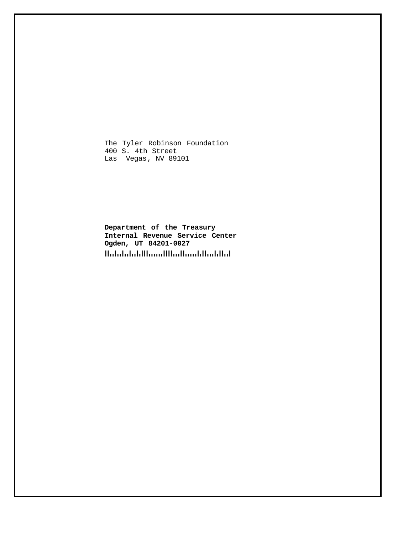The Tyler Robinson Foundation 400 S. 4th Street Las Vegas, NV 89101

**Department of the Treasury Internal Revenue Service Center Ogden, UT 84201-0027**HalalalaldHamilHadhaaldhahllal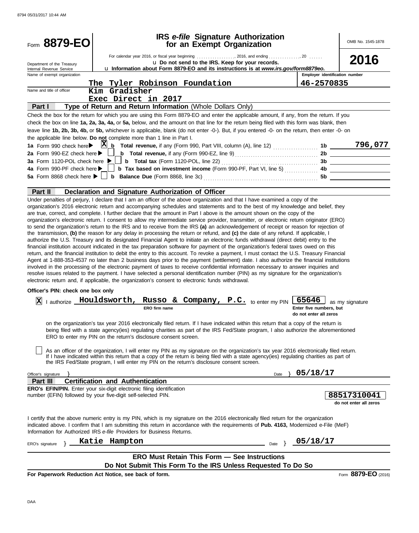| Form 8879-EO                                            | <b>IRS</b> e-file Signature Authorization<br>for an Exempt Organization                                                                                                                                                                                                                                                                                                                                                                                                                                                                                                                                                                                                                                                                                                                                                                                                                                                                                                                                                                                                                                                                                                                                                                                                                                                                                                                                                                                                                                              |                                                            | OMB No. 1545-1878      |
|---------------------------------------------------------|----------------------------------------------------------------------------------------------------------------------------------------------------------------------------------------------------------------------------------------------------------------------------------------------------------------------------------------------------------------------------------------------------------------------------------------------------------------------------------------------------------------------------------------------------------------------------------------------------------------------------------------------------------------------------------------------------------------------------------------------------------------------------------------------------------------------------------------------------------------------------------------------------------------------------------------------------------------------------------------------------------------------------------------------------------------------------------------------------------------------------------------------------------------------------------------------------------------------------------------------------------------------------------------------------------------------------------------------------------------------------------------------------------------------------------------------------------------------------------------------------------------------|------------------------------------------------------------|------------------------|
|                                                         | For calendar year 2016, or fiscal year beginning , 2016, and ending  20                                                                                                                                                                                                                                                                                                                                                                                                                                                                                                                                                                                                                                                                                                                                                                                                                                                                                                                                                                                                                                                                                                                                                                                                                                                                                                                                                                                                                                              |                                                            |                        |
| Department of the Treasury                              | U Do not send to the IRS. Keep for your records.                                                                                                                                                                                                                                                                                                                                                                                                                                                                                                                                                                                                                                                                                                                                                                                                                                                                                                                                                                                                                                                                                                                                                                                                                                                                                                                                                                                                                                                                     |                                                            | 2016                   |
| Internal Revenue Service<br>Name of exempt organization | <b>u Information about Form 8879-EO and its instructions is at www.irs.gov/form8879eo.</b>                                                                                                                                                                                                                                                                                                                                                                                                                                                                                                                                                                                                                                                                                                                                                                                                                                                                                                                                                                                                                                                                                                                                                                                                                                                                                                                                                                                                                           | Employer identification number                             |                        |
|                                                         |                                                                                                                                                                                                                                                                                                                                                                                                                                                                                                                                                                                                                                                                                                                                                                                                                                                                                                                                                                                                                                                                                                                                                                                                                                                                                                                                                                                                                                                                                                                      | 46-2570835                                                 |                        |
| Name and title of officer                               | The Tyler Robinson Foundation<br>Kim Gradisher                                                                                                                                                                                                                                                                                                                                                                                                                                                                                                                                                                                                                                                                                                                                                                                                                                                                                                                                                                                                                                                                                                                                                                                                                                                                                                                                                                                                                                                                       |                                                            |                        |
|                                                         | Exec Direct in 2017                                                                                                                                                                                                                                                                                                                                                                                                                                                                                                                                                                                                                                                                                                                                                                                                                                                                                                                                                                                                                                                                                                                                                                                                                                                                                                                                                                                                                                                                                                  |                                                            |                        |
| Part I                                                  | Type of Return and Return Information (Whole Dollars Only)                                                                                                                                                                                                                                                                                                                                                                                                                                                                                                                                                                                                                                                                                                                                                                                                                                                                                                                                                                                                                                                                                                                                                                                                                                                                                                                                                                                                                                                           |                                                            |                        |
|                                                         | Check the box for the return for which you are using this Form 8879-EO and enter the applicable amount, if any, from the return. If you                                                                                                                                                                                                                                                                                                                                                                                                                                                                                                                                                                                                                                                                                                                                                                                                                                                                                                                                                                                                                                                                                                                                                                                                                                                                                                                                                                              |                                                            |                        |
|                                                         | check the box on line 1a, 2a, 3a, 4a, or 5a, below, and the amount on that line for the return being filed with this form was blank, then<br>leave line 1b, 2b, 3b, 4b, or 5b, whichever is applicable, blank (do not enter -0-). But, if you entered -0- on the return, then enter -0- on<br>the applicable line below. Do not complete more than 1 line in Part I.                                                                                                                                                                                                                                                                                                                                                                                                                                                                                                                                                                                                                                                                                                                                                                                                                                                                                                                                                                                                                                                                                                                                                 |                                                            |                        |
| 1a Form 990 check here                                  | $\mathbf{x}$<br><b>b</b> Total revenue, if any (Form 990, Part VIII, column (A), line 12)  1b _______                                                                                                                                                                                                                                                                                                                                                                                                                                                                                                                                                                                                                                                                                                                                                                                                                                                                                                                                                                                                                                                                                                                                                                                                                                                                                                                                                                                                                |                                                            | 796,077                |
| 2a Form 990-EZ check here ▶                             | <b>b</b> Total revenue, if any (Form 990-EZ, line 9) $\ldots$ $\ldots$ $\ldots$ $\ldots$ $\ldots$ $\ldots$                                                                                                                                                                                                                                                                                                                                                                                                                                                                                                                                                                                                                                                                                                                                                                                                                                                                                                                                                                                                                                                                                                                                                                                                                                                                                                                                                                                                           |                                                            |                        |
| <b>3a</b> Form 1120-POL check here ▶                    |                                                                                                                                                                                                                                                                                                                                                                                                                                                                                                                                                                                                                                                                                                                                                                                                                                                                                                                                                                                                                                                                                                                                                                                                                                                                                                                                                                                                                                                                                                                      |                                                            |                        |
| 4a Form 990-PF check here                               |                                                                                                                                                                                                                                                                                                                                                                                                                                                                                                                                                                                                                                                                                                                                                                                                                                                                                                                                                                                                                                                                                                                                                                                                                                                                                                                                                                                                                                                                                                                      |                                                            |                        |
| 5a Form 8868 check here $\blacktriangleright$           |                                                                                                                                                                                                                                                                                                                                                                                                                                                                                                                                                                                                                                                                                                                                                                                                                                                                                                                                                                                                                                                                                                                                                                                                                                                                                                                                                                                                                                                                                                                      |                                                            |                        |
|                                                         |                                                                                                                                                                                                                                                                                                                                                                                                                                                                                                                                                                                                                                                                                                                                                                                                                                                                                                                                                                                                                                                                                                                                                                                                                                                                                                                                                                                                                                                                                                                      |                                                            |                        |
| Part II                                                 | Declaration and Signature Authorization of Officer<br>Under penalties of perjury, I declare that I am an officer of the above organization and that I have examined a copy of the                                                                                                                                                                                                                                                                                                                                                                                                                                                                                                                                                                                                                                                                                                                                                                                                                                                                                                                                                                                                                                                                                                                                                                                                                                                                                                                                    |                                                            |                        |
|                                                         | are true, correct, and complete. I further declare that the amount in Part I above is the amount shown on the copy of the<br>organization's electronic return. I consent to allow my intermediate service provider, transmitter, or electronic return originator (ERO)<br>to send the organization's return to the IRS and to receive from the IRS (a) an acknowledgement of receipt or reason for rejection of<br>the transmission, (b) the reason for any delay in processing the return or refund, and (c) the date of any refund. If applicable, I<br>authorize the U.S. Treasury and its designated Financial Agent to initiate an electronic funds withdrawal (direct debit) entry to the<br>financial institution account indicated in the tax preparation software for payment of the organization's federal taxes owed on this<br>return, and the financial institution to debit the entry to this account. To revoke a payment, I must contact the U.S. Treasury Financial<br>Agent at 1-888-353-4537 no later than 2 business days prior to the payment (settlement) date. I also authorize the financial institutions<br>involved in the processing of the electronic payment of taxes to receive confidential information necessary to answer inquiries and<br>resolve issues related to the payment. I have selected a personal identification number (PIN) as my signature for the organization's<br>electronic return and, if applicable, the organization's consent to electronic funds withdrawal. |                                                            |                        |
| Officer's PIN: check one box only                       |                                                                                                                                                                                                                                                                                                                                                                                                                                                                                                                                                                                                                                                                                                                                                                                                                                                                                                                                                                                                                                                                                                                                                                                                                                                                                                                                                                                                                                                                                                                      |                                                            |                        |
| ΙX                                                      | I authorize <b>Houldsworth, Russo &amp; Company, P.C.</b> to enter my PIN<br>ERO firm name                                                                                                                                                                                                                                                                                                                                                                                                                                                                                                                                                                                                                                                                                                                                                                                                                                                                                                                                                                                                                                                                                                                                                                                                                                                                                                                                                                                                                           | 65646<br>Enter five numbers, but<br>do not enter all zeros | as my signature        |
|                                                         | on the organization's tax year 2016 electronically filed return. If I have indicated within this return that a copy of the return is<br>being filed with a state agency(ies) regulating charities as part of the IRS Fed/State program, I also authorize the aforementioned<br>ERO to enter my PIN on the return's disclosure consent screen.                                                                                                                                                                                                                                                                                                                                                                                                                                                                                                                                                                                                                                                                                                                                                                                                                                                                                                                                                                                                                                                                                                                                                                        |                                                            |                        |
|                                                         | As an officer of the organization, I will enter my PIN as my signature on the organization's tax year 2016 electronically filed return.<br>If I have indicated within this return that a copy of the return is being filed with a state agency(ies) regulating charities as part of<br>the IRS Fed/State program, I will enter my PIN on the return's disclosure consent screen.                                                                                                                                                                                                                                                                                                                                                                                                                                                                                                                                                                                                                                                                                                                                                                                                                                                                                                                                                                                                                                                                                                                                     |                                                            |                        |
| Officer's signature                                     | Date                                                                                                                                                                                                                                                                                                                                                                                                                                                                                                                                                                                                                                                                                                                                                                                                                                                                                                                                                                                                                                                                                                                                                                                                                                                                                                                                                                                                                                                                                                                 | 05/18/17                                                   |                        |
| Part III                                                | <b>Certification and Authentication</b>                                                                                                                                                                                                                                                                                                                                                                                                                                                                                                                                                                                                                                                                                                                                                                                                                                                                                                                                                                                                                                                                                                                                                                                                                                                                                                                                                                                                                                                                              |                                                            |                        |
|                                                         | ERO's EFIN/PIN. Enter your six-digit electronic filing identification                                                                                                                                                                                                                                                                                                                                                                                                                                                                                                                                                                                                                                                                                                                                                                                                                                                                                                                                                                                                                                                                                                                                                                                                                                                                                                                                                                                                                                                |                                                            |                        |
|                                                         | number (EFIN) followed by your five-digit self-selected PIN.                                                                                                                                                                                                                                                                                                                                                                                                                                                                                                                                                                                                                                                                                                                                                                                                                                                                                                                                                                                                                                                                                                                                                                                                                                                                                                                                                                                                                                                         |                                                            | 88517310041            |
|                                                         |                                                                                                                                                                                                                                                                                                                                                                                                                                                                                                                                                                                                                                                                                                                                                                                                                                                                                                                                                                                                                                                                                                                                                                                                                                                                                                                                                                                                                                                                                                                      |                                                            | do not enter all zeros |
|                                                         | I certify that the above numeric entry is my PIN, which is my signature on the 2016 electronically filed return for the organization<br>indicated above. I confirm that I am submitting this return in accordance with the requirements of Pub. 4163, Modernized e-File (MeF)<br>Information for Authorized IRS e-file Providers for Business Returns.                                                                                                                                                                                                                                                                                                                                                                                                                                                                                                                                                                                                                                                                                                                                                                                                                                                                                                                                                                                                                                                                                                                                                               |                                                            |                        |
| ERO's signature                                         | Katie Hampton<br>Date $\}$                                                                                                                                                                                                                                                                                                                                                                                                                                                                                                                                                                                                                                                                                                                                                                                                                                                                                                                                                                                                                                                                                                                                                                                                                                                                                                                                                                                                                                                                                           | 05/18/17                                                   |                        |
|                                                         |                                                                                                                                                                                                                                                                                                                                                                                                                                                                                                                                                                                                                                                                                                                                                                                                                                                                                                                                                                                                                                                                                                                                                                                                                                                                                                                                                                                                                                                                                                                      |                                                            |                        |
|                                                         | <b>ERO Must Retain This Form - See Instructions</b>                                                                                                                                                                                                                                                                                                                                                                                                                                                                                                                                                                                                                                                                                                                                                                                                                                                                                                                                                                                                                                                                                                                                                                                                                                                                                                                                                                                                                                                                  |                                                            |                        |
|                                                         | Do Not Submit This Form To the IRS Unless Requested To Do So                                                                                                                                                                                                                                                                                                                                                                                                                                                                                                                                                                                                                                                                                                                                                                                                                                                                                                                                                                                                                                                                                                                                                                                                                                                                                                                                                                                                                                                         |                                                            |                        |
|                                                         | For Paperwork Reduction Act Notice, see back of form.                                                                                                                                                                                                                                                                                                                                                                                                                                                                                                                                                                                                                                                                                                                                                                                                                                                                                                                                                                                                                                                                                                                                                                                                                                                                                                                                                                                                                                                                |                                                            | Form 8879-EO (2016)    |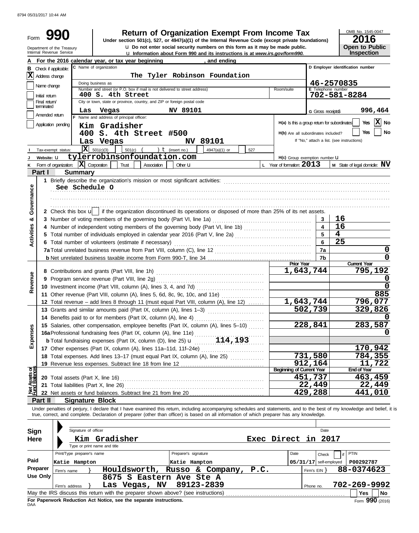| Form                       |                                 |                                                        |                                                                                                                                                                                                                                                                                                                                           |             |                      | <b>Return of Organization Exempt From Income Tax</b><br>Under section 501(c), 527, or 4947(a)(1) of the Internal Revenue Code (except private foundations)    |      |                                              |                           |                                            | OMB No. 1545-0047<br>2016                    |  |  |  |
|----------------------------|---------------------------------|--------------------------------------------------------|-------------------------------------------------------------------------------------------------------------------------------------------------------------------------------------------------------------------------------------------------------------------------------------------------------------------------------------------|-------------|----------------------|---------------------------------------------------------------------------------------------------------------------------------------------------------------|------|----------------------------------------------|---------------------------|--------------------------------------------|----------------------------------------------|--|--|--|
|                            |                                 | Department of the Treasury<br>Internal Revenue Service |                                                                                                                                                                                                                                                                                                                                           |             |                      | U Do not enter social security numbers on this form as it may be made public.<br>U Information about Form 990 and its instructions is at www.irs.gov/form990. |      |                                              |                           |                                            | Open to Public<br>Inspection                 |  |  |  |
|                            |                                 |                                                        | For the 2016 calendar year, or tax year beginning<br>C Name of organization                                                                                                                                                                                                                                                               |             |                      | , and ending                                                                                                                                                  |      |                                              |                           | D Employer identification number           |                                              |  |  |  |
| в<br> X                    | Address change                  | Check if applicable:                                   |                                                                                                                                                                                                                                                                                                                                           |             |                      | The Tyler Robinson Foundation                                                                                                                                 |      |                                              |                           |                                            |                                              |  |  |  |
|                            |                                 |                                                        | Doing business as                                                                                                                                                                                                                                                                                                                         |             |                      |                                                                                                                                                               |      |                                              |                           | 46-2570835                                 |                                              |  |  |  |
|                            | Name change                     |                                                        | Number and street (or P.O. box if mail is not delivered to street address)                                                                                                                                                                                                                                                                |             |                      |                                                                                                                                                               |      | Room/suite                                   | E Telephone number        |                                            |                                              |  |  |  |
|                            | Initial return<br>Final return/ |                                                        | 400 S. 4th Street<br>City or town, state or province, country, and ZIP or foreign postal code                                                                                                                                                                                                                                             |             |                      |                                                                                                                                                               |      |                                              |                           | 702-581-8284                               |                                              |  |  |  |
|                            | terminated                      |                                                        |                                                                                                                                                                                                                                                                                                                                           |             | NV 89101             |                                                                                                                                                               |      |                                              |                           |                                            |                                              |  |  |  |
|                            | Amended return                  | Las                                                    | Vegas<br>Name and address of principal officer:                                                                                                                                                                                                                                                                                           |             |                      |                                                                                                                                                               |      |                                              | <b>G</b> Gross receipts\$ |                                            | 996,464                                      |  |  |  |
|                            |                                 | Application pending                                    | Kim Gradisher                                                                                                                                                                                                                                                                                                                             |             |                      |                                                                                                                                                               |      | H(a) Is this a group return for subordinates |                           |                                            | x <br><b>Yes</b><br>No                       |  |  |  |
|                            |                                 |                                                        | 400 S. 4th Street #500                                                                                                                                                                                                                                                                                                                    |             |                      |                                                                                                                                                               |      | H(b) Are all subordinates included?          |                           |                                            | Yes<br>No                                    |  |  |  |
|                            |                                 |                                                        | Las Vegas                                                                                                                                                                                                                                                                                                                                 |             |                      | NV 89101                                                                                                                                                      |      |                                              |                           | If "No," attach a list. (see instructions) |                                              |  |  |  |
|                            |                                 | Tax-exempt status:                                     | $\overline{\mathbf{X}}$ 501(c)(3)<br>$501(c)$ (                                                                                                                                                                                                                                                                                           |             | ) $t$ (insert no.)   | 4947(a)(1) or                                                                                                                                                 | 527  |                                              |                           |                                            |                                              |  |  |  |
|                            | Website: U                      |                                                        | tylerrobinsonfoundation.com                                                                                                                                                                                                                                                                                                               |             |                      |                                                                                                                                                               |      | H(c) Group exemption number U                |                           |                                            |                                              |  |  |  |
|                            |                                 | $ \mathbf{X} $ Corporation<br>K Form of organization:  | Trust                                                                                                                                                                                                                                                                                                                                     | Association | Other <b>LI</b>      |                                                                                                                                                               |      | L Year of formation: $2013$                  |                           |                                            | $M$ State of legal domicile: $\overline{NV}$ |  |  |  |
|                            | Part I                          | <b>Summary</b>                                         |                                                                                                                                                                                                                                                                                                                                           |             |                      |                                                                                                                                                               |      |                                              |                           |                                            |                                              |  |  |  |
| Governance                 |                                 | See Schedule O                                         | 2 Check this box $\bigcup$ if the organization discontinued its operations or disposed of more than 25% of its net assets.                                                                                                                                                                                                                |             |                      |                                                                                                                                                               |      |                                              |                           |                                            |                                              |  |  |  |
| න්                         |                                 |                                                        |                                                                                                                                                                                                                                                                                                                                           |             |                      |                                                                                                                                                               |      |                                              | $\mathbf{3}$              | 16                                         |                                              |  |  |  |
|                            |                                 |                                                        | 4 Number of independent voting members of the governing body (Part VI, line 1b)                                                                                                                                                                                                                                                           |             |                      |                                                                                                                                                               |      |                                              | $\overline{\mathbf{4}}$   | 16                                         |                                              |  |  |  |
|                            |                                 |                                                        |                                                                                                                                                                                                                                                                                                                                           |             |                      |                                                                                                                                                               |      |                                              | 5 <sup>5</sup>            | $\overline{\mathbf{4}}$                    |                                              |  |  |  |
| Activities                 |                                 |                                                        | 6 Total number of volunteers (estimate if necessary)                                                                                                                                                                                                                                                                                      |             |                      |                                                                                                                                                               |      |                                              | 6                         | 25                                         |                                              |  |  |  |
|                            |                                 |                                                        |                                                                                                                                                                                                                                                                                                                                           |             |                      |                                                                                                                                                               |      |                                              | 7a                        |                                            | $\mathbf 0$                                  |  |  |  |
|                            |                                 |                                                        |                                                                                                                                                                                                                                                                                                                                           |             |                      |                                                                                                                                                               |      |                                              | 7b                        |                                            | 0                                            |  |  |  |
|                            |                                 |                                                        |                                                                                                                                                                                                                                                                                                                                           |             |                      |                                                                                                                                                               |      | <b>Prior Year</b><br>1,643,744               |                           |                                            | <b>Current Year</b><br>795,192               |  |  |  |
|                            |                                 |                                                        |                                                                                                                                                                                                                                                                                                                                           |             |                      |                                                                                                                                                               |      |                                              |                           |                                            | 0                                            |  |  |  |
| Revenue                    |                                 |                                                        |                                                                                                                                                                                                                                                                                                                                           |             |                      |                                                                                                                                                               |      |                                              |                           |                                            | $\mathbf 0$                                  |  |  |  |
|                            |                                 |                                                        | 11 Other revenue (Part VIII, column (A), lines 5, 6d, 8c, 9c, 10c, and 11e)                                                                                                                                                                                                                                                               |             |                      |                                                                                                                                                               |      |                                              |                           |                                            | 885                                          |  |  |  |
|                            |                                 |                                                        | 12 Total revenue - add lines 8 through 11 (must equal Part VIII, column (A), line 12)                                                                                                                                                                                                                                                     |             |                      |                                                                                                                                                               |      | $\overline{1,643,744}$                       |                           |                                            | 796,077                                      |  |  |  |
|                            |                                 |                                                        | 13 Grants and similar amounts paid (Part IX, column (A), lines 1-3)                                                                                                                                                                                                                                                                       |             |                      |                                                                                                                                                               |      |                                              | 502,739                   |                                            | 329,826                                      |  |  |  |
|                            |                                 |                                                        | 14 Benefits paid to or for members (Part IX, column (A), line 4)                                                                                                                                                                                                                                                                          |             |                      |                                                                                                                                                               |      |                                              |                           |                                            | 0                                            |  |  |  |
|                            |                                 |                                                        | 15 Salaries, other compensation, employee benefits (Part IX, column (A), lines 5-10)                                                                                                                                                                                                                                                      |             |                      |                                                                                                                                                               |      |                                              | 228,841                   |                                            | 283,587                                      |  |  |  |
| Expenses                   |                                 |                                                        | 16a Professional fundraising fees (Part IX, column (A), line 11e)<br><b>b</b> Total fundraising expenses (Part IX, column (D), line 25) <b>u</b> 114, 193                                                                                                                                                                                 |             |                      |                                                                                                                                                               |      |                                              |                           |                                            | O                                            |  |  |  |
|                            |                                 |                                                        |                                                                                                                                                                                                                                                                                                                                           |             |                      |                                                                                                                                                               |      |                                              |                           |                                            |                                              |  |  |  |
|                            |                                 |                                                        | 17 Other expenses (Part IX, column (A), lines 11a-11d, 11f-24e)                                                                                                                                                                                                                                                                           |             |                      |                                                                                                                                                               |      |                                              |                           |                                            | 170,942                                      |  |  |  |
|                            |                                 |                                                        | 18 Total expenses. Add lines 13-17 (must equal Part IX, column (A), line 25)                                                                                                                                                                                                                                                              |             |                      |                                                                                                                                                               |      |                                              | 731,580                   |                                            | 784,355                                      |  |  |  |
|                            |                                 |                                                        |                                                                                                                                                                                                                                                                                                                                           |             |                      |                                                                                                                                                               |      | <b>Beginning of Current Year</b>             | 912,164                   |                                            | 11,722<br><b>End of Year</b>                 |  |  |  |
| Assets or<br>d<br>Balances |                                 | 20 Total assets (Part X, line 16)                      |                                                                                                                                                                                                                                                                                                                                           |             |                      |                                                                                                                                                               |      |                                              | 451,737                   |                                            | 463,459                                      |  |  |  |
|                            |                                 |                                                        |                                                                                                                                                                                                                                                                                                                                           |             |                      |                                                                                                                                                               |      |                                              | 22,449                    |                                            | 22,449                                       |  |  |  |
| 김                          |                                 |                                                        |                                                                                                                                                                                                                                                                                                                                           |             |                      |                                                                                                                                                               |      |                                              | 429,288                   |                                            | 441,010                                      |  |  |  |
|                            | Part II                         | <b>Signature Block</b>                                 |                                                                                                                                                                                                                                                                                                                                           |             |                      |                                                                                                                                                               |      |                                              |                           |                                            |                                              |  |  |  |
| <b>Sign</b><br><b>Here</b> |                                 | Signature of officer                                   | Under penalties of perjury, I declare that I have examined this return, including accompanying schedules and statements, and to the best of my knowledge and belief, it is<br>true, correct, and complete. Declaration of preparer (other than officer) is based on all information of which preparer has any knowledge.<br>Kim Gradisher |             |                      |                                                                                                                                                               |      | Exec Direct in 2017                          | Date                      |                                            |                                              |  |  |  |
|                            |                                 |                                                        | Type or print name and title                                                                                                                                                                                                                                                                                                              |             |                      |                                                                                                                                                               |      |                                              |                           |                                            |                                              |  |  |  |
|                            |                                 | Print/Type preparer's name                             |                                                                                                                                                                                                                                                                                                                                           |             | Preparer's signature |                                                                                                                                                               |      | Date                                         | Check                     | <b>PTIN</b><br>if                          |                                              |  |  |  |
| Paid                       |                                 | Katie Hampton                                          |                                                                                                                                                                                                                                                                                                                                           |             | Katie Hampton        |                                                                                                                                                               |      |                                              | $05/31/17$ self-employed  |                                            | P00292787                                    |  |  |  |
|                            | <b>Preparer</b>                 | Firm's name                                            |                                                                                                                                                                                                                                                                                                                                           |             |                      | Houldsworth, Russo & Company,                                                                                                                                 | P.C. |                                              | Firm's $EIN$ }            |                                            | 88-0374623                                   |  |  |  |
|                            | <b>Use Only</b>                 |                                                        | 8675 S Eastern Ave Ste A                                                                                                                                                                                                                                                                                                                  |             |                      |                                                                                                                                                               |      |                                              |                           |                                            |                                              |  |  |  |
|                            |                                 | Firm's address                                         | Las Vegas, NV                                                                                                                                                                                                                                                                                                                             |             | 89123-2839           |                                                                                                                                                               |      |                                              | Phone no.                 |                                            | 702-269-9992                                 |  |  |  |
|                            |                                 |                                                        | May the IRS discuss this return with the preparer shown above? (see instructions)                                                                                                                                                                                                                                                         |             |                      |                                                                                                                                                               |      |                                              |                           |                                            | Yes<br><b>No</b>                             |  |  |  |

| Use Only $ $ |                                                                                   |  | 8675 S Eastern Ave Ste A |  |                          |           |              |     |                 |  |
|--------------|-----------------------------------------------------------------------------------|--|--------------------------|--|--------------------------|-----------|--------------|-----|-----------------|--|
|              | Firm's address                                                                    |  |                          |  | Las Vegas, NV 89123-2839 | Phone no. | 702-269-9992 |     |                 |  |
|              | May the IRS discuss this return with the preparer shown above? (see instructions) |  |                          |  |                          |           |              | Yes | l No            |  |
| DAA          | For Paperwork Reduction Act Notice, see the separate instructions.                |  |                          |  |                          |           |              |     | Form 990 (2016) |  |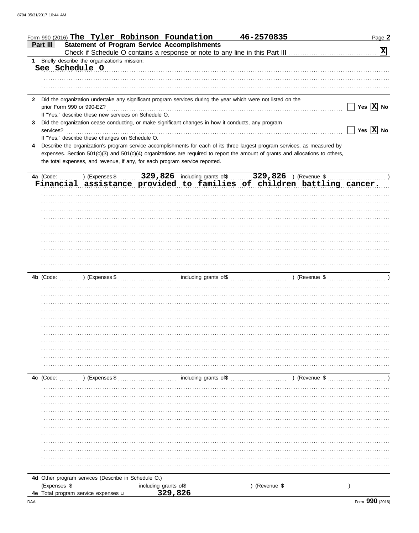| <b>Statement of Program Service Accomplishments</b><br>Part III<br>1 Briefly describe the organization's mission:<br>See Schedule O                             | $\boxed{\mathbf{X}}$        |
|-----------------------------------------------------------------------------------------------------------------------------------------------------------------|-----------------------------|
|                                                                                                                                                                 |                             |
|                                                                                                                                                                 |                             |
|                                                                                                                                                                 |                             |
|                                                                                                                                                                 |                             |
|                                                                                                                                                                 |                             |
|                                                                                                                                                                 |                             |
| Did the organization undertake any significant program services during the year which were not listed on the<br>$\mathbf{2}$                                    |                             |
|                                                                                                                                                                 | Yes $\boxed{\mathbf{X}}$ No |
| If "Yes," describe these new services on Schedule O.<br>Did the organization cease conducting, or make significant changes in how it conducts, any program<br>3 |                             |
| services?                                                                                                                                                       | Yes $\boxed{\mathbf{X}}$ No |
| If "Yes," describe these changes on Schedule O.                                                                                                                 |                             |
| Describe the organization's program service accomplishments for each of its three largest program services, as measured by<br>4                                 |                             |
| expenses. Section 501(c)(3) and 501(c)(4) organizations are required to report the amount of grants and allocations to others,                                  |                             |
| the total expenses, and revenue, if any, for each program service reported.                                                                                     |                             |
|                                                                                                                                                                 |                             |
| Financial assistance provided to families of children battling cancer.                                                                                          |                             |
|                                                                                                                                                                 |                             |
|                                                                                                                                                                 |                             |
|                                                                                                                                                                 |                             |
|                                                                                                                                                                 |                             |
|                                                                                                                                                                 |                             |
|                                                                                                                                                                 |                             |
|                                                                                                                                                                 |                             |
|                                                                                                                                                                 |                             |
|                                                                                                                                                                 |                             |
|                                                                                                                                                                 |                             |
|                                                                                                                                                                 |                             |
|                                                                                                                                                                 |                             |
|                                                                                                                                                                 |                             |
|                                                                                                                                                                 |                             |
|                                                                                                                                                                 |                             |
|                                                                                                                                                                 |                             |
|                                                                                                                                                                 |                             |
|                                                                                                                                                                 |                             |
|                                                                                                                                                                 |                             |
|                                                                                                                                                                 |                             |
|                                                                                                                                                                 |                             |
| including grants of\$<br>) (Revenue \$<br>) (Expenses \$<br>4c (Code:                                                                                           |                             |
|                                                                                                                                                                 |                             |
|                                                                                                                                                                 |                             |
|                                                                                                                                                                 |                             |
|                                                                                                                                                                 |                             |
|                                                                                                                                                                 |                             |
|                                                                                                                                                                 |                             |
|                                                                                                                                                                 |                             |
|                                                                                                                                                                 |                             |
|                                                                                                                                                                 |                             |
|                                                                                                                                                                 |                             |
|                                                                                                                                                                 |                             |
| 4d Other program services (Describe in Schedule O.)                                                                                                             |                             |
| (Revenue \$<br>(Expenses \$<br>including grants of \$<br>329,826<br>4e Total program service expenses <b>U</b>                                                  |                             |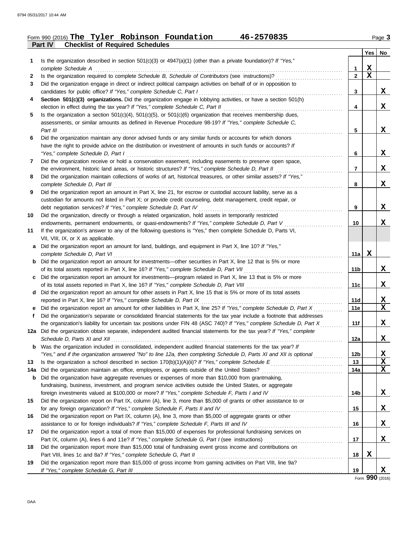|  |                                                | Form 990 (2016) The Tyler Robinson Foundation | 46-2570835 | Page $3$ |
|--|------------------------------------------------|-----------------------------------------------|------------|----------|
|  | <b>Part IV</b> Checklist of Required Schedules |                                               |            |          |

| 1   | Is the organization described in section $501(c)(3)$ or $4947(a)(1)$ (other than a private foundation)? If "Yes,"       |              | Yes         | No          |
|-----|-------------------------------------------------------------------------------------------------------------------------|--------------|-------------|-------------|
|     | complete Schedule A                                                                                                     | 1            | X           |             |
| 2   |                                                                                                                         | $\mathbf{2}$ | $\mathbf x$ |             |
| 3   | Did the organization engage in direct or indirect political campaign activities on behalf of or in opposition to        |              |             |             |
|     |                                                                                                                         | 3            |             | X           |
| 4   | Section 501(c)(3) organizations. Did the organization engage in lobbying activities, or have a section 501(h)           |              |             |             |
|     |                                                                                                                         | 4            |             | X           |
| 5   | Is the organization a section $501(c)(4)$ , $501(c)(5)$ , or $501(c)(6)$ organization that receives membership dues,    |              |             |             |
|     | assessments, or similar amounts as defined in Revenue Procedure 98-19? If "Yes," complete Schedule C,                   |              |             |             |
|     | Part III                                                                                                                | 5            |             | X           |
| 6   | Did the organization maintain any donor advised funds or any similar funds or accounts for which donors                 |              |             |             |
|     | have the right to provide advice on the distribution or investment of amounts in such funds or accounts? If             |              |             |             |
|     |                                                                                                                         | 6            |             | X           |
| 7   | Did the organization receive or hold a conservation easement, including easements to preserve open space,               |              |             |             |
|     | the environment, historic land areas, or historic structures? If "Yes," complete Schedule D, Part II                    | 7            |             | X           |
| 8   | Did the organization maintain collections of works of art, historical treasures, or other similar assets? If "Yes,"     |              |             |             |
|     | complete Schedule D, Part III                                                                                           | 8            |             | X           |
| 9   | Did the organization report an amount in Part X, line 21, for escrow or custodial account liability, serve as a         |              |             |             |
|     | custodian for amounts not listed in Part X; or provide credit counseling, debt management, credit repair, or            |              |             |             |
|     | debt negotiation services? If "Yes," complete Schedule D, Part IV                                                       | 9            |             | x           |
| 10  | Did the organization, directly or through a related organization, hold assets in temporarily restricted                 |              |             |             |
|     | endowments, permanent endowments, or quasi-endowments? If "Yes," complete Schedule D, Part V                            | 10           |             | X           |
| 11  | If the organization's answer to any of the following questions is "Yes," then complete Schedule D, Parts VI,            |              |             |             |
|     | VII, VIII, IX, or X as applicable.                                                                                      |              |             |             |
|     | a Did the organization report an amount for land, buildings, and equipment in Part X, line 10? If "Yes,"                |              |             |             |
|     |                                                                                                                         | 11a          | X           |             |
|     | <b>b</b> Did the organization report an amount for investments—other securities in Part X, line 12 that is 5% or more   |              |             |             |
|     |                                                                                                                         | 11b          |             | X           |
|     | c Did the organization report an amount for investments—program related in Part X, line 13 that is 5% or more           |              |             |             |
|     |                                                                                                                         | 11c          |             | X           |
|     | d Did the organization report an amount for other assets in Part X, line 15 that is 5% or more of its total assets      |              |             |             |
|     | reported in Part X, line 16? If "Yes," complete Schedule D, Part IX                                                     | 11d          |             | X           |
|     | e Did the organization report an amount for other liabilities in Part X, line 25? If "Yes," complete Schedule D, Part X | 11e          |             | $\mathbf X$ |
| f   | Did the organization's separate or consolidated financial statements for the tax year include a footnote that addresses |              |             |             |
|     | the organization's liability for uncertain tax positions under FIN 48 (ASC 740)? If "Yes," complete Schedule D, Part X  | 11f          |             | X           |
|     | 12a Did the organization obtain separate, independent audited financial statements for the tax year? If "Yes," complete |              |             |             |
|     |                                                                                                                         | 12a          |             | X           |
|     | <b>b</b> Was the organization included in consolidated, independent audited financial statements for the tax year? If   |              |             |             |
|     | "Yes," and if the organization answered "No" to line 12a, then completing Schedule D, Parts XI and XII is optional      | 12b          |             | х           |
| 13  |                                                                                                                         | 13           |             | X           |
| 14a |                                                                                                                         | 14a          |             | x           |
| b   | Did the organization have aggregate revenues or expenses of more than \$10,000 from grantmaking,                        |              |             |             |
|     | fundraising, business, investment, and program service activities outside the United States, or aggregate               |              |             |             |
|     |                                                                                                                         | 14b          |             | X           |
| 15  | Did the organization report on Part IX, column (A), line 3, more than \$5,000 of grants or other assistance to or       |              |             |             |
|     |                                                                                                                         | 15           |             | X           |
| 16  | Did the organization report on Part IX, column (A), line 3, more than \$5,000 of aggregate grants or other              |              |             |             |
|     |                                                                                                                         | 16           |             | X           |
| 17  | Did the organization report a total of more than \$15,000 of expenses for professional fundraising services on          |              |             |             |
|     |                                                                                                                         | 17           |             | X           |
| 18  | Did the organization report more than \$15,000 total of fundraising event gross income and contributions on             |              |             |             |
|     |                                                                                                                         | 18           | X           |             |
| 19  | Did the organization report more than \$15,000 of gross income from gaming activities on Part VIII, line 9a?            |              |             |             |
|     |                                                                                                                         | 19           |             | X           |

Form **990** (2016)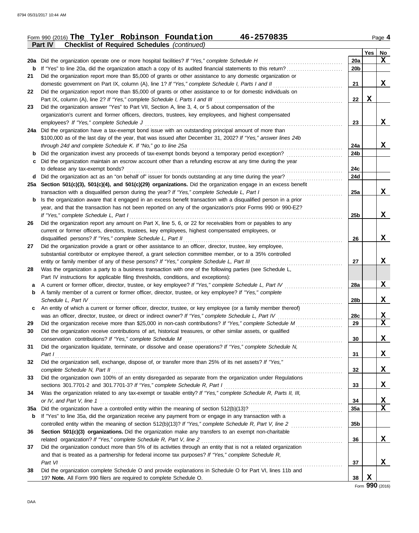#### Form 990 (2016) Page **4 Part IV Checklist of Required Schedules** *(continued)* **The Tyler Robinson Foundation 46-2570835**

|     |                                                                                                                           |                 | Yes | No          |
|-----|---------------------------------------------------------------------------------------------------------------------------|-----------------|-----|-------------|
| 20a | Did the organization operate one or more hospital facilities? If "Yes," complete Schedule H                               | 20a             |     | X           |
| b   |                                                                                                                           | 20 <sub>b</sub> |     |             |
| 21  | Did the organization report more than \$5,000 of grants or other assistance to any domestic organization or               |                 |     |             |
|     | domestic government on Part IX, column (A), line 1? If "Yes," complete Schedule I, Parts I and II                         | 21              |     | X           |
| 22  | Did the organization report more than \$5,000 of grants or other assistance to or for domestic individuals on             |                 |     |             |
|     | Part IX, column (A), line 2? If "Yes," complete Schedule I, Parts I and III                                               | 22              | X   |             |
| 23  | Did the organization answer "Yes" to Part VII, Section A, line 3, 4, or 5 about compensation of the                       |                 |     |             |
|     | organization's current and former officers, directors, trustees, key employees, and highest compensated                   |                 |     |             |
|     | employees? If "Yes," complete Schedule J                                                                                  | 23              |     | X           |
|     | 24a Did the organization have a tax-exempt bond issue with an outstanding principal amount of more than                   |                 |     |             |
|     | \$100,000 as of the last day of the year, that was issued after December 31, 2002? If "Yes," answer lines 24b             |                 |     |             |
|     | through 24d and complete Schedule K. If "No," go to line 25a                                                              | 24a             |     | X           |
| b   | Did the organization invest any proceeds of tax-exempt bonds beyond a temporary period exception?                         | 24b             |     |             |
| c   | Did the organization maintain an escrow account other than a refunding escrow at any time during the year                 |                 |     |             |
|     | to defease any tax-exempt bonds?                                                                                          | 24c             |     |             |
|     | d Did the organization act as an "on behalf of" issuer for bonds outstanding at any time during the year?                 | 24d             |     |             |
|     | 25a Section 501(c)(3), 501(c)(4), and 501(c)(29) organizations. Did the organization engage in an excess benefit          |                 |     |             |
|     | transaction with a disqualified person during the year? If "Yes," complete Schedule L, Part I                             | 25a             |     | X           |
|     | <b>b</b> Is the organization aware that it engaged in an excess benefit transaction with a disqualified person in a prior |                 |     |             |
|     | year, and that the transaction has not been reported on any of the organization's prior Forms 990 or 990-EZ?              |                 |     |             |
|     | If "Yes," complete Schedule L, Part I                                                                                     | 25 <sub>b</sub> |     | X           |
| 26  | Did the organization report any amount on Part X, line 5, 6, or 22 for receivables from or payables to any                |                 |     |             |
|     | current or former officers, directors, trustees, key employees, highest compensated employees, or                         |                 |     |             |
|     |                                                                                                                           | 26              |     | X           |
| 27  | Did the organization provide a grant or other assistance to an officer, director, trustee, key employee,                  |                 |     |             |
|     | substantial contributor or employee thereof, a grant selection committee member, or to a 35% controlled                   |                 |     |             |
|     | entity or family member of any of these persons? If "Yes," complete Schedule L, Part III [[[[[[[[[[[[[[[[[[[[             | 27              |     | X           |
| 28  | Was the organization a party to a business transaction with one of the following parties (see Schedule L,                 |                 |     |             |
|     | Part IV instructions for applicable filing thresholds, conditions, and exceptions):                                       |                 |     |             |
| a   | A current or former officer, director, trustee, or key employee? If "Yes," complete Schedule L, Part IV                   | 28a             |     | X           |
| b   | A family member of a current or former officer, director, trustee, or key employee? If "Yes," complete                    |                 |     |             |
|     | Schedule L, Part IV                                                                                                       | 28b             |     | X           |
| c   | An entity of which a current or former officer, director, trustee, or key employee (or a family member thereof)           |                 |     |             |
|     | was an officer, director, trustee, or direct or indirect owner? If "Yes," complete Schedule L, Part IV                    | 28c             |     | X           |
| 29  | Did the organization receive more than \$25,000 in non-cash contributions? If "Yes," complete Schedule M                  | 29              |     | $\mathbf x$ |
| 30  | Did the organization receive contributions of art, historical treasures, or other similar assets, or qualified            |                 |     |             |
|     |                                                                                                                           | 30              |     | X,          |
| 31  | Did the organization liquidate, terminate, or dissolve and cease operations? If "Yes," complete Schedule N,               |                 |     |             |
|     | Part I                                                                                                                    | 31              |     | X           |
| 32  | Did the organization sell, exchange, dispose of, or transfer more than 25% of its net assets? If "Yes,"                   |                 |     |             |
|     |                                                                                                                           | 32              |     | X           |
| 33  | Did the organization own 100% of an entity disregarded as separate from the organization under Regulations                |                 |     |             |
|     |                                                                                                                           | 33              |     | X           |
| 34  | Was the organization related to any tax-exempt or taxable entity? If "Yes," complete Schedule R, Parts II, III,           |                 |     |             |
|     | or IV, and Part V, line 1                                                                                                 | 34              |     | X           |
| 35a |                                                                                                                           | 35a             |     | X           |
| b   | If "Yes" to line 35a, did the organization receive any payment from or engage in any transaction with a                   |                 |     |             |
|     |                                                                                                                           | 35 <sub>b</sub> |     |             |
| 36  | Section 501(c)(3) organizations. Did the organization make any transfers to an exempt non-charitable                      |                 |     |             |
|     | related organization? If "Yes," complete Schedule R, Part V, line 2                                                       | 36              |     | X           |
| 37  | Did the organization conduct more than 5% of its activities through an entity that is not a related organization          |                 |     |             |
|     | and that is treated as a partnership for federal income tax purposes? If "Yes," complete Schedule R,                      |                 |     |             |
|     | Part VI                                                                                                                   | 37              |     | X           |
| 38  | Did the organization complete Schedule O and provide explanations in Schedule O for Part VI, lines 11b and                |                 |     |             |
|     | 19? Note. All Form 990 filers are required to complete Schedule O.                                                        | 38              | X   |             |

Form **990** (2016)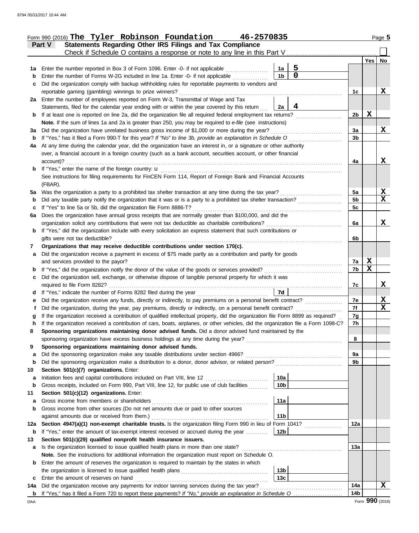|          | Form 990 (2016) The Tyler Robinson Foundation<br>46-2570835                                                                                                                                                            |                 |                 | Page 5      |
|----------|------------------------------------------------------------------------------------------------------------------------------------------------------------------------------------------------------------------------|-----------------|-----------------|-------------|
|          | Statements Regarding Other IRS Filings and Tax Compliance<br>Part V                                                                                                                                                    |                 |                 |             |
|          | Check if Schedule O contains a response or note to any line in this Part V                                                                                                                                             |                 |                 |             |
|          |                                                                                                                                                                                                                        |                 | Yes             | No          |
| 1a       | 5<br>Enter the number reported in Box 3 of Form 1096. Enter -0- if not applicable<br>1a                                                                                                                                |                 |                 |             |
| b        | $\mathbf 0$<br>1 <sub>b</sub><br>Enter the number of Forms W-2G included in line 1a. Enter -0- if not applicable                                                                                                       |                 |                 |             |
| с        | Did the organization comply with backup withholding rules for reportable payments to vendors and                                                                                                                       |                 |                 |             |
|          | reportable gaming (gambling) winnings to prize winners?                                                                                                                                                                | 1c              |                 | X           |
|          | 2a Enter the number of employees reported on Form W-3, Transmittal of Wage and Tax<br>4                                                                                                                                |                 |                 |             |
|          | Statements, filed for the calendar year ending with or within the year covered by this return<br>2a<br>If at least one is reported on line 2a, did the organization file all required federal employment tax returns?  | 2b              | X               |             |
| b        | Note. If the sum of lines 1a and 2a is greater than 250, you may be required to e-file (see instructions)                                                                                                              |                 |                 |             |
| За       | Did the organization have unrelated business gross income of \$1,000 or more during the year?                                                                                                                          | 3a              |                 | X           |
| b        | If "Yes," has it filed a Form 990-T for this year? If "No" to line 3b, provide an explanation in Schedule O                                                                                                            | 3b              |                 |             |
| 4a       | At any time during the calendar year, did the organization have an interest in, or a signature or other authority                                                                                                      |                 |                 |             |
|          | over, a financial account in a foreign country (such as a bank account, securities account, or other financial                                                                                                         |                 |                 |             |
|          | account)?                                                                                                                                                                                                              | 4a              |                 | X           |
| b        | If "Yes," enter the name of the foreign country: <b>u</b>                                                                                                                                                              |                 |                 |             |
|          | See instructions for filing requirements for FinCEN Form 114, Report of Foreign Bank and Financial Accounts                                                                                                            |                 |                 |             |
|          | (FBAR).                                                                                                                                                                                                                |                 |                 |             |
| 5a       | Was the organization a party to a prohibited tax shelter transaction at any time during the tax year?                                                                                                                  | 5a              |                 | X           |
| b        | Did any taxable party notify the organization that it was or is a party to a prohibited tax shelter transaction?                                                                                                       | 5 <sub>b</sub>  |                 | $\mathbf x$ |
| c        | If "Yes" to line 5a or 5b, did the organization file Form 8886-T?                                                                                                                                                      | 5c              |                 |             |
| 6a       | Does the organization have annual gross receipts that are normally greater than \$100,000, and did the                                                                                                                 |                 |                 |             |
|          | organization solicit any contributions that were not tax deductible as charitable contributions?                                                                                                                       | 6a              |                 | X           |
| b        | If "Yes," did the organization include with every solicitation an express statement that such contributions or                                                                                                         |                 |                 |             |
|          | gifts were not tax deductible?                                                                                                                                                                                         | 6b              |                 |             |
| 7        | Organizations that may receive deductible contributions under section 170(c).                                                                                                                                          |                 |                 |             |
| a        | Did the organization receive a payment in excess of \$75 made partly as a contribution and partly for goods                                                                                                            |                 |                 |             |
|          | and services provided to the payor?                                                                                                                                                                                    | 7a              | X               |             |
| b        | If "Yes," did the organization notify the donor of the value of the goods or services provided?                                                                                                                        | 7b              | $\mathbf X$     |             |
| c        | Did the organization sell, exchange, or otherwise dispose of tangible personal property for which it was<br>required to file Form 8282?                                                                                | 7c              |                 | X           |
| d        | 7d<br>If "Yes," indicate the number of Forms 8282 filed during the year<br>[[[[[[[[[[[[[]]]]]                                                                                                                          |                 |                 |             |
| е        | Did the organization receive any funds, directly or indirectly, to pay premiums on a personal benefit contract?                                                                                                        | 7е              |                 | X           |
|          | Did the organization, during the year, pay premiums, directly or indirectly, on a personal benefit contract?                                                                                                           | 7f              |                 | X           |
|          | If the organization received a contribution of qualified intellectual property, did the organization file Form 8899 as required?                                                                                       | 7g              |                 |             |
|          | If the organization received a contribution of cars, boats, airplanes, or other vehicles, did the organization file a Form 1098-C?                                                                                     | 7h              |                 |             |
| 8        | Sponsoring organizations maintaining donor advised funds. Did a donor advised fund maintained by the                                                                                                                   |                 |                 |             |
|          | sponsoring organization have excess business holdings at any time during the year?                                                                                                                                     | 8               |                 |             |
| 9        | Sponsoring organizations maintaining donor advised funds.                                                                                                                                                              |                 |                 |             |
| a        | Did the sponsoring organization make any taxable distributions under section 4966?                                                                                                                                     | 9a              |                 |             |
| b        | Did the sponsoring organization make a distribution to a donor, donor advisor, or related person?                                                                                                                      | 9b              |                 |             |
| 10       | Section 501(c)(7) organizations. Enter:                                                                                                                                                                                |                 |                 |             |
| а        | 10a<br>Initiation fees and capital contributions included on Part VIII, line 12 [11][11][11][11][11][11][11][11][11][                                                                                                  |                 |                 |             |
| b        | Gross receipts, included on Form 990, Part VIII, line 12, for public use of club facilities<br>10 <sub>b</sub>                                                                                                         |                 |                 |             |
| 11       | Section 501(c)(12) organizations. Enter:                                                                                                                                                                               |                 |                 |             |
| а        | Gross income from members or shareholders<br>11a                                                                                                                                                                       |                 |                 |             |
| b        | Gross income from other sources (Do not net amounts due or paid to other sources                                                                                                                                       |                 |                 |             |
|          | against amounts due or received from them.)<br>11 <sub>b</sub>                                                                                                                                                         |                 |                 |             |
| 12a<br>b | Section 4947(a)(1) non-exempt charitable trusts. Is the organization filing Form 990 in lieu of Form 1041?<br>If "Yes," enter the amount of tax-exempt interest received or accrued during the year<br>12 <sub>b</sub> | 12a             |                 |             |
| 13       | Section 501(c)(29) qualified nonprofit health insurance issuers.                                                                                                                                                       |                 |                 |             |
| a        | Is the organization licensed to issue qualified health plans in more than one state?                                                                                                                                   | 13а             |                 |             |
|          | Note. See the instructions for additional information the organization must report on Schedule O.                                                                                                                      |                 |                 |             |
| b        | Enter the amount of reserves the organization is required to maintain by the states in which                                                                                                                           |                 |                 |             |
|          | 13 <sub>b</sub>                                                                                                                                                                                                        |                 |                 |             |
| c        | 13 <sub>c</sub><br>Enter the amount of reserves on hand                                                                                                                                                                |                 |                 |             |
| 14a      | Did the organization receive any payments for indoor tanning services during the tax year?                                                                                                                             | 14a             |                 | X           |
| b        |                                                                                                                                                                                                                        | 14 <sub>b</sub> |                 |             |
| DAA      |                                                                                                                                                                                                                        |                 | Form 990 (2016) |             |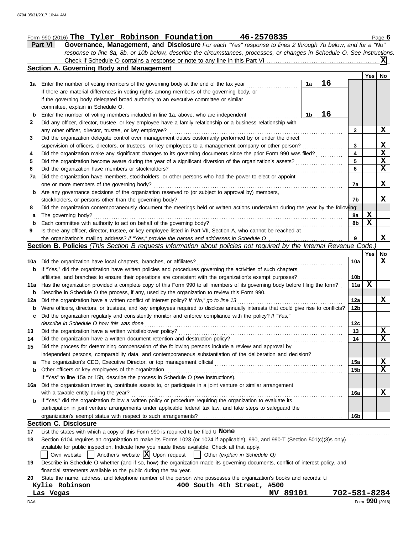## Form 990 (2016) Page **6 The Tyler Robinson Foundation 46-2570835**

**Part VI Governance, Management, and Disclosure** *For each "Yes" response to lines 2 through 7b below, and for a "No" response to line 8a, 8b, or 10b below, describe the circumstances, processes, or changes in Schedule O. See instructions.* Check if Schedule O contains a response or note to any line in this Part VI . . . . . . . . . . . . . . . . . . . . . . . . . . . . . . . . . . . . . . . . . . . . . . . . . **X**

|       | Section A. Governing Body and Management                                                                                                                          |    |              |                 |     |             |
|-------|-------------------------------------------------------------------------------------------------------------------------------------------------------------------|----|--------------|-----------------|-----|-------------|
|       |                                                                                                                                                                   |    |              |                 | Yes | No          |
| 1а    | Enter the number of voting members of the governing body at the end of the tax year                                                                               | 1a | 16           |                 |     |             |
|       | If there are material differences in voting rights among members of the governing body, or                                                                        |    |              |                 |     |             |
|       | if the governing body delegated broad authority to an executive committee or similar                                                                              |    |              |                 |     |             |
|       | committee, explain in Schedule O.                                                                                                                                 |    |              |                 |     |             |
| b     | Enter the number of voting members included in line 1a, above, who are independent                                                                                | 1b | 16           |                 |     |             |
| 2     | Did any officer, director, trustee, or key employee have a family relationship or a business relationship with                                                    |    |              |                 |     |             |
|       | any other officer, director, trustee, or key employee?                                                                                                            |    |              | 2               |     | X           |
| 3     | Did the organization delegate control over management duties customarily performed by or under the direct                                                         |    |              |                 |     |             |
|       | supervision of officers, directors, or trustees, or key employees to a management company or other person?                                                        |    |              | 3               |     | X           |
| 4     | Did the organization make any significant changes to its governing documents since the prior Form 990 was filed?                                                  |    |              | 4               |     | $\mathbf X$ |
| 5     | Did the organization become aware during the year of a significant diversion of the organization's assets?                                                        |    |              | 5               |     | X           |
| 6     | Did the organization have members or stockholders?                                                                                                                |    |              | 6               |     | X           |
| 7a    | Did the organization have members, stockholders, or other persons who had the power to elect or appoint                                                           |    |              |                 |     |             |
|       | one or more members of the governing body?                                                                                                                        |    |              | 7a              |     | X           |
| b     | Are any governance decisions of the organization reserved to (or subject to approval by) members,                                                                 |    |              |                 |     |             |
|       | stockholders, or persons other than the governing body?                                                                                                           |    |              | 7b              |     | X           |
| 8     | Did the organization contemporaneously document the meetings held or written actions undertaken during the year by the following:                                 |    |              |                 |     |             |
| а     | The governing body?                                                                                                                                               |    |              | 8a              | X   |             |
| b     | Each committee with authority to act on behalf of the governing body?                                                                                             |    |              | 8b              | X   |             |
| 9     | Is there any officer, director, trustee, or key employee listed in Part VII, Section A, who cannot be reached at                                                  |    |              | 9               |     | X           |
|       | Section B. Policies (This Section B requests information about policies not required by the Internal Revenue Code.                                                |    |              |                 |     |             |
|       |                                                                                                                                                                   |    |              |                 | Yes | No          |
| 10a l | Did the organization have local chapters, branches, or affiliates?                                                                                                |    |              | 10a             |     | X           |
| b     | If "Yes," did the organization have written policies and procedures governing the activities of such chapters,                                                    |    |              |                 |     |             |
|       | affiliates, and branches to ensure their operations are consistent with the organization's exempt purposes?                                                       |    |              | 10 <sub>b</sub> |     |             |
| 11a l | Has the organization provided a complete copy of this Form 990 to all members of its governing body before filing the form?                                       |    |              | 11a             | X   |             |
| b     | Describe in Schedule O the process, if any, used by the organization to review this Form 990.                                                                     |    |              |                 |     |             |
| 12a   | Did the organization have a written conflict of interest policy? If "No," go to line 13                                                                           |    |              | 12a             |     | X           |
| b     | Were officers, directors, or trustees, and key employees required to disclose annually interests that could give rise to conflicts?                               |    |              | 12b             |     |             |
| c     | Did the organization regularly and consistently monitor and enforce compliance with the policy? If "Yes,"                                                         |    |              |                 |     |             |
|       | describe in Schedule O how this was done                                                                                                                          |    |              | 12c             |     |             |
| 13    | Did the organization have a written whistleblower policy?                                                                                                         |    |              | 13              |     | X           |
| 14    | Did the organization have a written document retention and destruction policy?                                                                                    |    |              | 14              |     | x           |
| 15    | Did the process for determining compensation of the following persons include a review and approval by                                                            |    |              |                 |     |             |
|       | independent persons, comparability data, and contemporaneous substantiation of the deliberation and decision?                                                     |    |              |                 |     |             |
| a     |                                                                                                                                                                   |    |              | 15a             |     | X           |
| b     | Other officers or key employees of the organization                                                                                                               |    |              | 15 <sub>b</sub> |     | X           |
|       | If "Yes" to line 15a or 15b, describe the process in Schedule O (see instructions).                                                                               |    |              |                 |     |             |
| 16a   | Did the organization invest in, contribute assets to, or participate in a joint venture or similar arrangement                                                    |    |              |                 |     |             |
|       | with a taxable entity during the year?                                                                                                                            |    |              | 16a             |     | X           |
| b     | If "Yes," did the organization follow a written policy or procedure requiring the organization to evaluate its                                                    |    |              |                 |     |             |
|       | participation in joint venture arrangements under applicable federal tax law, and take steps to safeguard the                                                     |    |              |                 |     |             |
|       |                                                                                                                                                                   |    |              | 16 <sub>b</sub> |     |             |
|       | <b>Section C. Disclosure</b>                                                                                                                                      |    |              |                 |     |             |
| 17    | List the states with which a copy of this Form 990 is required to be filed uNone                                                                                  |    |              |                 |     |             |
| 18    | Section 6104 requires an organization to make its Forms 1023 (or 1024 if applicable), 990, and 990-T (Section 501(c)(3)s only)                                    |    |              |                 |     |             |
|       | available for public inspection. Indicate how you made these available. Check all that apply.                                                                     |    |              |                 |     |             |
|       | Own website $\vert$ Another's website $\vert X \vert$ Upon request<br>  Other (explain in Schedule O)                                                             |    |              |                 |     |             |
| 19    | Describe in Schedule O whether (and if so, how) the organization made its governing documents, conflict of interest policy, and                                   |    |              |                 |     |             |
|       | financial statements available to the public during the tax year.                                                                                                 |    |              |                 |     |             |
| 20    | State the name, address, and telephone number of the person who possesses the organization's books and records: u<br>400 South 4th Street, #500<br>Kylie Robinson |    |              |                 |     |             |
|       | NV 89101<br>Las Vegas                                                                                                                                             |    | 702-581-8284 |                 |     |             |
|       |                                                                                                                                                                   |    |              |                 |     |             |

DAA Form **990** (2016) **102-581-8284**<br>Form 990 (2016)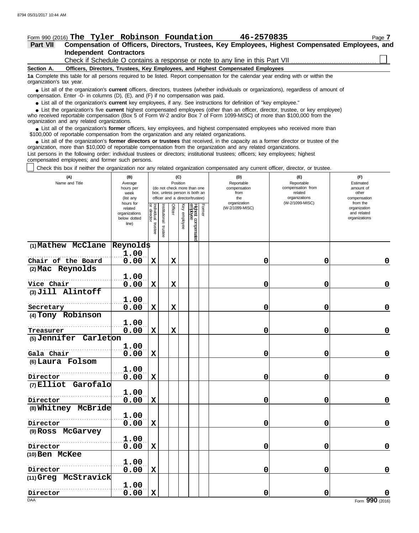## Form 990 (2016) Page **7 The Tyler Robinson Foundation 46-2570835**

## **Independent Contractors Part VII Compensation of Officers, Directors, Trustees, Key Employees, Highest Compensated Employees, and**

Check if Schedule O contains a response or note to any line in this Part VII

**Section A. Officers, Directors, Trustees, Key Employees, and Highest Compensated Employees**

**1a** Complete this table for all persons required to be listed. Report compensation for the calendar year ending with or within the organization's tax year.

■ List all of the organization's **current** officers, directors, trustees (whether individuals or organizations), regardless of amount of the organization Enter -0- in columns (D), (E), and (E) if no compensation was paid compensation. Enter -0- in columns (D), (E), and (F) if no compensation was paid.

● List all of the organization's **current** key employees, if any. See instructions for definition of "key employee."

who received reportable compensation (Box 5 of Form W-2 and/or Box 7 of Form 1099-MISC) of more than \$100,000 from the organization and any related organizations. ■ List the organization's five **current** highest compensated employees (other than an officer, director, trustee, or key employee)<br>
a received reportable compensation (Box 5 of Form W-2 and/or Box 7 of Form 1099-MISC) of

■ List all of the organization's **former** officers, key employees, and highest compensated employees who received more than<br>00,000 of reportable compensation from the organization and any related organizations \$100,000 of reportable compensation from the organization and any related organizations.

■ List all of the organization's **former directors or trustees** that received, in the capacity as a former director or trustee of the entration more than \$10,000 of reportable compensation from the organization and any re organization, more than \$10,000 of reportable compensation from the organization and any related organizations.

List persons in the following order: individual trustees or directors; institutional trustees; officers; key employees; highest compensated employees; and former such persons.

Check this box if neither the organization nor any related organization compensated any current officer, director, or trustee.

| (A)<br>Name and Title | (B)<br>Average<br>hours per<br>week<br>(list any               |                                   |                         | (C)<br>Position |                 | (do not check more than one<br>box, unless person is both an<br>officer and a director/trustee) |        | (D)<br>Reportable<br>compensation<br>from<br>the | (E)<br>Reportable<br>compensation from<br>related<br>organizations | (F)<br>Estimated<br>amount of<br>other<br>compensation   |
|-----------------------|----------------------------------------------------------------|-----------------------------------|-------------------------|-----------------|-----------------|-------------------------------------------------------------------------------------------------|--------|--------------------------------------------------|--------------------------------------------------------------------|----------------------------------------------------------|
|                       | hours for<br>related<br>organizations<br>below dotted<br>line) | Individual trustee<br>or director | nstitutional<br>trustee | Officer         | Ķey<br>employee | Highest compensated<br>employee                                                                 | Former | organization<br>(W-2/1099-MISC)                  | (W-2/1099-MISC)                                                    | from the<br>organization<br>and related<br>organizations |
| (1) Mathew McClane    | <b>Reynolds</b><br>1.00                                        |                                   |                         |                 |                 |                                                                                                 |        |                                                  |                                                                    |                                                          |
| Chair of the Board    | 0.00                                                           | $\mathbf x$                       |                         | $\mathbf x$     |                 |                                                                                                 |        | 0                                                | 0                                                                  | 0                                                        |
| (2) Mac Reynolds      |                                                                |                                   |                         |                 |                 |                                                                                                 |        |                                                  |                                                                    |                                                          |
| Vice Chair            | 1.00<br>0.00                                                   | $\mathbf X$                       |                         | $\mathbf x$     |                 |                                                                                                 |        | 0                                                | 0                                                                  | $\mathbf 0$                                              |
| (3) Jill Alintoff     |                                                                |                                   |                         |                 |                 |                                                                                                 |        |                                                  |                                                                    |                                                          |
|                       | 1.00                                                           |                                   |                         |                 |                 |                                                                                                 |        |                                                  |                                                                    |                                                          |
| Secretary             | 0.00                                                           | $\mathbf X$                       |                         | $\mathbf x$     |                 |                                                                                                 |        | 0                                                | 0                                                                  | $\mathbf 0$                                              |
| (4) Tony Robinson     |                                                                |                                   |                         |                 |                 |                                                                                                 |        |                                                  |                                                                    |                                                          |
| Treasurer             | 1.00<br>0.00                                                   | $\mathbf x$                       |                         | $\mathbf x$     |                 |                                                                                                 |        | 0                                                | $\mathbf 0$                                                        | $\mathbf 0$                                              |
| (5) Jennifer Carleton |                                                                |                                   |                         |                 |                 |                                                                                                 |        |                                                  |                                                                    |                                                          |
|                       | 1.00                                                           |                                   |                         |                 |                 |                                                                                                 |        |                                                  |                                                                    |                                                          |
| Gala Chair            | 0.00                                                           | $\mathbf x$                       |                         |                 |                 |                                                                                                 |        | 0                                                | 0                                                                  | $\mathbf 0$                                              |
| (6) Laura Folsom      |                                                                |                                   |                         |                 |                 |                                                                                                 |        |                                                  |                                                                    |                                                          |
|                       | 1.00                                                           |                                   |                         |                 |                 |                                                                                                 |        |                                                  |                                                                    |                                                          |
| Director              | 0.00                                                           | $\mathbf x$                       |                         |                 |                 |                                                                                                 |        | 0                                                | 0                                                                  | $\mathbf 0$                                              |
| (7) Elliot Garofalo   |                                                                |                                   |                         |                 |                 |                                                                                                 |        |                                                  |                                                                    |                                                          |
| Director              | 1.00<br>0.00                                                   | $\mathbf x$                       |                         |                 |                 |                                                                                                 |        | 0                                                | 0                                                                  | $\mathbf 0$                                              |
| (8) Whitney McBride   |                                                                |                                   |                         |                 |                 |                                                                                                 |        |                                                  |                                                                    |                                                          |
|                       | 1.00                                                           |                                   |                         |                 |                 |                                                                                                 |        |                                                  |                                                                    |                                                          |
| Director              | 0.00                                                           | $\mathbf x$                       |                         |                 |                 |                                                                                                 |        | 0                                                | 0                                                                  | $\mathbf 0$                                              |
| (9) Ross McGarvey     |                                                                |                                   |                         |                 |                 |                                                                                                 |        |                                                  |                                                                    |                                                          |
|                       | 1.00                                                           |                                   |                         |                 |                 |                                                                                                 |        |                                                  |                                                                    |                                                          |
| Director              | 0.00                                                           | $\mathbf x$                       |                         |                 |                 |                                                                                                 |        | 0                                                | 0                                                                  | $\mathbf 0$                                              |
| (10) Ben McKee        |                                                                |                                   |                         |                 |                 |                                                                                                 |        |                                                  |                                                                    |                                                          |
| Director              | 1.00<br>0.00                                                   | $\mathbf x$                       |                         |                 |                 |                                                                                                 |        | 0                                                | 0                                                                  | $\mathbf 0$                                              |
| (11) Greg McStravick  |                                                                |                                   |                         |                 |                 |                                                                                                 |        |                                                  |                                                                    |                                                          |
|                       | 1.00                                                           |                                   |                         |                 |                 |                                                                                                 |        |                                                  |                                                                    |                                                          |
| Director              | 0.00                                                           | $\mathbf x$                       |                         |                 |                 |                                                                                                 |        | 0                                                | 0                                                                  |                                                          |
| <b>DAA</b>            |                                                                |                                   |                         |                 |                 |                                                                                                 |        |                                                  |                                                                    | Form 990 (2016)                                          |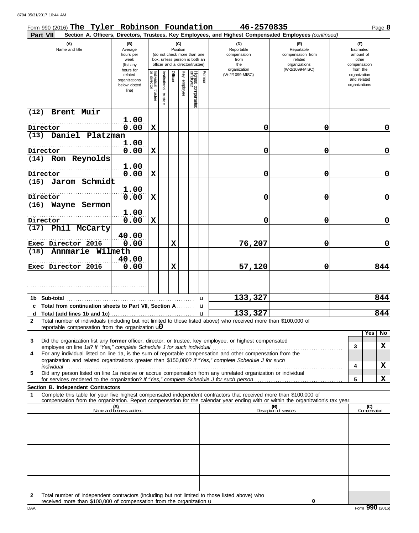8794 05/31/2017 10:44 AM

| Form 990 (2016) The Tyler Robinson Foundation<br>Part VII                                                                                                                                                                                                                                                                                                 |                                                                |                                   |                         |          |              |                                                                                                 |        | 46-2570835                                                                  | Section A. Officers, Directors, Trustees, Key Employees, and Highest Compensated Employees (continued) |                                                          | Page 8 |
|-----------------------------------------------------------------------------------------------------------------------------------------------------------------------------------------------------------------------------------------------------------------------------------------------------------------------------------------------------------|----------------------------------------------------------------|-----------------------------------|-------------------------|----------|--------------|-------------------------------------------------------------------------------------------------|--------|-----------------------------------------------------------------------------|--------------------------------------------------------------------------------------------------------|----------------------------------------------------------|--------|
| (A)<br>Name and title                                                                                                                                                                                                                                                                                                                                     | (B)<br>Average<br>hours per<br>week<br>(list any               |                                   |                         | Position | (C)          | (do not check more than one<br>box, unless person is both an<br>officer and a director/trustee) |        | (D)<br>Reportable<br>compensation<br>from<br>the                            | (F)<br>Estimated<br>amount of<br>other<br>compensation                                                 |                                                          |        |
|                                                                                                                                                                                                                                                                                                                                                           | hours for<br>related<br>organizations<br>below dotted<br>line) | Individual trustee<br>or director | Institutional<br>truste | Officer  | Key employee | Highest compensater<br>empbyee                                                                  | Former | organization<br>(W-2/1099-MISC)                                             | (W-2/1099-MISC)                                                                                        | from the<br>organization<br>and related<br>organizations |        |
| (12)<br>Brent Muir                                                                                                                                                                                                                                                                                                                                        |                                                                |                                   |                         |          |              |                                                                                                 |        |                                                                             |                                                                                                        |                                                          |        |
| Director                                                                                                                                                                                                                                                                                                                                                  | 1.00<br>0.00                                                   | X                                 |                         |          |              |                                                                                                 |        | 0                                                                           | 0                                                                                                      |                                                          | 0      |
| Daniel Platzman<br>(13)                                                                                                                                                                                                                                                                                                                                   |                                                                |                                   |                         |          |              |                                                                                                 |        |                                                                             |                                                                                                        |                                                          |        |
|                                                                                                                                                                                                                                                                                                                                                           | 1.00                                                           |                                   |                         |          |              |                                                                                                 |        |                                                                             |                                                                                                        |                                                          |        |
| Director                                                                                                                                                                                                                                                                                                                                                  | 0.00                                                           | X                                 |                         |          |              |                                                                                                 |        | 0                                                                           | 0                                                                                                      |                                                          | 0      |
| Ron Reynolds<br>(14)                                                                                                                                                                                                                                                                                                                                      | 1.00                                                           |                                   |                         |          |              |                                                                                                 |        |                                                                             |                                                                                                        |                                                          |        |
| Director                                                                                                                                                                                                                                                                                                                                                  | 0.00                                                           | X                                 |                         |          |              |                                                                                                 |        | 0                                                                           | 0                                                                                                      |                                                          | 0      |
| Jarom Schmidt<br>(15)                                                                                                                                                                                                                                                                                                                                     |                                                                |                                   |                         |          |              |                                                                                                 |        |                                                                             |                                                                                                        |                                                          |        |
|                                                                                                                                                                                                                                                                                                                                                           | 1.00                                                           |                                   |                         |          |              |                                                                                                 |        |                                                                             |                                                                                                        |                                                          |        |
| Director<br>(16) Wayne Sermon                                                                                                                                                                                                                                                                                                                             | 0.00                                                           | X                                 |                         |          |              |                                                                                                 |        | 0                                                                           | 0                                                                                                      |                                                          | 0      |
|                                                                                                                                                                                                                                                                                                                                                           | 1.00                                                           |                                   |                         |          |              |                                                                                                 |        |                                                                             |                                                                                                        |                                                          |        |
| Director                                                                                                                                                                                                                                                                                                                                                  | 0.00                                                           | X                                 |                         |          |              |                                                                                                 |        | 0                                                                           | 0                                                                                                      |                                                          | 0      |
| Phil McCarty<br>(17)                                                                                                                                                                                                                                                                                                                                      | 40.00                                                          |                                   |                         |          |              |                                                                                                 |        |                                                                             |                                                                                                        |                                                          |        |
| Exec Director 2016                                                                                                                                                                                                                                                                                                                                        | 0.00                                                           |                                   |                         | Х        |              |                                                                                                 |        | 76,207                                                                      | 0                                                                                                      |                                                          | 0      |
| Annmarie Wilmeth<br>(18)                                                                                                                                                                                                                                                                                                                                  |                                                                |                                   |                         |          |              |                                                                                                 |        |                                                                             |                                                                                                        |                                                          |        |
| Exec Director 2016                                                                                                                                                                                                                                                                                                                                        | 40.00<br>0.00                                                  |                                   |                         | Х        |              |                                                                                                 |        | 57,120                                                                      | 0                                                                                                      |                                                          | 844    |
|                                                                                                                                                                                                                                                                                                                                                           |                                                                |                                   |                         |          |              |                                                                                                 |        |                                                                             |                                                                                                        |                                                          |        |
| 1b Sub-total                                                                                                                                                                                                                                                                                                                                              |                                                                |                                   |                         |          |              |                                                                                                 | u      | 133,327                                                                     |                                                                                                        |                                                          | 844    |
| c Total from continuation sheets to Part VII, Section A                                                                                                                                                                                                                                                                                                   |                                                                |                                   |                         |          |              |                                                                                                 | u      |                                                                             |                                                                                                        |                                                          |        |
| d<br>Total number of individuals (including but not limited to those listed above) who received more than \$100,000 of<br>$\mathbf{2}$                                                                                                                                                                                                                    |                                                                |                                   |                         |          |              |                                                                                                 | u      | 133,327                                                                     |                                                                                                        |                                                          | 844    |
| reportable compensation from the organization $\omega$                                                                                                                                                                                                                                                                                                    |                                                                |                                   |                         |          |              |                                                                                                 |        |                                                                             |                                                                                                        | Yes                                                      | No.    |
| Did the organization list any <b>former</b> officer, director, or trustee, key employee, or highest compensated<br>3                                                                                                                                                                                                                                      |                                                                |                                   |                         |          |              |                                                                                                 |        |                                                                             |                                                                                                        | 3                                                        | x      |
| For any individual listed on line 1a, is the sum of reportable compensation and other compensation from the<br>4                                                                                                                                                                                                                                          |                                                                |                                   |                         |          |              |                                                                                                 |        |                                                                             |                                                                                                        |                                                          |        |
| organization and related organizations greater than \$150,000? If "Yes," complete Schedule J for such                                                                                                                                                                                                                                                     |                                                                |                                   |                         |          |              |                                                                                                 |        |                                                                             |                                                                                                        | 4                                                        | x      |
| individual <b>construction of the construction of the construction</b> of the construction of the construction of the construction of the construction of the construction of the construction of the construction of the construct<br>Did any person listed on line 1a receive or accrue compensation from any unrelated organization or individual<br>5 |                                                                |                                   |                         |          |              |                                                                                                 |        |                                                                             |                                                                                                        |                                                          |        |
|                                                                                                                                                                                                                                                                                                                                                           |                                                                |                                   |                         |          |              |                                                                                                 |        |                                                                             |                                                                                                        | 5                                                        | x      |
| Section B. Independent Contractors<br>Complete this table for your five highest compensated independent contractors that received more than \$100,000 of<br>1                                                                                                                                                                                             |                                                                |                                   |                         |          |              |                                                                                                 |        |                                                                             |                                                                                                        |                                                          |        |
| compensation from the organization. Report compensation for the calendar year ending with or within the organization's tax year.                                                                                                                                                                                                                          |                                                                |                                   |                         |          |              |                                                                                                 |        |                                                                             |                                                                                                        |                                                          |        |
|                                                                                                                                                                                                                                                                                                                                                           | (A)<br>Name and business address                               |                                   |                         |          |              |                                                                                                 |        |                                                                             | (B)<br>Description of services                                                                         | (C)<br>Compensation                                      |        |
|                                                                                                                                                                                                                                                                                                                                                           |                                                                |                                   |                         |          |              |                                                                                                 |        |                                                                             |                                                                                                        |                                                          |        |
|                                                                                                                                                                                                                                                                                                                                                           |                                                                |                                   |                         |          |              |                                                                                                 |        |                                                                             |                                                                                                        |                                                          |        |
|                                                                                                                                                                                                                                                                                                                                                           |                                                                |                                   |                         |          |              |                                                                                                 |        |                                                                             |                                                                                                        |                                                          |        |
|                                                                                                                                                                                                                                                                                                                                                           |                                                                |                                   |                         |          |              |                                                                                                 |        |                                                                             |                                                                                                        |                                                          |        |
|                                                                                                                                                                                                                                                                                                                                                           |                                                                |                                   |                         |          |              |                                                                                                 |        |                                                                             |                                                                                                        |                                                          |        |
|                                                                                                                                                                                                                                                                                                                                                           |                                                                |                                   |                         |          |              |                                                                                                 |        |                                                                             |                                                                                                        |                                                          |        |
|                                                                                                                                                                                                                                                                                                                                                           |                                                                |                                   |                         |          |              |                                                                                                 |        |                                                                             |                                                                                                        |                                                          |        |
|                                                                                                                                                                                                                                                                                                                                                           |                                                                |                                   |                         |          |              |                                                                                                 |        | dependent contractors (including but not limited to these ligted above) who |                                                                                                        |                                                          |        |

**2** Total number of independent contractors (including but not limited to those listed above) who received more than  $$100,000$  of compensation from the organization  $\blacksquare$ 

**0**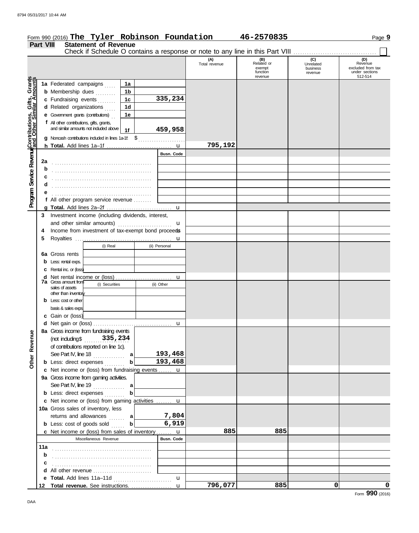|                                                             |                  | Form 990 (2016) The Tyler Robinson Foundation                                 |                |                   |                      | 46-2570835                                         |                                         | Page 9                                                           |
|-------------------------------------------------------------|------------------|-------------------------------------------------------------------------------|----------------|-------------------|----------------------|----------------------------------------------------|-----------------------------------------|------------------------------------------------------------------|
|                                                             | <b>Part VIII</b> | <b>Statement of Revenue</b>                                                   |                |                   |                      |                                                    |                                         |                                                                  |
|                                                             |                  | Check if Schedule O contains a response or note to any line in this Part VIII |                |                   |                      |                                                    |                                         |                                                                  |
|                                                             |                  |                                                                               |                |                   | (A)<br>Total revenue | (B)<br>Related or<br>exempt<br>function<br>revenue | (C)<br>Unrelated<br>business<br>revenue | (D)<br>Revenue<br>excluded from tax<br>under sections<br>512-514 |
| <b>Program Service Reverwe Contributions, Gifts, Grants</b> |                  | 1a Federated campaigns                                                        | 1a             |                   |                      |                                                    |                                         |                                                                  |
|                                                             |                  | a a a a<br><b>b</b> Membership dues                                           | 1b             |                   |                      |                                                    |                                         |                                                                  |
|                                                             |                  | c Fundraising events                                                          | 1 <sub>c</sub> | 335,234           |                      |                                                    |                                         |                                                                  |
|                                                             |                  | d Related organizations                                                       | 1 <sub>d</sub> |                   |                      |                                                    |                                         |                                                                  |
|                                                             |                  | <b>e</b> Government grants (contributions)                                    | 1e             |                   |                      |                                                    |                                         |                                                                  |
|                                                             |                  | f All other contributions, gifts, grants,                                     |                |                   |                      |                                                    |                                         |                                                                  |
|                                                             |                  | and similar amounts not induded above                                         | 1f             | 459,958           |                      |                                                    |                                         |                                                                  |
|                                                             |                  | g Noncash contributions included in lines 1a-1f: \$                           |                |                   |                      |                                                    |                                         |                                                                  |
|                                                             |                  |                                                                               |                |                   | 795,192              |                                                    |                                         |                                                                  |
|                                                             |                  |                                                                               |                | <b>Busn. Code</b> |                      |                                                    |                                         |                                                                  |
|                                                             | 2a               |                                                                               |                |                   |                      |                                                    |                                         |                                                                  |
|                                                             | b                |                                                                               |                |                   |                      |                                                    |                                         |                                                                  |
|                                                             | с                |                                                                               |                |                   |                      |                                                    |                                         |                                                                  |
|                                                             | d                |                                                                               |                |                   |                      |                                                    |                                         |                                                                  |
|                                                             |                  |                                                                               |                |                   |                      |                                                    |                                         |                                                                  |
|                                                             |                  | f All other program service revenue                                           |                |                   |                      |                                                    |                                         |                                                                  |
|                                                             |                  |                                                                               |                | $\mathbf{u}$      |                      |                                                    |                                         |                                                                  |
|                                                             | 3                | Investment income (including dividends, interest,                             |                |                   |                      |                                                    |                                         |                                                                  |
|                                                             |                  | and other similar amounts)                                                    |                | u                 |                      |                                                    |                                         |                                                                  |
|                                                             | 4                | Income from investment of tax-exempt bond proceeds                            |                |                   |                      |                                                    |                                         |                                                                  |
|                                                             | 5                |                                                                               |                |                   |                      |                                                    |                                         |                                                                  |
|                                                             |                  | (i) Real                                                                      |                | (ii) Personal     |                      |                                                    |                                         |                                                                  |
|                                                             |                  | 6a Gross rents                                                                |                |                   |                      |                                                    |                                         |                                                                  |
|                                                             |                  | <b>b</b> Less: rental exps.                                                   |                |                   |                      |                                                    |                                         |                                                                  |
|                                                             |                  | <b>C</b> Rental inc. or (loss)                                                |                |                   |                      |                                                    |                                         |                                                                  |
|                                                             |                  |                                                                               | u              |                   |                      |                                                    |                                         |                                                                  |
|                                                             |                  | <b>7a</b> Gross amount from<br>(i) Securities                                 |                | (ii) Other        |                      |                                                    |                                         |                                                                  |
|                                                             |                  | sales of assets<br>other than inventory                                       |                |                   |                      |                                                    |                                         |                                                                  |
|                                                             |                  | $b$ Less: $\cos$ or other                                                     |                |                   |                      |                                                    |                                         |                                                                  |
|                                                             |                  | basis & sales exps                                                            |                |                   |                      |                                                    |                                         |                                                                  |
|                                                             |                  | c Gain or (loss)                                                              |                |                   |                      |                                                    |                                         |                                                                  |
|                                                             |                  | d Net gain or (loss)                                                          |                |                   |                      |                                                    |                                         |                                                                  |
|                                                             |                  | 8a Gross income from fundraising events                                       |                |                   |                      |                                                    |                                         |                                                                  |
|                                                             |                  | (not including \$ $335,234$                                                   |                |                   |                      |                                                    |                                         |                                                                  |
|                                                             |                  | of contributions reported on line 1c).                                        |                |                   |                      |                                                    |                                         |                                                                  |
|                                                             |                  | See Part IV, line 18                                                          | a              | 193,468           |                      |                                                    |                                         |                                                                  |
| Other Revenue                                               |                  | <b>b</b> Less: direct expenses                                                | b              | 193,468           |                      |                                                    |                                         |                                                                  |
|                                                             |                  | c Net income or (loss) from fundraising events  u                             |                |                   |                      |                                                    |                                         |                                                                  |
|                                                             |                  | 9a Gross income from gaming activities.                                       |                |                   |                      |                                                    |                                         |                                                                  |
|                                                             |                  |                                                                               |                |                   |                      |                                                    |                                         |                                                                  |
|                                                             |                  | <b>b</b> Less: direct expenses                                                |                |                   |                      |                                                    |                                         |                                                                  |
|                                                             |                  | c Net income or (loss) from gaming activities  u                              |                |                   |                      |                                                    |                                         |                                                                  |
|                                                             |                  | 10a Gross sales of inventory, less                                            |                |                   |                      |                                                    |                                         |                                                                  |
|                                                             |                  | returns and allowances  a                                                     |                | 7,804             |                      |                                                    |                                         |                                                                  |
|                                                             |                  | <b>b</b> Less: cost of goods sold                                             | $\mathbf{b}$   | 6,919             |                      |                                                    |                                         |                                                                  |
|                                                             |                  | c Net income or (loss) from sales of inventory u                              |                |                   | 885                  | 885                                                |                                         |                                                                  |
|                                                             |                  | Miscellaneous Revenue                                                         |                | <b>Busn. Code</b> |                      |                                                    |                                         |                                                                  |
|                                                             |                  |                                                                               |                |                   |                      |                                                    |                                         |                                                                  |
|                                                             | b                |                                                                               |                |                   |                      |                                                    |                                         |                                                                  |
|                                                             |                  |                                                                               |                |                   |                      |                                                    |                                         |                                                                  |
|                                                             |                  | d All other revenue                                                           |                |                   |                      |                                                    |                                         |                                                                  |
|                                                             |                  | e Total. Add lines 11a-11d                                                    |                | $\mathbf u$       |                      |                                                    | $\mathbf{0}$                            |                                                                  |
|                                                             |                  |                                                                               |                |                   | 796,077              | 885                                                |                                         | 0                                                                |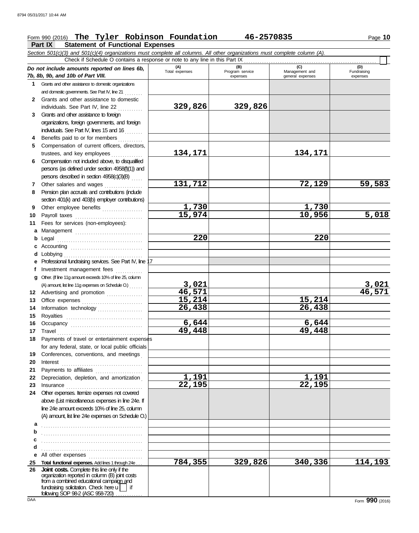### **Part IX Statement of Functional Expenses** Form 990 (2016) Page **10 The Tyler Robinson Foundation 46-2570835**

*Section 501(c)(3) and 501(c)(4) organizations must complete all columns. All other organizations must complete column (A). Do not include amounts reported on lines 6b, 7b, 8b, 9b, and 10b of Part VIII.* **1 2 3** Grants and other assistance to foreign **4** Benefits paid to or for members **. . . . . . . . 5 6** Compensation not included above, to disqualified **7** Other salaries and wages **. . . . . . . . . . . .** . . **8 9 10** Payroll taxes ............................... **11 a** Management .............................. **b** Legal . . . . . . . . . . . . . . . . . . . . . . . . . . . . . . . . . . . . . . **c** Accounting . . . . . . . . . . . . . . . . . . . . . . . . . . . . . . . . **d** Lobbying . . . . . . . . . . . . . . . . . . . . . . . . . . . . . . . . . . . **e** Professional fundraising services. See Part IV, line 17 **f g** Other. (If line 11g amount exceeds 10% of line 25, column **12** Advertising and promotion ............... **13** Office expenses **.......................**... **14 15 16 17** Travel . . . . . . . . . . . . . . . . . . . . . . . . . . . . . . . . . . . . . . **18** Payments of travel or entertainment expenses **19** Conferences, conventions, and meetings . **20** Interest . . . . . . . . . . . . . . . . . . . . . . . . . . . . . . . . . . . . **21 22** Depreciation, depletion, and amortization . **23** Insurance . . . . . . . . . . . . . . . . . . . . . . . . . . . . . . . . . . **24** Other expenses. Itemize expenses not covered **a** . . . . . . . . . . . . . . . . . . . . . . . . . . . . . . . . . . . . . . . . . . . . . **b c** Grants and other assistance to domestic organizations and domestic governments. See Part IV, line 21 Grants and other assistance to domestic individuals. See Part IV, line 22 organizations, foreign governments, and foreign individuals. See Part IV, lines 15 and 16 Compensation of current officers, directors, trustees, and key employees .............. persons (as defined under section 4958(f)(1)) and persons described in section 4958(c)(3)(B) . . . . . Pension plan accruals and contributions (include section 401(k) and 403(b) employer contributions) Other employee benefits .................. Fees for services (non-employees): Investment management fees Information technology . . . . . . . . . . . . . . . . . . . . Royalties . . . . . . . . . . . . . . . . . . . . . . . . . . . . . . . . . . Occupancy . . . . . . . . . . . . . . . . . . . . . . . . . . . . . . . . for any federal, state, or local public officials Payments to affiliates ...................... above (List miscellaneous expenses in line 24e. If line 24e amount exceeds 10% of line 25, column (A) amount, list line 24e expenses on Schedule O.) **(A) (B) (C) (D)** Tor<br>
gram service Management and<br>
expenses expenses<br>
general expenses expenses general expenses Fundraising expenses . . . . . . . . . . . . . . . . . . . . . . . . . . . . . . . . . . . . . . . . . . . . . Check if Schedule O contains a response or note to any line in this Part IX (A) amount, list line 11g expenses on Schedule O.) . . . . . . **329,826 329,826 134,171 134,171 131,712 72,129 59,583 1,730 1,730 15,974 10,956 5,018 220 220 3,021 3,021 46,571 46,571 15,214 15,214 15,214 15,214 15,214 26,438 26,438 6,644 6,644 49,448 49,448 1,191 1,191 22,195 22,195**

**e** All other expenses . . . . . . . . . . . . . . . . . . . . . . . . **25 Total functional expenses.** Add lines 1 through 24e . . . **26** fundraising solicitation. Check here  $\Box$  if organization reported in column (B) joint costs from a combined educational campaign and following SOP 98-2 (ASC 958-720) . . . . . . . . . . **Joint costs.** Complete this line only if the

**d** . . . . . . . . . . . . . . . . . . . . . . . . . . . . . . . . . . . . . . . . . . . . .

DAA Form **990** (2016)

**784,355 329,826 340,336 114,193**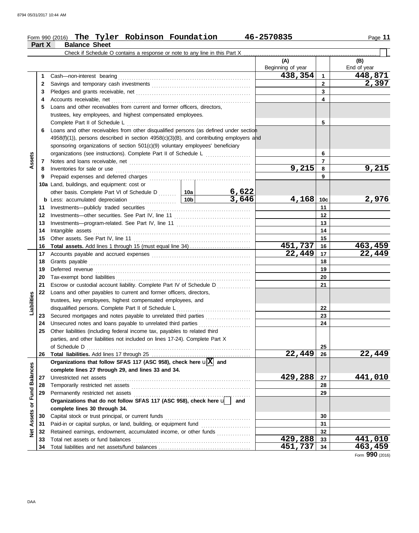#### Form 990 (2016) Page **11 The Tyler Robinson Foundation 46-2570835**

| <b>Balance Sheet</b><br>Part X |
|--------------------------------|
|--------------------------------|

|                   |    | Check if Schedule O contains a response or note to any line in this Part X                   |                 |                                                 |                          |                 |                    |
|-------------------|----|----------------------------------------------------------------------------------------------|-----------------|-------------------------------------------------|--------------------------|-----------------|--------------------|
|                   |    |                                                                                              |                 |                                                 | (A)<br>Beginning of year |                 | (B)<br>End of year |
|                   | 1  | Cash-non-interest bearing                                                                    |                 |                                                 | 438,354                  | 1               | <u>448,871</u>     |
|                   | 2  |                                                                                              |                 |                                                 |                          | $\mathbf{2}$    | 2,397              |
|                   | 3  |                                                                                              |                 | 3                                               |                          |                 |                    |
|                   | 4  | Accounts receivable, net                                                                     |                 | 4                                               |                          |                 |                    |
|                   | 5  | Loans and other receivables from current and former officers, directors,                     |                 |                                                 |                          |                 |                    |
|                   |    | trustees, key employees, and highest compensated employees.                                  |                 |                                                 |                          |                 |                    |
|                   |    | Complete Part II of Schedule L                                                               |                 |                                                 |                          | 5               |                    |
|                   | 6  | Loans and other receivables from other disqualified persons (as defined under section        |                 |                                                 |                          |                 |                    |
|                   |    | $4958(f)(1)$ , persons described in section $4958(c)(3)(B)$ , and contributing employers and |                 |                                                 |                          |                 |                    |
|                   |    | sponsoring organizations of section 501(c)(9) voluntary employees' beneficiary               |                 |                                                 |                          |                 |                    |
|                   |    | organizations (see instructions). Complete Part II of Schedule L                             |                 |                                                 |                          | 6               |                    |
| Assets            | 7  |                                                                                              |                 |                                                 |                          | $\overline{7}$  |                    |
|                   | 8  | Inventories for sale or use                                                                  |                 |                                                 | 9,215                    | 8               | 9,215              |
|                   | 9  |                                                                                              |                 |                                                 |                          | 9               |                    |
|                   |    | 10a Land, buildings, and equipment: cost or                                                  |                 |                                                 |                          |                 |                    |
|                   |    | other basis. Complete Part VI of Schedule D  10a                                             |                 | <u>6,622</u>                                    |                          |                 |                    |
|                   |    | <b>b</b> Less: accumulated depreciation<br>.                                                 | 10 <sub>b</sub> | 3,646                                           | 4,168                    | 10 <sub>c</sub> | 2,976              |
|                   | 11 | Investments-publicly traded securities                                                       |                 |                                                 |                          | 11              |                    |
|                   | 12 | Investments—other securities. See Part IV, line 11                                           |                 |                                                 |                          | 12              |                    |
|                   | 13 |                                                                                              |                 |                                                 |                          | 13              |                    |
|                   | 14 | Intangible assets                                                                            |                 |                                                 |                          | 14              |                    |
|                   | 15 | Other assets. See Part IV, line 11                                                           |                 | 15                                              |                          |                 |                    |
|                   | 16 |                                                                                              |                 |                                                 | 451,737                  | 16              | 463,459            |
|                   | 17 |                                                                                              | 22,449          | 17                                              | 22,449                   |                 |                    |
|                   | 18 | Grants payable                                                                               |                 |                                                 |                          | 18              |                    |
|                   | 19 | Deferred revenue                                                                             |                 |                                                 |                          | 19              |                    |
|                   | 20 | Tax-exempt bond liabilities                                                                  |                 |                                                 |                          | 20              |                    |
|                   | 21 | Escrow or custodial account liability. Complete Part IV of Schedule D                        |                 |                                                 |                          | 21              |                    |
|                   | 22 | Loans and other payables to current and former officers, directors,                          |                 |                                                 |                          |                 |                    |
| Liabilities       |    | trustees, key employees, highest compensated employees, and                                  |                 |                                                 |                          |                 |                    |
|                   |    | disqualified persons. Complete Part II of Schedule L                                         |                 | .                                               |                          | 22              |                    |
|                   | 23 | Secured mortgages and notes payable to unrelated third parties                               |                 | <u> 1966 - Johann Stoff, Amerikaansk politi</u> |                          | 23              |                    |
|                   | 24 | Unsecured notes and loans payable to unrelated third parties                                 |                 | .                                               |                          | 24              |                    |
|                   | 25 | Other liabilities (including federal income tax, payables to related third                   |                 |                                                 |                          |                 |                    |
|                   |    | parties, and other liabilities not included on lines 17-24). Complete Part X                 |                 |                                                 |                          |                 |                    |
|                   |    | of Schedule D                                                                                |                 |                                                 |                          | 25              |                    |
|                   | 26 |                                                                                              |                 |                                                 | 22,449                   | 26              | 22,449             |
|                   |    | Organizations that follow SFAS 117 (ASC 958), check here $\overline{X}$ and                  |                 |                                                 |                          |                 |                    |
|                   |    | complete lines 27 through 29, and lines 33 and 34.                                           |                 |                                                 |                          |                 |                    |
|                   | 27 | Unrestricted net assets                                                                      |                 |                                                 | 429,288                  | 27              | 441,010            |
| or Fund Balances  | 28 |                                                                                              |                 |                                                 |                          | 28              |                    |
|                   | 29 | Permanently restricted net assets                                                            |                 |                                                 |                          | 29              |                    |
|                   |    | Organizations that do not follow SFAS 117 (ASC 958), check here u                            |                 | and                                             |                          |                 |                    |
|                   |    | complete lines 30 through 34.                                                                |                 |                                                 |                          |                 |                    |
|                   | 30 | Capital stock or trust principal, or current funds                                           |                 |                                                 |                          | 30              |                    |
|                   | 31 | Paid-in or capital surplus, or land, building, or equipment fund                             |                 |                                                 |                          | 31              |                    |
| <b>Net Assets</b> | 32 | Retained earnings, endowment, accumulated income, or other funds                             |                 |                                                 |                          | 32              |                    |
|                   | 33 | Total net assets or fund balances                                                            |                 |                                                 | 429,288                  | 33              | 441,010            |
|                   | 34 |                                                                                              |                 |                                                 | 451,737                  | 34              | 463,459            |

Form **990** (2016)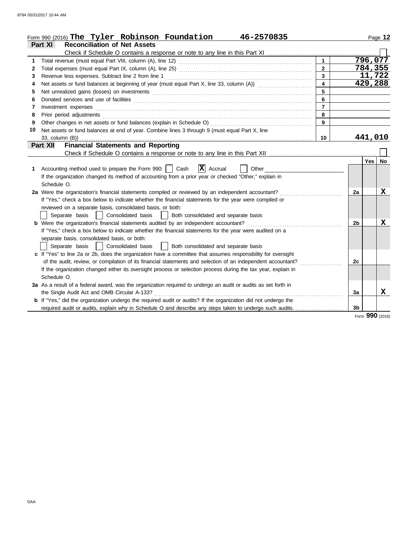| <b>Reconciliation of Net Assets</b><br>Part XI<br>$\mathbf{1}$<br>1<br>784,355<br>$\overline{2}$<br>2<br>$\overline{3}$<br>Revenue less expenses. Subtract line 2 from line 1<br>3<br>$\overline{\mathbf{4}}$<br>4<br>5<br>Net unrealized gains (losses) on investments [11] matter contracts and the state of the state of the state of the state of the state of the state of the state of the state of the state of the state of the state of the stat<br>5<br>6<br>6<br>$\overline{7}$<br>7<br>Investment expenses<br>8<br>8<br>Prior period adjustments [11, 12] and the contract of the contract of the contract of the contract of the contract of the contract of the contract of the contract of the contract of the contract of the contract of the cont<br>9<br>9<br>Net assets or fund balances at end of year. Combine lines 3 through 9 (must equal Part X, line<br>10<br>10<br>$33$ , column $(B)$ )<br><b>Financial Statements and Reporting</b><br><b>Part XII</b><br>$ \mathbf{X} $ Accrual<br>Accounting method used to prepare the Form 990:     Cash<br>Other<br>1.<br>If the organization changed its method of accounting from a prior year or checked "Other," explain in<br>Schedule O.<br>2a Were the organization's financial statements compiled or reviewed by an independent accountant?<br>2a<br>If "Yes," check a box below to indicate whether the financial statements for the year were compiled or<br>reviewed on a separate basis, consolidated basis, or both:<br>Separate basis   Consolidated basis   Both consolidated and separate basis<br><b>b</b> Were the organization's financial statements audited by an independent accountant?<br>2 <sub>b</sub><br>If "Yes," check a box below to indicate whether the financial statements for the year were audited on a<br>separate basis, consolidated basis, or both:<br>Separate basis   Consolidated basis<br>  Both consolidated and separate basis<br>c If "Yes" to line 2a or 2b, does the organization have a committee that assumes responsibility for oversight<br>of the audit, review, or compilation of its financial statements and selection of an independent accountant?<br>2c<br>If the organization changed either its oversight process or selection process during the tax year, explain in<br>Schedule O.<br>3a As a result of a federal award, was the organization required to undergo an audit or audits as set forth in<br>the Single Audit Act and OMB Circular A-133?<br>3a | Form 990 (2016) The Tyler Robinson Foundation<br>46-2570835                                                           |  |                      | Page 12     |
|------------------------------------------------------------------------------------------------------------------------------------------------------------------------------------------------------------------------------------------------------------------------------------------------------------------------------------------------------------------------------------------------------------------------------------------------------------------------------------------------------------------------------------------------------------------------------------------------------------------------------------------------------------------------------------------------------------------------------------------------------------------------------------------------------------------------------------------------------------------------------------------------------------------------------------------------------------------------------------------------------------------------------------------------------------------------------------------------------------------------------------------------------------------------------------------------------------------------------------------------------------------------------------------------------------------------------------------------------------------------------------------------------------------------------------------------------------------------------------------------------------------------------------------------------------------------------------------------------------------------------------------------------------------------------------------------------------------------------------------------------------------------------------------------------------------------------------------------------------------------------------------------------------------------------------------------------------------------------------------------------------------------------------------------------------------------------------------------------------------------------------------------------------------------------------------------------------------------------------------------------------------------------------------------------------------------------------------------------------------------------------------------------------------------------------------------------------------------------------------------|-----------------------------------------------------------------------------------------------------------------------|--|----------------------|-------------|
|                                                                                                                                                                                                                                                                                                                                                                                                                                                                                                                                                                                                                                                                                                                                                                                                                                                                                                                                                                                                                                                                                                                                                                                                                                                                                                                                                                                                                                                                                                                                                                                                                                                                                                                                                                                                                                                                                                                                                                                                                                                                                                                                                                                                                                                                                                                                                                                                                                                                                                |                                                                                                                       |  |                      |             |
|                                                                                                                                                                                                                                                                                                                                                                                                                                                                                                                                                                                                                                                                                                                                                                                                                                                                                                                                                                                                                                                                                                                                                                                                                                                                                                                                                                                                                                                                                                                                                                                                                                                                                                                                                                                                                                                                                                                                                                                                                                                                                                                                                                                                                                                                                                                                                                                                                                                                                                |                                                                                                                       |  |                      |             |
|                                                                                                                                                                                                                                                                                                                                                                                                                                                                                                                                                                                                                                                                                                                                                                                                                                                                                                                                                                                                                                                                                                                                                                                                                                                                                                                                                                                                                                                                                                                                                                                                                                                                                                                                                                                                                                                                                                                                                                                                                                                                                                                                                                                                                                                                                                                                                                                                                                                                                                |                                                                                                                       |  | $\overline{796,077}$ |             |
|                                                                                                                                                                                                                                                                                                                                                                                                                                                                                                                                                                                                                                                                                                                                                                                                                                                                                                                                                                                                                                                                                                                                                                                                                                                                                                                                                                                                                                                                                                                                                                                                                                                                                                                                                                                                                                                                                                                                                                                                                                                                                                                                                                                                                                                                                                                                                                                                                                                                                                |                                                                                                                       |  |                      |             |
|                                                                                                                                                                                                                                                                                                                                                                                                                                                                                                                                                                                                                                                                                                                                                                                                                                                                                                                                                                                                                                                                                                                                                                                                                                                                                                                                                                                                                                                                                                                                                                                                                                                                                                                                                                                                                                                                                                                                                                                                                                                                                                                                                                                                                                                                                                                                                                                                                                                                                                |                                                                                                                       |  | 11,722               |             |
|                                                                                                                                                                                                                                                                                                                                                                                                                                                                                                                                                                                                                                                                                                                                                                                                                                                                                                                                                                                                                                                                                                                                                                                                                                                                                                                                                                                                                                                                                                                                                                                                                                                                                                                                                                                                                                                                                                                                                                                                                                                                                                                                                                                                                                                                                                                                                                                                                                                                                                |                                                                                                                       |  | 429,288              |             |
|                                                                                                                                                                                                                                                                                                                                                                                                                                                                                                                                                                                                                                                                                                                                                                                                                                                                                                                                                                                                                                                                                                                                                                                                                                                                                                                                                                                                                                                                                                                                                                                                                                                                                                                                                                                                                                                                                                                                                                                                                                                                                                                                                                                                                                                                                                                                                                                                                                                                                                |                                                                                                                       |  |                      |             |
|                                                                                                                                                                                                                                                                                                                                                                                                                                                                                                                                                                                                                                                                                                                                                                                                                                                                                                                                                                                                                                                                                                                                                                                                                                                                                                                                                                                                                                                                                                                                                                                                                                                                                                                                                                                                                                                                                                                                                                                                                                                                                                                                                                                                                                                                                                                                                                                                                                                                                                |                                                                                                                       |  |                      |             |
|                                                                                                                                                                                                                                                                                                                                                                                                                                                                                                                                                                                                                                                                                                                                                                                                                                                                                                                                                                                                                                                                                                                                                                                                                                                                                                                                                                                                                                                                                                                                                                                                                                                                                                                                                                                                                                                                                                                                                                                                                                                                                                                                                                                                                                                                                                                                                                                                                                                                                                |                                                                                                                       |  |                      |             |
|                                                                                                                                                                                                                                                                                                                                                                                                                                                                                                                                                                                                                                                                                                                                                                                                                                                                                                                                                                                                                                                                                                                                                                                                                                                                                                                                                                                                                                                                                                                                                                                                                                                                                                                                                                                                                                                                                                                                                                                                                                                                                                                                                                                                                                                                                                                                                                                                                                                                                                |                                                                                                                       |  |                      |             |
|                                                                                                                                                                                                                                                                                                                                                                                                                                                                                                                                                                                                                                                                                                                                                                                                                                                                                                                                                                                                                                                                                                                                                                                                                                                                                                                                                                                                                                                                                                                                                                                                                                                                                                                                                                                                                                                                                                                                                                                                                                                                                                                                                                                                                                                                                                                                                                                                                                                                                                |                                                                                                                       |  |                      |             |
|                                                                                                                                                                                                                                                                                                                                                                                                                                                                                                                                                                                                                                                                                                                                                                                                                                                                                                                                                                                                                                                                                                                                                                                                                                                                                                                                                                                                                                                                                                                                                                                                                                                                                                                                                                                                                                                                                                                                                                                                                                                                                                                                                                                                                                                                                                                                                                                                                                                                                                |                                                                                                                       |  |                      |             |
|                                                                                                                                                                                                                                                                                                                                                                                                                                                                                                                                                                                                                                                                                                                                                                                                                                                                                                                                                                                                                                                                                                                                                                                                                                                                                                                                                                                                                                                                                                                                                                                                                                                                                                                                                                                                                                                                                                                                                                                                                                                                                                                                                                                                                                                                                                                                                                                                                                                                                                |                                                                                                                       |  | 441,010              |             |
|                                                                                                                                                                                                                                                                                                                                                                                                                                                                                                                                                                                                                                                                                                                                                                                                                                                                                                                                                                                                                                                                                                                                                                                                                                                                                                                                                                                                                                                                                                                                                                                                                                                                                                                                                                                                                                                                                                                                                                                                                                                                                                                                                                                                                                                                                                                                                                                                                                                                                                |                                                                                                                       |  |                      |             |
|                                                                                                                                                                                                                                                                                                                                                                                                                                                                                                                                                                                                                                                                                                                                                                                                                                                                                                                                                                                                                                                                                                                                                                                                                                                                                                                                                                                                                                                                                                                                                                                                                                                                                                                                                                                                                                                                                                                                                                                                                                                                                                                                                                                                                                                                                                                                                                                                                                                                                                |                                                                                                                       |  |                      |             |
|                                                                                                                                                                                                                                                                                                                                                                                                                                                                                                                                                                                                                                                                                                                                                                                                                                                                                                                                                                                                                                                                                                                                                                                                                                                                                                                                                                                                                                                                                                                                                                                                                                                                                                                                                                                                                                                                                                                                                                                                                                                                                                                                                                                                                                                                                                                                                                                                                                                                                                |                                                                                                                       |  | Yes I                | No          |
|                                                                                                                                                                                                                                                                                                                                                                                                                                                                                                                                                                                                                                                                                                                                                                                                                                                                                                                                                                                                                                                                                                                                                                                                                                                                                                                                                                                                                                                                                                                                                                                                                                                                                                                                                                                                                                                                                                                                                                                                                                                                                                                                                                                                                                                                                                                                                                                                                                                                                                |                                                                                                                       |  |                      |             |
|                                                                                                                                                                                                                                                                                                                                                                                                                                                                                                                                                                                                                                                                                                                                                                                                                                                                                                                                                                                                                                                                                                                                                                                                                                                                                                                                                                                                                                                                                                                                                                                                                                                                                                                                                                                                                                                                                                                                                                                                                                                                                                                                                                                                                                                                                                                                                                                                                                                                                                |                                                                                                                       |  |                      |             |
|                                                                                                                                                                                                                                                                                                                                                                                                                                                                                                                                                                                                                                                                                                                                                                                                                                                                                                                                                                                                                                                                                                                                                                                                                                                                                                                                                                                                                                                                                                                                                                                                                                                                                                                                                                                                                                                                                                                                                                                                                                                                                                                                                                                                                                                                                                                                                                                                                                                                                                |                                                                                                                       |  |                      |             |
|                                                                                                                                                                                                                                                                                                                                                                                                                                                                                                                                                                                                                                                                                                                                                                                                                                                                                                                                                                                                                                                                                                                                                                                                                                                                                                                                                                                                                                                                                                                                                                                                                                                                                                                                                                                                                                                                                                                                                                                                                                                                                                                                                                                                                                                                                                                                                                                                                                                                                                |                                                                                                                       |  |                      | X           |
|                                                                                                                                                                                                                                                                                                                                                                                                                                                                                                                                                                                                                                                                                                                                                                                                                                                                                                                                                                                                                                                                                                                                                                                                                                                                                                                                                                                                                                                                                                                                                                                                                                                                                                                                                                                                                                                                                                                                                                                                                                                                                                                                                                                                                                                                                                                                                                                                                                                                                                |                                                                                                                       |  |                      |             |
|                                                                                                                                                                                                                                                                                                                                                                                                                                                                                                                                                                                                                                                                                                                                                                                                                                                                                                                                                                                                                                                                                                                                                                                                                                                                                                                                                                                                                                                                                                                                                                                                                                                                                                                                                                                                                                                                                                                                                                                                                                                                                                                                                                                                                                                                                                                                                                                                                                                                                                |                                                                                                                       |  |                      |             |
|                                                                                                                                                                                                                                                                                                                                                                                                                                                                                                                                                                                                                                                                                                                                                                                                                                                                                                                                                                                                                                                                                                                                                                                                                                                                                                                                                                                                                                                                                                                                                                                                                                                                                                                                                                                                                                                                                                                                                                                                                                                                                                                                                                                                                                                                                                                                                                                                                                                                                                |                                                                                                                       |  |                      |             |
|                                                                                                                                                                                                                                                                                                                                                                                                                                                                                                                                                                                                                                                                                                                                                                                                                                                                                                                                                                                                                                                                                                                                                                                                                                                                                                                                                                                                                                                                                                                                                                                                                                                                                                                                                                                                                                                                                                                                                                                                                                                                                                                                                                                                                                                                                                                                                                                                                                                                                                |                                                                                                                       |  |                      | $\mathbf x$ |
|                                                                                                                                                                                                                                                                                                                                                                                                                                                                                                                                                                                                                                                                                                                                                                                                                                                                                                                                                                                                                                                                                                                                                                                                                                                                                                                                                                                                                                                                                                                                                                                                                                                                                                                                                                                                                                                                                                                                                                                                                                                                                                                                                                                                                                                                                                                                                                                                                                                                                                |                                                                                                                       |  |                      |             |
|                                                                                                                                                                                                                                                                                                                                                                                                                                                                                                                                                                                                                                                                                                                                                                                                                                                                                                                                                                                                                                                                                                                                                                                                                                                                                                                                                                                                                                                                                                                                                                                                                                                                                                                                                                                                                                                                                                                                                                                                                                                                                                                                                                                                                                                                                                                                                                                                                                                                                                |                                                                                                                       |  |                      |             |
|                                                                                                                                                                                                                                                                                                                                                                                                                                                                                                                                                                                                                                                                                                                                                                                                                                                                                                                                                                                                                                                                                                                                                                                                                                                                                                                                                                                                                                                                                                                                                                                                                                                                                                                                                                                                                                                                                                                                                                                                                                                                                                                                                                                                                                                                                                                                                                                                                                                                                                |                                                                                                                       |  |                      |             |
|                                                                                                                                                                                                                                                                                                                                                                                                                                                                                                                                                                                                                                                                                                                                                                                                                                                                                                                                                                                                                                                                                                                                                                                                                                                                                                                                                                                                                                                                                                                                                                                                                                                                                                                                                                                                                                                                                                                                                                                                                                                                                                                                                                                                                                                                                                                                                                                                                                                                                                |                                                                                                                       |  |                      |             |
|                                                                                                                                                                                                                                                                                                                                                                                                                                                                                                                                                                                                                                                                                                                                                                                                                                                                                                                                                                                                                                                                                                                                                                                                                                                                                                                                                                                                                                                                                                                                                                                                                                                                                                                                                                                                                                                                                                                                                                                                                                                                                                                                                                                                                                                                                                                                                                                                                                                                                                |                                                                                                                       |  |                      |             |
|                                                                                                                                                                                                                                                                                                                                                                                                                                                                                                                                                                                                                                                                                                                                                                                                                                                                                                                                                                                                                                                                                                                                                                                                                                                                                                                                                                                                                                                                                                                                                                                                                                                                                                                                                                                                                                                                                                                                                                                                                                                                                                                                                                                                                                                                                                                                                                                                                                                                                                |                                                                                                                       |  |                      |             |
|                                                                                                                                                                                                                                                                                                                                                                                                                                                                                                                                                                                                                                                                                                                                                                                                                                                                                                                                                                                                                                                                                                                                                                                                                                                                                                                                                                                                                                                                                                                                                                                                                                                                                                                                                                                                                                                                                                                                                                                                                                                                                                                                                                                                                                                                                                                                                                                                                                                                                                |                                                                                                                       |  |                      |             |
|                                                                                                                                                                                                                                                                                                                                                                                                                                                                                                                                                                                                                                                                                                                                                                                                                                                                                                                                                                                                                                                                                                                                                                                                                                                                                                                                                                                                                                                                                                                                                                                                                                                                                                                                                                                                                                                                                                                                                                                                                                                                                                                                                                                                                                                                                                                                                                                                                                                                                                |                                                                                                                       |  |                      |             |
|                                                                                                                                                                                                                                                                                                                                                                                                                                                                                                                                                                                                                                                                                                                                                                                                                                                                                                                                                                                                                                                                                                                                                                                                                                                                                                                                                                                                                                                                                                                                                                                                                                                                                                                                                                                                                                                                                                                                                                                                                                                                                                                                                                                                                                                                                                                                                                                                                                                                                                |                                                                                                                       |  |                      | x           |
|                                                                                                                                                                                                                                                                                                                                                                                                                                                                                                                                                                                                                                                                                                                                                                                                                                                                                                                                                                                                                                                                                                                                                                                                                                                                                                                                                                                                                                                                                                                                                                                                                                                                                                                                                                                                                                                                                                                                                                                                                                                                                                                                                                                                                                                                                                                                                                                                                                                                                                | <b>b</b> If "Yes," did the organization undergo the required audit or audits? If the organization did not undergo the |  |                      |             |
| required audit or audits, explain why in Schedule O and describe any steps taken to undergo such audits.<br>3 <sub>b</sub>                                                                                                                                                                                                                                                                                                                                                                                                                                                                                                                                                                                                                                                                                                                                                                                                                                                                                                                                                                                                                                                                                                                                                                                                                                                                                                                                                                                                                                                                                                                                                                                                                                                                                                                                                                                                                                                                                                                                                                                                                                                                                                                                                                                                                                                                                                                                                                     |                                                                                                                       |  |                      |             |

Form **990** (2016)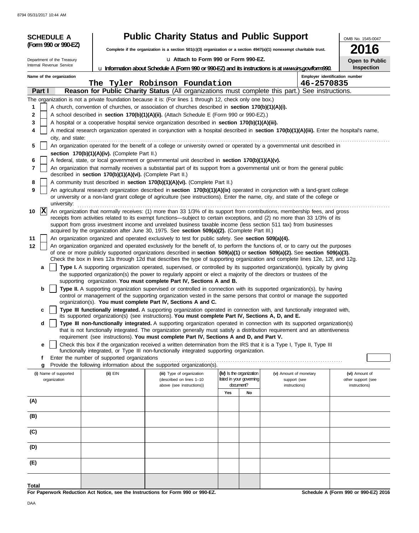|                                                                                                                                                | <b>SCHEDULE A</b>          |                                                            | <b>Public Charity Status and Public Support</b>                                                                                                                                                                                                                |                                       |                               | OMB No. 1545-0047                   |
|------------------------------------------------------------------------------------------------------------------------------------------------|----------------------------|------------------------------------------------------------|----------------------------------------------------------------------------------------------------------------------------------------------------------------------------------------------------------------------------------------------------------------|---------------------------------------|-------------------------------|-------------------------------------|
|                                                                                                                                                | (Form 990 or 990-EZ)       |                                                            | Complete if the organization is a section 501(c)(3) organization or a section 4947(a)(1) nonexempt charitable trust.                                                                                                                                           |                                       |                               | 16                                  |
|                                                                                                                                                | Department of the Treasury |                                                            | La Attach to Form 990 or Form 990-EZ.                                                                                                                                                                                                                          |                                       |                               | Open to Public                      |
| Internal Revenue Service<br>Inspection<br>La Information about Schedule A (Form 990 or 990-EZ) and its instructions is at www.irs.gov/form990. |                            |                                                            |                                                                                                                                                                                                                                                                |                                       |                               |                                     |
|                                                                                                                                                | Name of the organization   |                                                            |                                                                                                                                                                                                                                                                |                                       |                               | Employer identification number      |
|                                                                                                                                                |                            |                                                            | The Tyler Robinson Foundation                                                                                                                                                                                                                                  |                                       | 46-2570835                    |                                     |
| Part I                                                                                                                                         |                            |                                                            | Reason for Public Charity Status (All organizations must complete this part.) See instructions.                                                                                                                                                                |                                       |                               |                                     |
| 1                                                                                                                                              |                            |                                                            | The organization is not a private foundation because it is: (For lines 1 through 12, check only one box.)<br>A church, convention of churches, or association of churches described in section 170(b)(1)(A)(i).                                                |                                       |                               |                                     |
| 2                                                                                                                                              |                            |                                                            | A school described in section 170(b)(1)(A)(ii). (Attach Schedule E (Form 990 or 990-EZ).)                                                                                                                                                                      |                                       |                               |                                     |
| 3                                                                                                                                              |                            |                                                            | A hospital or a cooperative hospital service organization described in section 170(b)(1)(A)(iii).                                                                                                                                                              |                                       |                               |                                     |
| 4                                                                                                                                              |                            |                                                            | A medical research organization operated in conjunction with a hospital described in section 170(b)(1)(A)(iii). Enter the hospital's name,                                                                                                                     |                                       |                               |                                     |
|                                                                                                                                                | city, and state:           |                                                            |                                                                                                                                                                                                                                                                |                                       |                               |                                     |
| 5                                                                                                                                              |                            |                                                            | An organization operated for the benefit of a college or university owned or operated by a governmental unit described in                                                                                                                                      |                                       |                               |                                     |
| 6                                                                                                                                              |                            | section 170(b)(1)(A)(iv). (Complete Part II.)              | A federal, state, or local government or governmental unit described in section 170(b)(1)(A)(v).                                                                                                                                                               |                                       |                               |                                     |
| 7                                                                                                                                              |                            | described in section 170(b)(1)(A)(vi). (Complete Part II.) | An organization that normally receives a substantial part of its support from a governmental unit or from the general public                                                                                                                                   |                                       |                               |                                     |
| 8                                                                                                                                              |                            |                                                            | A community trust described in section 170(b)(1)(A)(vi). (Complete Part II.)                                                                                                                                                                                   |                                       |                               |                                     |
| 9                                                                                                                                              |                            |                                                            | An agricultural research organization described in section 170(b)(1)(A)(ix) operated in conjunction with a land-grant college                                                                                                                                  |                                       |                               |                                     |
|                                                                                                                                                | university:                |                                                            | or university or a non-land grant college of agriculture (see instructions). Enter the name, city, and state of the college or                                                                                                                                 |                                       |                               |                                     |
| $ {\bf X} $<br>10                                                                                                                              |                            |                                                            | An organization that normally receives: (1) more than 33 1/3% of its support from contributions, membership fees, and gross                                                                                                                                    |                                       |                               |                                     |
|                                                                                                                                                |                            |                                                            | receipts from activities related to its exempt functions—subject to certain exceptions, and (2) no more than 33 1/3% of its                                                                                                                                    |                                       |                               |                                     |
|                                                                                                                                                |                            |                                                            | support from gross investment income and unrelated business taxable income (less section 511 tax) from businesses<br>acquired by the organization after June 30, 1975. See section 509(a)(2). (Complete Part III.)                                             |                                       |                               |                                     |
| 11                                                                                                                                             |                            |                                                            | An organization organized and operated exclusively to test for public safety. See section 509(a)(4).                                                                                                                                                           |                                       |                               |                                     |
| 12                                                                                                                                             |                            |                                                            | An organization organized and operated exclusively for the benefit of, to perform the functions of, or to carry out the purposes                                                                                                                               |                                       |                               |                                     |
|                                                                                                                                                |                            |                                                            | of one or more publicly supported organizations described in section 509(a)(1) or section 509(a)(2). See section 509(a)(3).<br>Check the box in lines 12a through 12d that describes the type of supporting organization and complete lines 12e, 12f, and 12g. |                                       |                               |                                     |
| a                                                                                                                                              |                            |                                                            | Type I. A supporting organization operated, supervised, or controlled by its supported organization(s), typically by giving                                                                                                                                    |                                       |                               |                                     |
|                                                                                                                                                |                            |                                                            | the supported organization(s) the power to regularly appoint or elect a majority of the directors or trustees of the<br>supporting organization. You must complete Part IV, Sections A and B.                                                                  |                                       |                               |                                     |
| b                                                                                                                                              |                            |                                                            | Type II. A supporting organization supervised or controlled in connection with its supported organization(s), by having                                                                                                                                        |                                       |                               |                                     |
|                                                                                                                                                |                            |                                                            | control or management of the supporting organization vested in the same persons that control or manage the supported                                                                                                                                           |                                       |                               |                                     |
| c                                                                                                                                              |                            |                                                            | organization(s). You must complete Part IV, Sections A and C.<br>Type III functionally integrated. A supporting organization operated in connection with, and functionally integrated with,                                                                    |                                       |                               |                                     |
|                                                                                                                                                |                            |                                                            | its supported organization(s) (see instructions). You must complete Part IV, Sections A, D, and E.                                                                                                                                                             |                                       |                               |                                     |
| d                                                                                                                                              |                            |                                                            | Type III non-functionally integrated. A supporting organization operated in connection with its supported organization(s)<br>that is not functionally integrated. The organization generally must satisfy a distribution requirement and an attentiveness      |                                       |                               |                                     |
|                                                                                                                                                |                            |                                                            | requirement (see instructions). You must complete Part IV, Sections A and D, and Part V.                                                                                                                                                                       |                                       |                               |                                     |
| е                                                                                                                                              |                            |                                                            | Check this box if the organization received a written determination from the IRS that it is a Type I, Type II, Type III                                                                                                                                        |                                       |                               |                                     |
| f                                                                                                                                              |                            | Enter the number of supported organizations                | functionally integrated, or Type III non-functionally integrated supporting organization.                                                                                                                                                                      |                                       |                               |                                     |
| g                                                                                                                                              |                            |                                                            | Provide the following information about the supported organization(s).                                                                                                                                                                                         |                                       |                               |                                     |
|                                                                                                                                                | (i) Name of supported      | (ii) EIN                                                   | (iii) Type of organization                                                                                                                                                                                                                                     | (iv) Is the organization              | (v) Amount of monetary        | (vi) Amount of                      |
|                                                                                                                                                | organization               |                                                            | (described on lines 1-10<br>above (see instructions))                                                                                                                                                                                                          | listed in your governing<br>document? | support (see<br>instructions) | other support (see<br>instructions) |
|                                                                                                                                                |                            |                                                            |                                                                                                                                                                                                                                                                | Yes<br>No                             |                               |                                     |
| (A)                                                                                                                                            |                            |                                                            |                                                                                                                                                                                                                                                                |                                       |                               |                                     |
| (B)                                                                                                                                            |                            |                                                            |                                                                                                                                                                                                                                                                |                                       |                               |                                     |
| (C)                                                                                                                                            |                            |                                                            |                                                                                                                                                                                                                                                                |                                       |                               |                                     |
|                                                                                                                                                |                            |                                                            |                                                                                                                                                                                                                                                                |                                       |                               |                                     |
| (D)                                                                                                                                            |                            |                                                            |                                                                                                                                                                                                                                                                |                                       |                               |                                     |
| (E)                                                                                                                                            |                            |                                                            |                                                                                                                                                                                                                                                                |                                       |                               |                                     |
|                                                                                                                                                |                            |                                                            |                                                                                                                                                                                                                                                                |                                       |                               |                                     |
| Total                                                                                                                                          |                            |                                                            |                                                                                                                                                                                                                                                                |                                       |                               |                                     |

**For Paperwork Reduction Act Notice, see the Instructions for Form 990 or 990-EZ.**

**Schedule A (Form 990 or 990-EZ) 2016**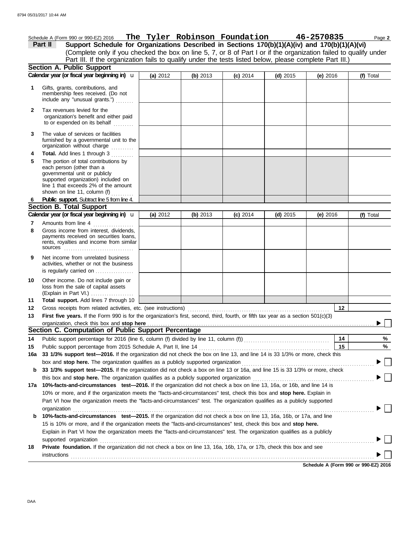|              | Schedule A (Form 990 or 990-EZ) 2016                                                                                                                                                                                                                  |          |          | The Tyler Robinson Foundation |            | 46-2570835 | Page 2    |
|--------------|-------------------------------------------------------------------------------------------------------------------------------------------------------------------------------------------------------------------------------------------------------|----------|----------|-------------------------------|------------|------------|-----------|
|              | Support Schedule for Organizations Described in Sections 170(b)(1)(A)(iv) and 170(b)(1)(A)(vi)<br>Part II                                                                                                                                             |          |          |                               |            |            |           |
|              | (Complete only if you checked the box on line 5, 7, or 8 of Part I or if the organization failed to qualify under                                                                                                                                     |          |          |                               |            |            |           |
|              | Part III. If the organization fails to qualify under the tests listed below, please complete Part III.)                                                                                                                                               |          |          |                               |            |            |           |
|              | <b>Section A. Public Support</b>                                                                                                                                                                                                                      |          |          |                               |            |            |           |
|              | Calendar year (or fiscal year beginning in) u                                                                                                                                                                                                         | (a) 2012 | (b) 2013 | $(c)$ 2014                    | $(d)$ 2015 | (e) $2016$ | (f) Total |
| 1            | Gifts, grants, contributions, and<br>membership fees received. (Do not<br>include any "unusual grants.")                                                                                                                                              |          |          |                               |            |            |           |
| $\mathbf{2}$ | Tax revenues levied for the<br>organization's benefit and either paid<br>to or expended on its behalf                                                                                                                                                 |          |          |                               |            |            |           |
| 3            | The value of services or facilities<br>furnished by a governmental unit to the<br>organization without charge                                                                                                                                         |          |          |                               |            |            |           |
| 4            | Total. Add lines 1 through 3                                                                                                                                                                                                                          |          |          |                               |            |            |           |
| 5            | The portion of total contributions by<br>each person (other than a<br>governmental unit or publicly<br>supported organization) included on<br>line 1 that exceeds 2% of the amount<br>shown on line 11, column (f)                                    |          |          |                               |            |            |           |
| 6            | Public support. Subtract line 5 from line 4.                                                                                                                                                                                                          |          |          |                               |            |            |           |
|              | <b>Section B. Total Support</b>                                                                                                                                                                                                                       |          |          |                               |            |            |           |
|              | Calendar year (or fiscal year beginning in) u                                                                                                                                                                                                         | (a) 2012 | (b) 2013 | $(c)$ 2014                    | $(d)$ 2015 | (e) $2016$ | (f) Total |
| 7<br>8       | Amounts from line 4<br>Gross income from interest, dividends,<br>payments received on securities loans,<br>rents, royalties and income from similar<br>SOUICES                                                                                        |          |          |                               |            |            |           |
| 9            | Net income from unrelated business<br>activities, whether or not the business<br>is regularly carried on                                                                                                                                              |          |          |                               |            |            |           |
| 10           | Other income. Do not include gain or<br>loss from the sale of capital assets<br>(Explain in Part VI.)                                                                                                                                                 |          |          |                               |            |            |           |
| 11           | Total support. Add lines 7 through 10                                                                                                                                                                                                                 |          |          |                               |            |            |           |
| 12           |                                                                                                                                                                                                                                                       |          |          |                               |            | 12         |           |
| 13           | First five years. If the Form 990 is for the organization's first, second, third, fourth, or fifth tax year as a section 501(c)(3)                                                                                                                    |          |          |                               |            |            |           |
|              | organization, check this box and stop here                                                                                                                                                                                                            |          |          |                               |            |            |           |
|              | Section C. Computation of Public Support Percentage                                                                                                                                                                                                   |          |          |                               |            |            |           |
| 14           |                                                                                                                                                                                                                                                       |          |          |                               |            | 14         | %         |
| 15           | Public support percentage from 2015 Schedule A, Part II, line 14                                                                                                                                                                                      |          |          |                               |            | 15         | $\%$      |
| 16a          | 33 1/3% support test-2016. If the organization did not check the box on line 13, and line 14 is 33 1/3% or more, check this                                                                                                                           |          |          |                               |            |            |           |
|              | box and stop here. The organization qualifies as a publicly supported organization                                                                                                                                                                    |          |          |                               |            |            |           |
| b            | 33 1/3% support test-2015. If the organization did not check a box on line 13 or 16a, and line 15 is 33 1/3% or more, check                                                                                                                           |          |          |                               |            |            |           |
|              | this box and stop here. The organization qualifies as a publicly supported organization                                                                                                                                                               |          |          |                               |            |            |           |
|              | 17a 10%-facts-and-circumstances test-2016. If the organization did not check a box on line 13, 16a, or 16b, and line 14 is<br>10% or more, and if the organization meets the "facts-and-circumstances" test, check this box and stop here. Explain in |          |          |                               |            |            |           |
|              | Part VI how the organization meets the "facts-and-circumstances" test. The organization qualifies as a publicly supported                                                                                                                             |          |          |                               |            |            |           |
|              | organization                                                                                                                                                                                                                                          |          |          |                               |            |            |           |
| b            | 10%-facts-and-circumstances test-2015. If the organization did not check a box on line 13, 16a, 16b, or 17a, and line                                                                                                                                 |          |          |                               |            |            |           |
|              | 15 is 10% or more, and if the organization meets the "facts-and-circumstances" test, check this box and stop here.                                                                                                                                    |          |          |                               |            |            |           |
|              | Explain in Part VI how the organization meets the "facts-and-circumstances" test. The organization qualifies as a publicly                                                                                                                            |          |          |                               |            |            |           |
|              | supported organization                                                                                                                                                                                                                                |          |          |                               |            |            |           |
| 18           | Private foundation. If the organization did not check a box on line 13, 16a, 16b, 17a, or 17b, check this box and see                                                                                                                                 |          |          |                               |            |            |           |
|              | instructions                                                                                                                                                                                                                                          |          |          |                               |            |            |           |
|              |                                                                                                                                                                                                                                                       |          |          |                               |            |            |           |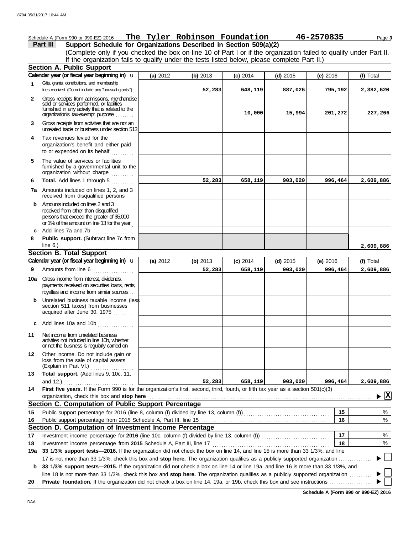|              | Schedule A (Form 990 or 990-EZ) 2016 $\;$ The Tyler Robinson Foundation                                                                                                                                                                                                                                    |            |            |            |            | 46-2570835 | Page 3    |
|--------------|------------------------------------------------------------------------------------------------------------------------------------------------------------------------------------------------------------------------------------------------------------------------------------------------------------|------------|------------|------------|------------|------------|-----------|
|              | <b>Part III</b><br>Support Schedule for Organizations Described in Section 509(a)(2)<br>(Complete only if you checked the box on line 10 of Part I or if the organization failed to qualify under Part II.<br>If the organization fails to qualify under the tests listed below, please complete Part II.) |            |            |            |            |            |           |
|              | <b>Section A. Public Support</b>                                                                                                                                                                                                                                                                           |            |            |            |            |            |           |
|              | Calendar year (or fiscal year beginning in) u                                                                                                                                                                                                                                                              | (a) $2012$ | (b) $2013$ | $(c)$ 2014 | (d) $2015$ | (e) $2016$ | (f) Total |
| 1            | Gifts, grants, contributions, and membership<br>fees received. (Do not include any "unusual grants.")                                                                                                                                                                                                      |            | 52,283     | 648,119    | 887,026    | 795,192    | 2,382,620 |
| $\mathbf{2}$ | Gross receipts from admissions, merchandise<br>sold or services performed, or facilities<br>fumished in any activity that is related to the<br>organization's tax-exempt purpose                                                                                                                           |            |            | 10,000     | 15,994     | 201,272    | 227,266   |
| 3            | Gross receipts from activities that are not an<br>unrelated trade or business under section 513                                                                                                                                                                                                            |            |            |            |            |            |           |
| 4            | Tax revenues levied for the<br>organization's benefit and either paid<br>to or expended on its behalf                                                                                                                                                                                                      |            |            |            |            |            |           |
| 5            | The value of services or facilities<br>furnished by a governmental unit to the<br>organization without charge                                                                                                                                                                                              |            |            |            |            |            |           |
| 6            | Total. Add lines 1 through 5                                                                                                                                                                                                                                                                               |            | 52,283     | 658,119    | 903,020    | 996,464    | 2,609,886 |
| 7а           | Amounts included on lines 1, 2, and 3                                                                                                                                                                                                                                                                      |            |            |            |            |            |           |

| 1а | Allivulus illuluded VII lilles T, Z, allu J<br>received from disqualified persons                                                                                       |          |          |            |            |            |           |  |  |  |  |  |
|----|-------------------------------------------------------------------------------------------------------------------------------------------------------------------------|----------|----------|------------|------------|------------|-----------|--|--|--|--|--|
| b. | Amounts included on lines 2 and 3<br>received from other than disqualified<br>persons that exceed the greater of \$5,000<br>or 1% of the amount on line 13 for the year |          |          |            |            |            |           |  |  |  |  |  |
|    | c Add lines 7a and 7b                                                                                                                                                   |          |          |            |            |            |           |  |  |  |  |  |
| 8  | <b>Public support.</b> (Subtract line 7c from                                                                                                                           |          |          |            |            |            |           |  |  |  |  |  |
|    | line $6.$ )                                                                                                                                                             |          |          |            |            |            | 2,609,886 |  |  |  |  |  |
|    | <b>Section B. Total Support</b>                                                                                                                                         |          |          |            |            |            |           |  |  |  |  |  |
|    | Calendar year (or fiscal year beginning in) u                                                                                                                           | (a) 2012 | (b) 2013 | $(c)$ 2014 | $(d)$ 2015 | (e) $2016$ | (f) Total |  |  |  |  |  |
| 9  | Amounts from line 6                                                                                                                                                     |          | 52,283   | 658,119    | 903,020    | 996,464    | 2,609,886 |  |  |  |  |  |

| 9   | Amounts from line 6                                                                                                                                            | 52,283 | 658,119 | 903,020 | 996,464 | 2,609,886 |  |  |
|-----|----------------------------------------------------------------------------------------------------------------------------------------------------------------|--------|---------|---------|---------|-----------|--|--|
| 10a | Gross income from interest, dividends,<br>payments received on securities loans, rents,<br>royalties and income from similar sources                           |        |         |         |         |           |  |  |
|     | Unrelated business taxable income (less<br>section 511 taxes) from businesses<br>acquired after June 30, 1975                                                  |        |         |         |         |           |  |  |
|     | Add lines 10a and 10b                                                                                                                                          |        |         |         |         |           |  |  |
| 11  | Net income from unrelated business<br>activities not included in line 10b, whether<br>or not the business is regularly carried on                              |        |         |         |         |           |  |  |
| 12  | Other income. Do not include gain or<br>loss from the sale of capital assets<br>(Explain in Part VI.)                                                          |        |         |         |         |           |  |  |
| 13  | Total support. (Add lines 9, 10c, 11,                                                                                                                          |        |         |         |         |           |  |  |
|     | and 12.) $\ldots$                                                                                                                                              | 52,283 | 658,119 | 903,020 | 996,464 | 2,609,886 |  |  |
| 14  | First five years. If the Form 990 is for the organization's first, second, third, fourth, or fifth tax year as a section 501(c)(3)<br>$\overline{\phantom{0}}$ |        |         |         |         |           |  |  |

|    | organization, check this box and stop here <b>construct the construct of the construct of the construct of the construct of the construct of the construct of the construct of the construct of the construction of the construc</b> |    | $\mathbf{E}$               |
|----|--------------------------------------------------------------------------------------------------------------------------------------------------------------------------------------------------------------------------------------|----|----------------------------|
|    | Section C. Computation of Public Support Percentage                                                                                                                                                                                  |    |                            |
| 15 | Public support percentage for 2016 (line 8, column (f) divided by line 13, column (f))                                                                                                                                               | 15 | %                          |
| 16 |                                                                                                                                                                                                                                      | 16 | %                          |
|    | Section D. Computation of Investment Income Percentage                                                                                                                                                                               |    |                            |
| 17 | Investment income percentage for 2016 (line 10c, column (f) divided by line 13, column (f))                                                                                                                                          | 17 | %                          |
| 18 | Investment income percentage from 2015 Schedule A, Part III, line 17                                                                                                                                                                 | 18 | %                          |
|    | 19a 33 1/3% support tests—2016. If the organization did not check the box on line 14, and line 15 is more than 33 1/3%, and line                                                                                                     |    |                            |
|    | 17 is not more than 33 1/3%, check this box and <b>stop here.</b> The organization qualifies as a publicly supported organization                                                                                                    |    | $\blacktriangleright \Box$ |
| b  | 33 1/3% support tests—2015. If the organization did not check a box on line 14 or line 19a, and line 16 is more than 33 1/3%, and                                                                                                    |    |                            |
|    | line 18 is not more than 33 1/3%, check this box and <b>stop here.</b> The organization qualifies as a publicly supported organization                                                                                               |    |                            |
| 20 | <b>Private foundation.</b> If the organization did not check a box on line 14, 19a, or 19b, check this box and see instructions                                                                                                      |    |                            |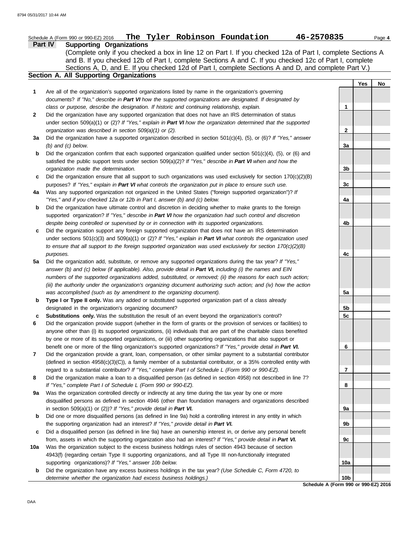|     | Schedule A (Form 990 or 990-EZ) 2016 The Tyler Robinson Foundation<br>46-2570835                                    |                 |            | Page 4 |
|-----|---------------------------------------------------------------------------------------------------------------------|-----------------|------------|--------|
|     | <b>Part IV</b><br><b>Supporting Organizations</b>                                                                   |                 |            |        |
|     | (Complete only if you checked a box in line 12 on Part I. If you checked 12a of Part I, complete Sections A         |                 |            |        |
|     | and B. If you checked 12b of Part I, complete Sections A and C. If you checked 12c of Part I, complete              |                 |            |        |
|     | Sections A, D, and E. If you checked 12d of Part I, complete Sections A and D, and complete Part V.)                |                 |            |        |
|     | Section A. All Supporting Organizations                                                                             |                 |            |        |
|     |                                                                                                                     |                 | <b>Yes</b> | No     |
| 1   | Are all of the organization's supported organizations listed by name in the organization's governing                |                 |            |        |
|     | documents? If "No," describe in Part VI how the supported organizations are designated. If designated by            |                 |            |        |
|     | class or purpose, describe the designation. If historic and continuing relationship, explain.                       | 1               |            |        |
| 2   | Did the organization have any supported organization that does not have an IRS determination of status              |                 |            |        |
|     | under section 509(a)(1) or (2)? If "Yes," explain in Part VI how the organization determined that the supported     |                 |            |        |
|     | organization was described in section 509(a)(1) or (2).                                                             | $\mathbf{2}$    |            |        |
| За  | Did the organization have a supported organization described in section $501(c)(4)$ , (5), or (6)? If "Yes," answer |                 |            |        |
|     | $(b)$ and $(c)$ below.                                                                                              | 3a              |            |        |
| b   | Did the organization confirm that each supported organization qualified under section $501(c)(4)$ , (5), or (6) and |                 |            |        |
|     | satisfied the public support tests under section 509(a)(2)? If "Yes," describe in Part VI when and how the          |                 |            |        |
|     | organization made the determination.                                                                                | 3b              |            |        |
| c   | Did the organization ensure that all support to such organizations was used exclusively for section $170(c)(2)(B)$  |                 |            |        |
|     | purposes? If "Yes," explain in Part VI what controls the organization put in place to ensure such use.              | 3c              |            |        |
| 4a  | Was any supported organization not organized in the United States ("foreign supported organization")? If            |                 |            |        |
|     | "Yes," and if you checked 12a or 12b in Part I, answer (b) and (c) below.                                           | 4a              |            |        |
| b   | Did the organization have ultimate control and discretion in deciding whether to make grants to the foreign         |                 |            |        |
|     | supported organization? If "Yes," describe in Part VI how the organization had such control and discretion          |                 |            |        |
|     | despite being controlled or supervised by or in connection with its supported organizations.                        | 4b              |            |        |
| С   | Did the organization support any foreign supported organization that does not have an IRS determination             |                 |            |        |
|     | under sections $501(c)(3)$ and $509(a)(1)$ or (2)? If "Yes," explain in Part VI what controls the organization used |                 |            |        |
|     | to ensure that all support to the foreign supported organization was used exclusively for section $170(c)(2)(B)$    |                 |            |        |
|     | purposes.                                                                                                           | 4с              |            |        |
| 5a  | Did the organization add, substitute, or remove any supported organizations during the tax year? If "Yes,"          |                 |            |        |
|     | answer (b) and (c) below (if applicable). Also, provide detail in Part VI, including (i) the names and EIN          |                 |            |        |
|     | numbers of the supported organizations added, substituted, or removed; (ii) the reasons for each such action;       |                 |            |        |
|     | (iii) the authority under the organization's organizing document authorizing such action; and (iv) how the action   |                 |            |        |
|     | was accomplished (such as by amendment to the organizing document).                                                 | 5a              |            |        |
| b   | Type I or Type II only. Was any added or substituted supported organization part of a class already                 |                 |            |        |
|     | designated in the organization's organizing document?                                                               | 5 <sub>b</sub>  |            |        |
|     | Substitutions only. Was the substitution the result of an event beyond the organization's control?                  | 5c              |            |        |
|     | Did the organization provide support (whether in the form of grants or the provision of services or facilities) to  |                 |            |        |
|     | anyone other than (i) its supported organizations, (ii) individuals that are part of the charitable class benefited |                 |            |        |
|     | by one or more of its supported organizations, or (iii) other supporting organizations that also support or         |                 |            |        |
|     | benefit one or more of the filing organization's supported organizations? If "Yes," provide detail in Part VI.      | 6               |            |        |
| 7   | Did the organization provide a grant, loan, compensation, or other similar payment to a substantial contributor     |                 |            |        |
|     | (defined in section 4958(c)(3)(C)), a family member of a substantial contributor, or a 35% controlled entity with   |                 |            |        |
|     | regard to a substantial contributor? If "Yes," complete Part I of Schedule L (Form 990 or 990-EZ).                  | 7               |            |        |
| 8   | Did the organization make a loan to a disqualified person (as defined in section 4958) not described in line 7?     |                 |            |        |
|     | If "Yes," complete Part I of Schedule L (Form 990 or 990-EZ).                                                       | 8               |            |        |
| 9a  | Was the organization controlled directly or indirectly at any time during the tax year by one or more               |                 |            |        |
|     | disqualified persons as defined in section 4946 (other than foundation managers and organizations described         |                 |            |        |
|     | in section 509(a)(1) or (2))? If "Yes," provide detail in Part VI.                                                  | 9а              |            |        |
| b   | Did one or more disqualified persons (as defined in line 9a) hold a controlling interest in any entity in which     |                 |            |        |
|     | the supporting organization had an interest? If "Yes," provide detail in Part VI.                                   | 9b              |            |        |
| c   | Did a disqualified person (as defined in line 9a) have an ownership interest in, or derive any personal benefit     |                 |            |        |
|     | from, assets in which the supporting organization also had an interest? If "Yes," provide detail in Part VI.        | 9c              |            |        |
| 10a | Was the organization subject to the excess business holdings rules of section 4943 because of section               |                 |            |        |
|     | 4943(f) (regarding certain Type II supporting organizations, and all Type III non-functionally integrated           |                 |            |        |
|     | supporting organizations)? If "Yes," answer 10b below.                                                              | 10a             |            |        |
| b   | Did the organization have any excess business holdings in the tax year? (Use Schedule C, Form 4720, to              |                 |            |        |
|     | determine whether the organization had excess business holdings.)                                                   | 10 <sub>b</sub> |            |        |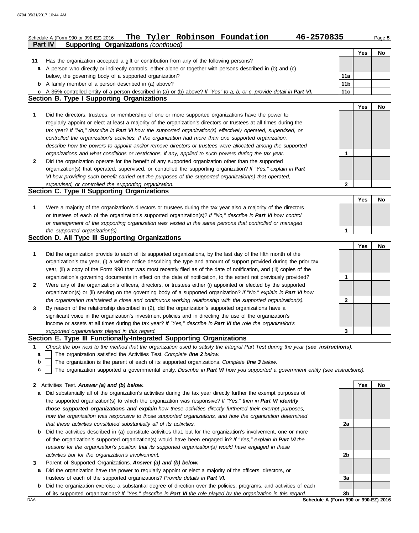|              | The Tyler Robinson Foundation<br>46-2570835<br>Schedule A (Form 990 or 990-EZ) 2016                                                                                                                                 |                 |     | Page 5 |
|--------------|---------------------------------------------------------------------------------------------------------------------------------------------------------------------------------------------------------------------|-----------------|-----|--------|
|              | <b>Supporting Organizations (continued)</b><br>Part IV                                                                                                                                                              |                 |     |        |
| 11           | Has the organization accepted a gift or contribution from any of the following persons?                                                                                                                             |                 | Yes | No     |
| a            | A person who directly or indirectly controls, either alone or together with persons described in (b) and (c)                                                                                                        |                 |     |        |
|              | below, the governing body of a supported organization?                                                                                                                                                              | 11a             |     |        |
|              | <b>b</b> A family member of a person described in (a) above?                                                                                                                                                        | 11 <sub>b</sub> |     |        |
|              | c A 35% controlled entity of a person described in (a) or (b) above? If "Yes" to a, b, or c, provide detail in Part VI.                                                                                             | 11c             |     |        |
|              | <b>Section B. Type I Supporting Organizations</b>                                                                                                                                                                   |                 |     |        |
|              |                                                                                                                                                                                                                     |                 | Yes | No     |
| 1            | Did the directors, trustees, or membership of one or more supported organizations have the power to                                                                                                                 |                 |     |        |
|              | regularly appoint or elect at least a majority of the organization's directors or trustees at all times during the                                                                                                  |                 |     |        |
|              | tax year? If "No," describe in Part VI how the supported organization(s) effectively operated, supervised, or                                                                                                       |                 |     |        |
|              | controlled the organization's activities. If the organization had more than one supported organization,                                                                                                             |                 |     |        |
|              | describe how the powers to appoint and/or remove directors or trustees were allocated among the supported                                                                                                           |                 |     |        |
|              | organizations and what conditions or restrictions, if any, applied to such powers during the tax year.                                                                                                              | 1               |     |        |
| $\mathbf{2}$ | Did the organization operate for the benefit of any supported organization other than the supported                                                                                                                 |                 |     |        |
|              | organization(s) that operated, supervised, or controlled the supporting organization? If "Yes," explain in Part                                                                                                     |                 |     |        |
|              | VI how providing such benefit carried out the purposes of the supported organization(s) that operated,                                                                                                              |                 |     |        |
|              | supervised, or controlled the supporting organization.                                                                                                                                                              | $\mathbf{2}$    |     |        |
|              | Section C. Type II Supporting Organizations                                                                                                                                                                         |                 |     |        |
|              |                                                                                                                                                                                                                     |                 | Yes | No     |
| 1            | Were a majority of the organization's directors or trustees during the tax year also a majority of the directors                                                                                                    |                 |     |        |
|              | or trustees of each of the organization's supported organization(s)? If "No," describe in Part VI how control                                                                                                       |                 |     |        |
|              | or management of the supporting organization was vested in the same persons that controlled or managed                                                                                                              |                 |     |        |
|              | the supported organization(s).                                                                                                                                                                                      | 1               |     |        |
|              | Section D. All Type III Supporting Organizations                                                                                                                                                                    |                 |     |        |
|              |                                                                                                                                                                                                                     |                 | Yes | No     |
| 1            | Did the organization provide to each of its supported organizations, by the last day of the fifth month of the                                                                                                      |                 |     |        |
|              | organization's tax year, (i) a written notice describing the type and amount of support provided during the prior tax                                                                                               |                 |     |        |
|              | year, (ii) a copy of the Form 990 that was most recently filed as of the date of notification, and (iii) copies of the                                                                                              |                 |     |        |
|              | organization's governing documents in effect on the date of notification, to the extent not previously provided?                                                                                                    | 1               |     |        |
| 2            | Were any of the organization's officers, directors, or trustees either (i) appointed or elected by the supported                                                                                                    |                 |     |        |
|              | organization(s) or (ii) serving on the governing body of a supported organization? If "No," explain in Part VI how                                                                                                  | $\mathbf{2}$    |     |        |
|              | the organization maintained a close and continuous working relationship with the supported organization(s).                                                                                                         |                 |     |        |
| 3            | By reason of the relationship described in (2), did the organization's supported organizations have a<br>significant voice in the organization's investment policies and in directing the use of the organization's |                 |     |        |
|              | income or assets at all times during the tax year? If "Yes," describe in Part VI the role the organization's                                                                                                        |                 |     |        |
|              | supported organizations played in this regard.                                                                                                                                                                      | 3               |     |        |
|              | Section E. Type III Functionally-Integrated Supporting Organizations                                                                                                                                                |                 |     |        |
| 1            | Check the box next to the method that the organization used to satisfy the Integral Part Test during the year (see instructions).                                                                                   |                 |     |        |
| a            | The organization satisfied the Activities Test. Complete line 2 below.                                                                                                                                              |                 |     |        |
| b            | The organization is the parent of each of its supported organizations. Complete line 3 below.                                                                                                                       |                 |     |        |
| c            | The organization supported a governmental entity. Describe in Part VI how you supported a government entity (see instructions).                                                                                     |                 |     |        |
|              |                                                                                                                                                                                                                     |                 |     |        |
|              | 2 Activities Test. Answer (a) and (b) below.                                                                                                                                                                        |                 | Yes | No     |
| a            | Did substantially all of the organization's activities during the tax year directly further the exempt purposes of                                                                                                  |                 |     |        |
|              | the supported organization(s) to which the organization was responsive? If "Yes," then in Part VI identify                                                                                                          |                 |     |        |
|              | those supported organizations and explain how these activities directly furthered their exempt purposes,                                                                                                            |                 |     |        |
|              | how the organization was responsive to those supported organizations, and how the organization determined                                                                                                           |                 |     |        |
|              | that these activities constituted substantially all of its activities.                                                                                                                                              | 2a              |     |        |
| b            | Did the activities described in (a) constitute activities that, but for the organization's involvement, one or more                                                                                                 |                 |     |        |
|              | of the organization's supported organization(s) would have been engaged in? If "Yes," explain in Part VI the                                                                                                        |                 |     |        |
|              | reasons for the organization's position that its supported organization(s) would have engaged in these                                                                                                              |                 |     |        |
|              | activities but for the organization's involvement.                                                                                                                                                                  | 2b              |     |        |

- **3** Parent of Supported Organizations. *Answer (a) and (b) below.*
	- **a** Did the organization have the power to regularly appoint or elect a majority of the officers, directors, or trustees of each of the supported organizations? *Provide details in Part VI.*
	- **b** Did the organization exercise a substantial degree of direction over the policies, programs, and activities of each of its supported organizations? *If "Yes," describe in Part VI the role played by the organization in this regard.*

DAA **SChedule A (Form 990 or 990-EZ) 2016 3b**

**3a**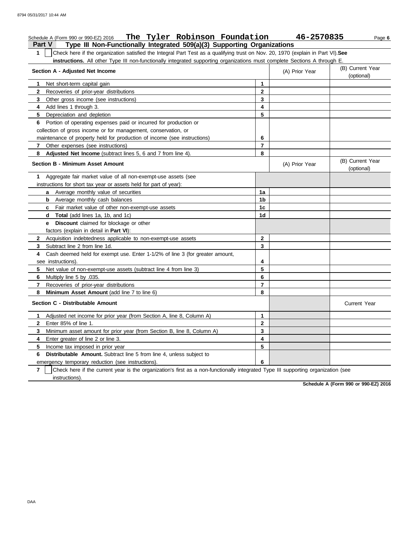| The Tyler Robinson Foundation<br>Schedule A (Form 990 or 990-EZ) 2016                                                                           |                | 46-2570835     | Page 6                         |  |  |  |  |  |
|-------------------------------------------------------------------------------------------------------------------------------------------------|----------------|----------------|--------------------------------|--|--|--|--|--|
| <b>Part V</b><br>Type III Non-Functionally Integrated 509(a)(3) Supporting Organizations                                                        |                |                |                                |  |  |  |  |  |
| Check here if the organization satisfied the Integral Part Test as a qualifying trust on Nov. 20, 1970 (explain in Part VI). See<br>$\mathbf 1$ |                |                |                                |  |  |  |  |  |
| instructions. All other Type III non-functionally integrated supporting organizations must complete Sections A through E.                       |                |                |                                |  |  |  |  |  |
| Section A - Adjusted Net Income                                                                                                                 |                | (A) Prior Year | (B) Current Year<br>(optional) |  |  |  |  |  |
| Net short-term capital gain<br>1.                                                                                                               | 1              |                |                                |  |  |  |  |  |
| 2<br>Recoveries of prior-year distributions                                                                                                     | $\mathbf{2}$   |                |                                |  |  |  |  |  |
| 3<br>Other gross income (see instructions)                                                                                                      | 3              |                |                                |  |  |  |  |  |
| Add lines 1 through 3.<br>4                                                                                                                     | 4              |                |                                |  |  |  |  |  |
| Depreciation and depletion<br>5                                                                                                                 | 5              |                |                                |  |  |  |  |  |
| Portion of operating expenses paid or incurred for production or<br>6                                                                           |                |                |                                |  |  |  |  |  |
| collection of gross income or for management, conservation, or                                                                                  |                |                |                                |  |  |  |  |  |
| maintenance of property held for production of income (see instructions)                                                                        | 6              |                |                                |  |  |  |  |  |
| Other expenses (see instructions)<br>7                                                                                                          | 7              |                |                                |  |  |  |  |  |
| Adjusted Net Income (subtract lines 5, 6 and 7 from line 4).<br>8                                                                               | 8              |                |                                |  |  |  |  |  |
| <b>Section B - Minimum Asset Amount</b>                                                                                                         |                | (A) Prior Year | (B) Current Year<br>(optional) |  |  |  |  |  |
| Aggregate fair market value of all non-exempt-use assets (see<br>1.                                                                             |                |                |                                |  |  |  |  |  |
| instructions for short tax year or assets held for part of year):                                                                               |                |                |                                |  |  |  |  |  |
| a Average monthly value of securities                                                                                                           | 1a             |                |                                |  |  |  |  |  |
| <b>b</b> Average monthly cash balances                                                                                                          | 1b             |                |                                |  |  |  |  |  |
| Fair market value of other non-exempt-use assets<br>C.                                                                                          | 1c             |                |                                |  |  |  |  |  |
| <b>Total</b> (add lines 1a, 1b, and 1c)<br>d                                                                                                    | 1d             |                |                                |  |  |  |  |  |
| <b>Discount</b> claimed for blockage or other<br>е                                                                                              |                |                |                                |  |  |  |  |  |
| factors (explain in detail in Part VI):                                                                                                         |                |                |                                |  |  |  |  |  |
| Acquisition indebtedness applicable to non-exempt-use assets<br>$\mathbf{2}$                                                                    | $\mathbf{2}$   |                |                                |  |  |  |  |  |
| Subtract line 2 from line 1d.<br>3                                                                                                              | 3              |                |                                |  |  |  |  |  |
| Cash deemed held for exempt use. Enter 1-1/2% of line 3 (for greater amount,<br>4                                                               |                |                |                                |  |  |  |  |  |
| see instructions)                                                                                                                               | 4              |                |                                |  |  |  |  |  |
| Net value of non-exempt-use assets (subtract line 4 from line 3)<br>5                                                                           | 5              |                |                                |  |  |  |  |  |
| Multiply line 5 by .035.<br>6                                                                                                                   | 6              |                |                                |  |  |  |  |  |
| Recoveries of prior-year distributions<br>7                                                                                                     | $\overline{7}$ |                |                                |  |  |  |  |  |
| Minimum Asset Amount (add line 7 to line 6)<br>8                                                                                                | 8              |                |                                |  |  |  |  |  |
| Section C - Distributable Amount                                                                                                                |                |                | <b>Current Year</b>            |  |  |  |  |  |
| Adjusted net income for prior year (from Section A, line 8, Column A)<br>1.                                                                     | 1              |                |                                |  |  |  |  |  |
| Enter 85% of line 1.<br>2                                                                                                                       | $\mathbf 2$    |                |                                |  |  |  |  |  |
| Minimum asset amount for prior year (from Section B, line 8, Column A)<br>3                                                                     | 3              |                |                                |  |  |  |  |  |
| 4<br>Enter greater of line 2 or line 3.                                                                                                         | 4              |                |                                |  |  |  |  |  |
| 5<br>Income tax imposed in prior year                                                                                                           | 5              |                |                                |  |  |  |  |  |
| Distributable Amount. Subtract line 5 from line 4, unless subject to<br>6                                                                       |                |                |                                |  |  |  |  |  |
| emergency temporary reduction (see instructions).                                                                                               | 6              |                |                                |  |  |  |  |  |
| 7<br>Check here if the current year is the organization's first as a non-functionally integrated Type III supporting organization (see          |                |                |                                |  |  |  |  |  |
| instructions).                                                                                                                                  |                |                |                                |  |  |  |  |  |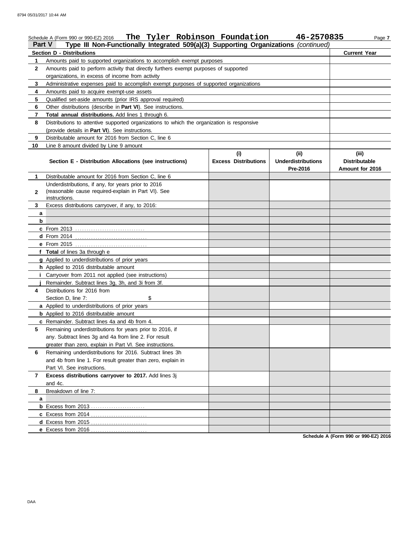| <b>Part V</b> | The Tyler Robinson Foundation<br>Schedule A (Form 990 or 990-EZ) 2016<br>Type III Non-Functionally Integrated 509(a)(3) Supporting Organizations (continued) |                             | 46-2570835                | Page 7               |
|---------------|--------------------------------------------------------------------------------------------------------------------------------------------------------------|-----------------------------|---------------------------|----------------------|
|               | <b>Section D - Distributions</b>                                                                                                                             |                             |                           | <b>Current Year</b>  |
| 1             | Amounts paid to supported organizations to accomplish exempt purposes                                                                                        |                             |                           |                      |
| $\mathbf{2}$  | Amounts paid to perform activity that directly furthers exempt purposes of supported                                                                         |                             |                           |                      |
|               | organizations, in excess of income from activity                                                                                                             |                             |                           |                      |
| 3             | Administrative expenses paid to accomplish exempt purposes of supported organizations                                                                        |                             |                           |                      |
| 4             | Amounts paid to acquire exempt-use assets                                                                                                                    |                             |                           |                      |
| 5             | Qualified set-aside amounts (prior IRS approval required)                                                                                                    |                             |                           |                      |
| 6             | Other distributions (describe in Part VI). See instructions.                                                                                                 |                             |                           |                      |
| 7             | Total annual distributions. Add lines 1 through 6.                                                                                                           |                             |                           |                      |
| 8             | Distributions to attentive supported organizations to which the organization is responsive                                                                   |                             |                           |                      |
|               | (provide details in Part VI). See instructions.                                                                                                              |                             |                           |                      |
| 9             | Distributable amount for 2016 from Section C, line 6                                                                                                         |                             |                           |                      |
| 10            | Line 8 amount divided by Line 9 amount                                                                                                                       |                             |                           |                      |
|               |                                                                                                                                                              | (i)                         | (ii)                      | (iii)                |
|               | Section E - Distribution Allocations (see instructions)                                                                                                      | <b>Excess Distributions</b> | <b>Underdistributions</b> | <b>Distributable</b> |
|               |                                                                                                                                                              |                             | Pre-2016                  | Amount for 2016      |
| $\mathbf 1$   | Distributable amount for 2016 from Section C, line 6                                                                                                         |                             |                           |                      |
|               | Underdistributions, if any, for years prior to 2016                                                                                                          |                             |                           |                      |
| $\mathbf{2}$  | (reasonable cause required-explain in Part VI). See                                                                                                          |                             |                           |                      |
|               | instructions.                                                                                                                                                |                             |                           |                      |
| 3             | Excess distributions carryover, if any, to 2016:                                                                                                             |                             |                           |                      |
| а             |                                                                                                                                                              |                             |                           |                      |
| b             |                                                                                                                                                              |                             |                           |                      |
|               | <b>c</b> From 2013                                                                                                                                           |                             |                           |                      |
|               |                                                                                                                                                              |                             |                           |                      |
|               |                                                                                                                                                              |                             |                           |                      |
|               | f Total of lines 3a through e                                                                                                                                |                             |                           |                      |
|               | g Applied to underdistributions of prior years                                                                                                               |                             |                           |                      |
|               | h Applied to 2016 distributable amount<br>i Carryover from 2011 not applied (see instructions)                                                               |                             |                           |                      |
|               | Remainder. Subtract lines 3g, 3h, and 3i from 3f.                                                                                                            |                             |                           |                      |
| 4             | Distributions for 2016 from                                                                                                                                  |                             |                           |                      |
|               | Section D, line 7:<br>\$                                                                                                                                     |                             |                           |                      |
|               | a Applied to underdistributions of prior years                                                                                                               |                             |                           |                      |
|               | <b>b</b> Applied to 2016 distributable amount                                                                                                                |                             |                           |                      |
|               | c Remainder. Subtract lines 4a and 4b from 4.                                                                                                                |                             |                           |                      |
| 5             | Remaining underdistributions for years prior to 2016, if                                                                                                     |                             |                           |                      |
|               | any. Subtract lines 3g and 4a from line 2. For result                                                                                                        |                             |                           |                      |
|               | greater than zero, explain in Part VI. See instructions.                                                                                                     |                             |                           |                      |
| 6             | Remaining underdistributions for 2016. Subtract lines 3h                                                                                                     |                             |                           |                      |
|               | and 4b from line 1. For result greater than zero, explain in                                                                                                 |                             |                           |                      |
|               | Part VI. See instructions.                                                                                                                                   |                             |                           |                      |
| 7             | Excess distributions carryover to 2017. Add lines 3j                                                                                                         |                             |                           |                      |
|               | and 4c.                                                                                                                                                      |                             |                           |                      |
| 8             | Breakdown of line 7:                                                                                                                                         |                             |                           |                      |
| а             |                                                                                                                                                              |                             |                           |                      |
|               |                                                                                                                                                              |                             |                           |                      |
|               | <b>c</b> Excess from 2014                                                                                                                                    |                             |                           |                      |
|               | d Excess from 2015.                                                                                                                                          |                             |                           |                      |
|               | e Excess from 2016<br>.                                                                                                                                      |                             |                           |                      |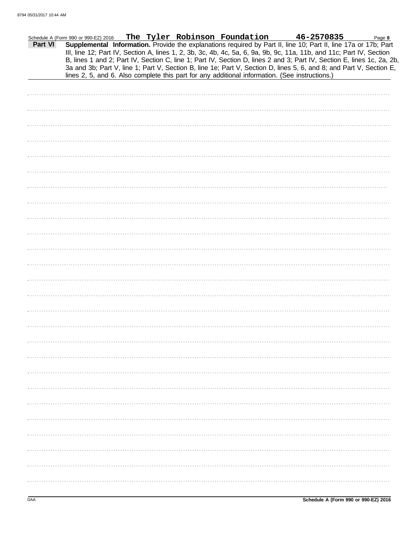|         | Schedule A (Form 990 or 990-EZ) 2016 | The Tyler Robinson Foundation |                                                                                                | 46-2570835                                                                                                                                                                                                                                                                                                                                                        | Page 8 |
|---------|--------------------------------------|-------------------------------|------------------------------------------------------------------------------------------------|-------------------------------------------------------------------------------------------------------------------------------------------------------------------------------------------------------------------------------------------------------------------------------------------------------------------------------------------------------------------|--------|
| Part VI |                                      |                               |                                                                                                | Supplemental Information. Provide the explanations required by Part II, line 10; Part II, line 17a or 17b; Part<br>III, line 12; Part IV, Section A, lines 1, 2, 3b, 3c, 4b, 4c, 5a, 6, 9a, 9b, 9c, 11a, 11b, and 11c; Part IV, Section<br>B, lines 1 and 2; Part IV, Section C, line 1; Part IV, Section D, lines 2 and 3; Part IV, Section E, lines 1c, 2a, 2b, |        |
|         |                                      |                               | lines 2, 5, and 6. Also complete this part for any additional information. (See instructions.) | 3a and 3b; Part V, line 1; Part V, Section B, line 1e; Part V, Section D, lines 5, 6, and 8; and Part V, Section E,                                                                                                                                                                                                                                               |        |
|         |                                      |                               |                                                                                                |                                                                                                                                                                                                                                                                                                                                                                   |        |
|         |                                      |                               |                                                                                                |                                                                                                                                                                                                                                                                                                                                                                   |        |
|         |                                      |                               |                                                                                                |                                                                                                                                                                                                                                                                                                                                                                   |        |
|         |                                      |                               |                                                                                                |                                                                                                                                                                                                                                                                                                                                                                   |        |
|         |                                      |                               |                                                                                                |                                                                                                                                                                                                                                                                                                                                                                   |        |
|         |                                      |                               |                                                                                                |                                                                                                                                                                                                                                                                                                                                                                   |        |
|         |                                      |                               |                                                                                                |                                                                                                                                                                                                                                                                                                                                                                   |        |
|         |                                      |                               |                                                                                                |                                                                                                                                                                                                                                                                                                                                                                   |        |
|         |                                      |                               |                                                                                                |                                                                                                                                                                                                                                                                                                                                                                   |        |
|         |                                      |                               |                                                                                                |                                                                                                                                                                                                                                                                                                                                                                   |        |
|         |                                      |                               |                                                                                                |                                                                                                                                                                                                                                                                                                                                                                   |        |
|         |                                      |                               |                                                                                                |                                                                                                                                                                                                                                                                                                                                                                   |        |
|         |                                      |                               |                                                                                                |                                                                                                                                                                                                                                                                                                                                                                   |        |
|         |                                      |                               |                                                                                                |                                                                                                                                                                                                                                                                                                                                                                   |        |
|         |                                      |                               |                                                                                                |                                                                                                                                                                                                                                                                                                                                                                   |        |
|         |                                      |                               |                                                                                                |                                                                                                                                                                                                                                                                                                                                                                   |        |
|         |                                      |                               |                                                                                                |                                                                                                                                                                                                                                                                                                                                                                   |        |
|         |                                      |                               |                                                                                                |                                                                                                                                                                                                                                                                                                                                                                   |        |
|         |                                      |                               |                                                                                                |                                                                                                                                                                                                                                                                                                                                                                   |        |
|         |                                      |                               |                                                                                                |                                                                                                                                                                                                                                                                                                                                                                   |        |
|         |                                      |                               |                                                                                                |                                                                                                                                                                                                                                                                                                                                                                   |        |
|         |                                      |                               |                                                                                                |                                                                                                                                                                                                                                                                                                                                                                   |        |
|         |                                      |                               |                                                                                                |                                                                                                                                                                                                                                                                                                                                                                   |        |
|         |                                      |                               |                                                                                                |                                                                                                                                                                                                                                                                                                                                                                   |        |
|         |                                      |                               |                                                                                                |                                                                                                                                                                                                                                                                                                                                                                   |        |
|         |                                      |                               |                                                                                                |                                                                                                                                                                                                                                                                                                                                                                   |        |
|         |                                      |                               |                                                                                                |                                                                                                                                                                                                                                                                                                                                                                   |        |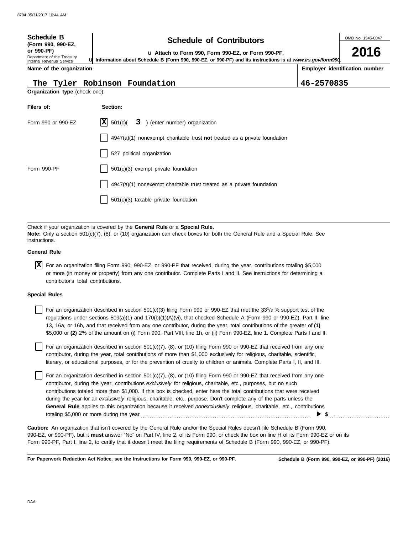| <b>Schedule B</b><br>(Form 990, 990-EZ,<br>or 990-PF)  | <b>Schedule of Contributors</b><br>L Attach to Form 990, Form 990-EZ, or Form 990-PF.                        | OMB No. 1545-0047<br>2016      |  |  |  |
|--------------------------------------------------------|--------------------------------------------------------------------------------------------------------------|--------------------------------|--|--|--|
| Department of the Treasury<br>Internal Revenue Service | La Information about Schedule B (Form 990, 990-EZ, or 990-PF) and its instructions is at www.irs.gov/form990 |                                |  |  |  |
| Name of the organization                               |                                                                                                              | Employer identification number |  |  |  |
|                                                        | The Tyler Robinson Foundation                                                                                | 46-2570835                     |  |  |  |
| Organization type (check one):                         |                                                                                                              |                                |  |  |  |
| Filers of:                                             | Section:                                                                                                     |                                |  |  |  |
| Form 990 or 990-EZ                                     | $ \mathbf{X} $ 501(c)(<br>3 ) (enter number) organization                                                    |                                |  |  |  |
|                                                        | $4947(a)(1)$ nonexempt charitable trust <b>not</b> treated as a private foundation                           |                                |  |  |  |
|                                                        | 527 political organization                                                                                   |                                |  |  |  |
| Form 990-PF                                            | $501(c)(3)$ exempt private foundation                                                                        |                                |  |  |  |
|                                                        | $4947(a)(1)$ nonexempt charitable trust treated as a private foundation                                      |                                |  |  |  |
|                                                        | $501(c)(3)$ taxable private foundation                                                                       |                                |  |  |  |
|                                                        |                                                                                                              |                                |  |  |  |

Check if your organization is covered by the **General Rule** or a **Special Rule. Note:** Only a section 501(c)(7), (8), or (10) organization can check boxes for both the General Rule and a Special Rule. See instructions.

#### **General Rule**

For an organization filing Form 990, 990-EZ, or 990-PF that received, during the year, contributions totaling \$5,000 **X** or more (in money or property) from any one contributor. Complete Parts I and II. See instructions for determining a contributor's total contributions.

#### **Special Rules**

For an organization described in section 501(c)(3) filing Form 990 or 990-EZ that met the 33<sup>1</sup>/<sub>3</sub> % support test of the regulations under sections 509(a)(1) and 170(b)(1)(A)(vi), that checked Schedule A (Form 990 or 990-EZ), Part II, line 13, 16a, or 16b, and that received from any one contributor, during the year, total contributions of the greater of **(1)** \$5,000 or **(2)** 2% of the amount on (i) Form 990, Part VIII, line 1h, or (ii) Form 990-EZ, line 1. Complete Parts I and II.

literary, or educational purposes, or for the prevention of cruelty to children or animals. Complete Parts I, II, and III. For an organization described in section 501(c)(7), (8), or (10) filing Form 990 or 990-EZ that received from any one contributor, during the year, total contributions of more than \$1,000 exclusively for religious, charitable, scientific,

For an organization described in section 501(c)(7), (8), or (10) filing Form 990 or 990-EZ that received from any one contributor, during the year, contributions *exclusively* for religious, charitable, etc., purposes, but no such contributions totaled more than \$1,000. If this box is checked, enter here the total contributions that were received during the year for an *exclusively* religious, charitable, etc., purpose. Don't complete any of the parts unless the **General Rule** applies to this organization because it received *nonexclusively* religious, charitable, etc., contributions totaling \$5,000 or more during the year . . . . . . . . . . . . . . . . . . . . . . . . . . . . . . . . . . . . . . . . . . . . . . . . . . . . . . . . . . . . . . . . . . . . . . . . . . . . \$ . . . . . . . . . . . . . . . . . . . . . . . . . . .

990-EZ, or 990-PF), but it **must** answer "No" on Part IV, line 2, of its Form 990; or check the box on line H of its Form 990-EZ or on its Form 990-PF, Part I, line 2, to certify that it doesn't meet the filing requirements of Schedule B (Form 990, 990-EZ, or 990-PF). **Caution:** An organization that isn't covered by the General Rule and/or the Special Rules doesn't file Schedule B (Form 990,

**For Paperwork Reduction Act Notice, see the Instructions for Form 990, 990-EZ, or 990-PF.**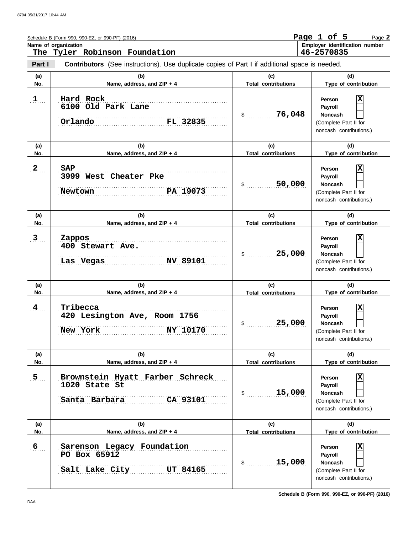|                | Schedule B (Form 990, 990-EZ, or 990-PF) (2016)<br>Name of organization<br>The Tyler Robinson Foundation |                                         | Page 1 of 5<br>Page 2<br>Employer identification number<br>46-2570835                               |
|----------------|----------------------------------------------------------------------------------------------------------|-----------------------------------------|-----------------------------------------------------------------------------------------------------|
| Part I         | <b>Contributors</b> (See instructions). Use duplicate copies of Part I if additional space is needed.    |                                         |                                                                                                     |
| (a)<br>No.     | (b)<br>Name, address, and ZIP + 4                                                                        | (c)<br><b>Total contributions</b>       | (d)<br>Type of contribution                                                                         |
| $1$            | Hard Rock<br>6100 Old Park Lane<br>FL 32835<br>Orlando                                                   | 76,048<br>$\mathcal{S}$                 | Χ<br>Person<br><b>Payroll</b><br><b>Noncash</b><br>(Complete Part II for<br>noncash contributions.) |
| (a)<br>No.     | (b)<br>Name, address, and ZIP + 4                                                                        | (c)<br><b>Total contributions</b>       | (d)<br>Type of contribution                                                                         |
| 2 <sub>2</sub> | <b>SAP</b><br>3999 West Cheater Pke<br>PA 19073<br>Newtown                                               | 50,000<br>$\mathbb{S}$ and $\mathbb{S}$ | Х<br><b>Person</b><br>Payroll<br><b>Noncash</b><br>(Complete Part II for<br>noncash contributions.) |
| (a)<br>No.     | (b)<br>Name, address, and ZIP + 4                                                                        | (c)<br><b>Total contributions</b>       | (d)<br>Type of contribution                                                                         |
| 3 <sub>1</sub> | Zappos<br>400 Stewart Ave.<br>NV 89101<br>Las Vegas                                                      | 25,000<br>\$                            | X<br><b>Person</b><br>Payroll<br><b>Noncash</b><br>(Complete Part II for<br>noncash contributions.) |
| (a)<br>No.     | (b)<br>Name, address, and ZIP + 4                                                                        | (c)<br><b>Total contributions</b>       | (d)<br>Type of contribution                                                                         |
| 4              | Tribecca<br>420 Lesington Ave, Room 1756<br>NY 10170<br>New York                                         | 25,000<br>\$                            | X<br>Person<br>Payroll<br>Noncash<br>(Complete Part II for<br>noncash contributions.)               |
| (a)<br>No.     | (b)<br>Name, address, and ZIP + 4                                                                        | (c)<br><b>Total contributions</b>       | (d)<br>Type of contribution                                                                         |
| $\overline{5}$ | Brownstein Hyatt Farber Schreck<br>1020 State St<br>Santa Barbara<br>CA 93101                            | 15,000<br>$\mathsf{\$}$                 | X<br>Person<br>Payroll<br><b>Noncash</b><br>(Complete Part II for<br>noncash contributions.)        |
| (a)<br>No.     | (b)<br>Name, address, and ZIP + 4                                                                        | (c)<br><b>Total contributions</b>       | (d)<br>Type of contribution                                                                         |
| 6 <sub>1</sub> | Sarenson Legacy Foundation<br>PO Box 65912<br>Salt Lake City UT 84165                                    | 15,000<br>$\mathsf{\$}$                 | x<br>Person<br>Payroll<br><b>Noncash</b><br>(Complete Part II for<br>noncash contributions.)        |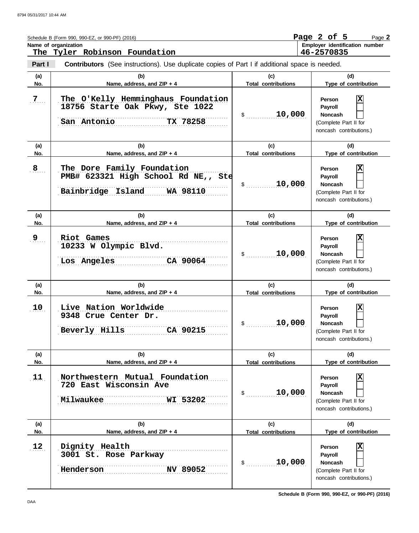|                | Schedule B (Form 990, 990-EZ, or 990-PF) (2016)                                                       |                                                | Page 2 of 5<br>Page 2<br>Employer identification number                                                    |
|----------------|-------------------------------------------------------------------------------------------------------|------------------------------------------------|------------------------------------------------------------------------------------------------------------|
|                | Name of organization<br>The Tyler Robinson Foundation                                                 |                                                | 46-2570835                                                                                                 |
| Part I         | <b>Contributors</b> (See instructions). Use duplicate copies of Part I if additional space is needed. |                                                |                                                                                                            |
| (a)<br>No.     | (b)<br>Name, address, and ZIP + 4                                                                     | (c)<br><b>Total contributions</b>              | (d)<br>Type of contribution                                                                                |
| 7 <sub>1</sub> | The O'Kelly Hemminghaus Foundation<br>18756 Starte Oak Pkwy, Ste 1022<br>TX 78258<br>San Antonio      | 10,000<br>$\mathcal{S}$                        | X<br><b>Person</b><br><b>Payroll</b><br><b>Noncash</b><br>(Complete Part II for<br>noncash contributions.) |
| (a)<br>No.     | (b)<br>Name, address, and ZIP + 4                                                                     | (c)<br><b>Total contributions</b>              | (d)<br>Type of contribution                                                                                |
| 8 <sub>1</sub> | The Dore Family Foundation<br>PMB# 623321 High School Rd NE,, Ste<br>Bainbridge Island<br>WA 98110    | 10,000<br>$\mathsf{\$}$                        | Χ<br>Person<br>Payroll<br><b>Noncash</b><br>(Complete Part II for<br>noncash contributions.)               |
| (a)<br>No.     | (b)<br>Name, address, and ZIP + 4                                                                     | (c)<br><b>Total contributions</b>              | (d)<br>Type of contribution                                                                                |
| 9 <sub>1</sub> | Riot Games<br>10233 W Olympic Blvd.<br>CA 90064<br>Los Angeles                                        | 10,000<br>$\sim$                               | Χ<br>Person<br>Payroll<br><b>Noncash</b><br>(Complete Part II for<br>noncash contributions.)               |
| (a)<br>No.     | (b)<br>Name, address, and ZIP + 4                                                                     | (c)<br><b>Total contributions</b>              | (d)<br>Type of contribution                                                                                |
| 10             | Live Nation Worldwide<br>9348 Crue Center Dr.<br>CA 90215<br>Beverly Hills                            | 10,000<br>$\sim$                               | X<br>Person<br>Payroll<br>Noncash<br>(Complete Part II for<br>noncash contributions.)                      |
| (a)            | (b)<br>Name, address, and ZIP + 4                                                                     | (c)                                            | (d)<br>Type of contribution                                                                                |
| No.<br>11      | Northwestern Mutual Foundation<br>720 East Wisconsin Ave<br>Milwaukee<br>WI 53202                     | <b>Total contributions</b><br>10,000<br>$\sim$ | X<br>Person<br>Payroll<br><b>Noncash</b><br>(Complete Part II for<br>noncash contributions.)               |
| (a)<br>No.     | (b)<br>Name, address, and ZIP + 4                                                                     | (c)<br><b>Total contributions</b>              | (d)<br>Type of contribution                                                                                |
| 12             | Dignity Health<br>3001 St. Rose Parkway<br>Henderson<br>NV 89052                                      | 10,000<br>$\sim$                               | x<br>Person<br>Payroll<br><b>Noncash</b><br>(Complete Part II for<br>noncash contributions.)               |

**Schedule B (Form 990, 990-EZ, or 990-PF) (2016)**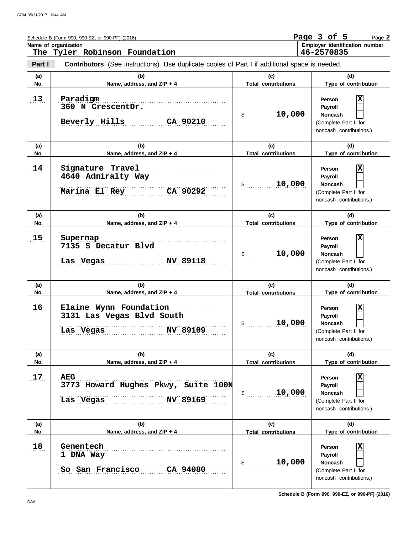|                        | Schedule B (Form 990, 990-EZ, or 990-PF) (2016)<br>Name of organization<br>The Tyler Robinson Foundation |                                                                                                                                                                                                                                                                                                                                                           | Page 3 of 5<br>Page 2<br>Employer identification number<br>46-2570835                                                |
|------------------------|----------------------------------------------------------------------------------------------------------|-----------------------------------------------------------------------------------------------------------------------------------------------------------------------------------------------------------------------------------------------------------------------------------------------------------------------------------------------------------|----------------------------------------------------------------------------------------------------------------------|
| Part I                 | <b>Contributors</b> (See instructions). Use duplicate copies of Part I if additional space is needed.    |                                                                                                                                                                                                                                                                                                                                                           |                                                                                                                      |
| (a)<br>No.             | (b)<br>Name, address, and ZIP + 4                                                                        | (c)<br><b>Total contributions</b>                                                                                                                                                                                                                                                                                                                         | (d)<br>Type of contribution                                                                                          |
| 13 <sub>1</sub>        | Paradigm<br>360 N CrescentDr.<br>Beverly Hills<br>CA 90210                                               | 10,000<br>$\sim$                                                                                                                                                                                                                                                                                                                                          | X<br>Person<br><b>Payroll</b><br><b>Noncash</b><br>(Complete Part II for<br>noncash contributions.)                  |
| (a)<br>No.             | (b)<br>Name, address, and ZIP + 4                                                                        | (c)<br><b>Total contributions</b>                                                                                                                                                                                                                                                                                                                         | (d)<br>Type of contribution                                                                                          |
| 14                     | Signature Travel<br>4640 Admiralty Way<br>Marina El Rey<br>CA 90292                                      | 10,000<br>$\sim$                                                                                                                                                                                                                                                                                                                                          |                                                                                                                      |
| (a)<br>No.             | (b)<br>Name, address, and ZIP + 4                                                                        | (c)<br><b>Total contributions</b>                                                                                                                                                                                                                                                                                                                         | (d)<br>Type of contribution                                                                                          |
| 15 <sub>1</sub>        | Supernap<br>7135 S Decatur Blvd<br>NV 89118<br>Las Vegas                                                 | 10,000<br>$\sim$                                                                                                                                                                                                                                                                                                                                          | X<br>Person<br>Payroll<br><b>Noncash</b><br>(Complete Part II for<br>noncash contributions.)                         |
| (a)<br>No.             | (b)<br>Name, address, and ZIP + 4                                                                        | (c)<br><b>Total contributions</b>                                                                                                                                                                                                                                                                                                                         | (d)<br>Type of contribution                                                                                          |
| 16                     | Elaine Wynn Foundation<br>3131 Las Vegas Blvd South<br>NV 89109<br>Las Vegas                             | 10,000<br>$\mathfrak s$ and $\mathfrak s$ and $\mathfrak s$ and $\mathfrak s$ and $\mathfrak s$ and $\mathfrak s$ and $\mathfrak s$ and $\mathfrak s$ and $\mathfrak s$ and $\mathfrak s$ and $\mathfrak s$ and $\mathfrak s$ and $\mathfrak s$ and $\mathfrak s$ and $\mathfrak s$ and $\mathfrak s$ and $\mathfrak s$ and $\mathfrak s$ and $\mathfrak$ | $\overline{\textbf{x}}$<br>Person<br>Payroll<br>Noncash<br>(Complete Part II for<br>noncash contributions.)          |
| (a)                    | (b)                                                                                                      | (c)                                                                                                                                                                                                                                                                                                                                                       | (d)                                                                                                                  |
| No.<br>17 <sub>1</sub> | Name, address, and ZIP + 4<br><b>AEG</b><br>3773 Howard Hughes Pkwy, Suite 100N<br>NV 89169<br>Las Vegas | <b>Total contributions</b><br>10,000<br>$\mathsf{\$}$                                                                                                                                                                                                                                                                                                     | Type of contribution<br>X<br>Person<br>Payroll<br><b>Noncash</b><br>(Complete Part II for<br>noncash contributions.) |
| (a)<br>No.             | (b)<br>Name, address, and ZIP + 4                                                                        | (c)<br><b>Total contributions</b>                                                                                                                                                                                                                                                                                                                         | (d)<br>Type of contribution                                                                                          |
| 18                     | Genentech<br>1 DNA Way<br>So San Francisco<br>CA 94080                                                   | 10,000<br>$\frac{1}{2}$                                                                                                                                                                                                                                                                                                                                   | X<br>Person<br>Payroll<br><b>Noncash</b><br>(Complete Part II for<br>noncash contributions.)                         |

**Schedule B (Form 990, 990-EZ, or 990-PF) (2016)**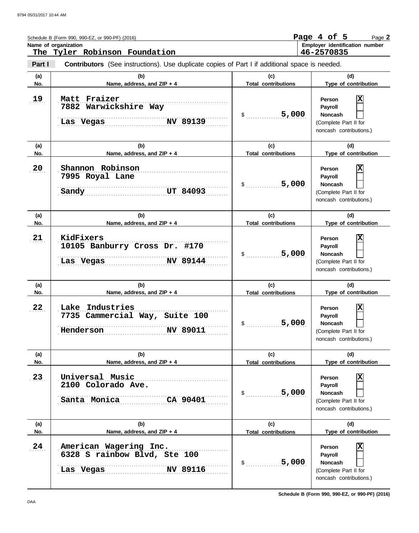|            | Schedule B (Form 990, 990-EZ, or 990-PF) (2016)<br>Name of organization<br>The Tyler Robinson Foundation |                                             | Page 4 of 5<br>Page 2<br>Employer identification number<br>46-2570835                               |  |
|------------|----------------------------------------------------------------------------------------------------------|---------------------------------------------|-----------------------------------------------------------------------------------------------------|--|
| Part I     | <b>Contributors</b> (See instructions). Use duplicate copies of Part I if additional space is needed.    |                                             |                                                                                                     |  |
| (a)<br>No. | (b)<br>Name, address, and ZIP + 4                                                                        | (c)<br><b>Total contributions</b>           | (d)<br>Type of contribution                                                                         |  |
| 19         | Matt Fraizer<br>7882 Warwickshire Way<br>NV 89139<br>Las Vegas                                           | 5,000<br>$\sim$                             | X<br>Person<br>Payroll<br><b>Noncash</b><br>(Complete Part II for<br>noncash contributions.)        |  |
| (a)<br>No. | (b)<br>Name, address, and ZIP + 4                                                                        | (c)<br><b>Total contributions</b>           | (d)<br>Type of contribution                                                                         |  |
| 20         | Shannon Robinson<br>7995 Royal Lane<br>Sandy<br>UT 84093                                                 | 5,000<br>\$                                 | X<br><b>Person</b><br>Payroll<br><b>Noncash</b><br>(Complete Part II for<br>noncash contributions.) |  |
| (a)<br>No. | (b)<br>Name, address, and ZIP + 4                                                                        | (c)<br><b>Total contributions</b>           | (d)<br>Type of contribution                                                                         |  |
| 21         | KidFixers<br>10105 Banburry Cross Dr. #170<br>NV 89144<br>Las Vegas                                      | 5,000<br>$\sim$                             | X<br><b>Person</b><br>Payroll<br><b>Noncash</b><br>(Complete Part II for<br>noncash contributions.) |  |
| (a)<br>No. | (b)<br>Name, address, and ZIP + 4                                                                        | (c)<br><b>Total contributions</b>           | (d)<br>Type of contribution                                                                         |  |
| 22         | Industries<br>Lake<br>7735 Cammercial Way, Suite 100<br>Henderson<br>NV 89011                            | \$<br>5,000                                 | X<br>Person<br>Payroll<br>Noncash<br>(Complete Part II for<br>noncash contributions.)               |  |
| (a)<br>No. | (b)<br>Name, address, and ZIP + 4                                                                        | (c)<br><b>Total contributions</b>           | (d)<br>Type of contribution                                                                         |  |
| 23.        | Universal Music<br>2100 Colorado Ave.<br>Santa Monica<br>CA 90401                                        | 5,000<br>$\$\ldots\ldots\ldots\ldots\ldots$ | ΙX<br>Person<br>Payroll<br><b>Noncash</b><br>(Complete Part II for<br>noncash contributions.)       |  |
| (a)<br>No. | (b)<br>Name, address, and ZIP + 4                                                                        | (c)<br><b>Total contributions</b>           | (d)<br>Type of contribution                                                                         |  |
| 24         | American Wagering Inc.<br>6328 S rainbow Blvd, Ste 100<br>NV 89116<br>Las Vegas                          | 5,000<br>$\$\quad$                          | x<br>Person<br>Payroll<br><b>Noncash</b><br>(Complete Part II for<br>noncash contributions.)        |  |

**Schedule B (Form 990, 990-EZ, or 990-PF) (2016)**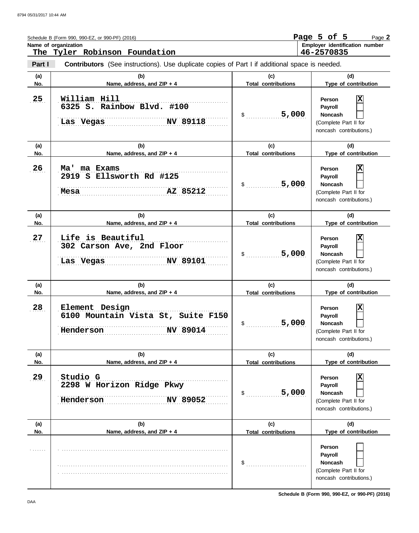|                 | Schedule B (Form 990, 990-EZ, or 990-PF) (2016)<br>Name of organization<br>The Tyler Robinson Foundation |                                   | Page 5 of 5<br>Page 2<br>Employer identification number<br>46-2570835                        |  |
|-----------------|----------------------------------------------------------------------------------------------------------|-----------------------------------|----------------------------------------------------------------------------------------------|--|
| Part I          | <b>Contributors</b> (See instructions). Use duplicate copies of Part I if additional space is needed.    |                                   |                                                                                              |  |
| (a)<br>No.      | (b)<br>Name, address, and ZIP + 4                                                                        | (c)<br><b>Total contributions</b> | (d)<br>Type of contribution                                                                  |  |
| 25 <sub>1</sub> | William Hill<br>6325 S. Rainbow Blvd. #100<br>NV 89118<br>Las Vegas                                      | 5,000<br>$\sim$                   | X<br>Person<br>Payroll<br><b>Noncash</b><br>(Complete Part II for<br>noncash contributions.) |  |
| (a)<br>No.      | (b)<br>Name, address, and ZIP + 4                                                                        | (c)<br><b>Total contributions</b> | (d)<br>Type of contribution                                                                  |  |
| 26              | Ma' ma Exams<br>2919 S Ellsworth Rd #125<br>5,000<br>$\sim$<br>AZ 85212<br>Mesa                          |                                   | Χ<br>Person<br>Payroll<br><b>Noncash</b><br>(Complete Part II for<br>noncash contributions.) |  |
| (a)<br>No.      | (b)<br>Name, address, and ZIP + 4                                                                        | (c)<br><b>Total contributions</b> | (d)<br>Type of contribution                                                                  |  |
| 27              | Life is Beautiful<br>302 Carson Ave, 2nd Floor<br>NV 89101<br>Las Vegas                                  | 5,000<br>$\sim$                   | X<br>Person<br>Payroll<br><b>Noncash</b><br>(Complete Part II for<br>noncash contributions.) |  |
| (a)<br>No.      | (b)<br>Name, address, and ZIP + 4                                                                        | (c)<br><b>Total contributions</b> | (d)<br>Type of contribution                                                                  |  |
| 28              | Element Design<br>6100 Mountain Vista St, Suite F150<br>Henderson<br>NV 89014                            | 5,000<br>\$                       | x<br>Person<br>Payroll<br>Noncash<br>(Complete Part II for<br>noncash contributions.)        |  |
| (a)<br>No.      | (b)<br>Name, address, and ZIP + 4                                                                        | (c)<br><b>Total contributions</b> | (d)<br>Type of contribution                                                                  |  |
| 29              | Studio G<br>2298 W Horizon Ridge Pkwy<br>Henderson<br>NV 89052                                           | 5,000                             | X<br>Person<br>Payroll<br><b>Noncash</b><br>(Complete Part II for<br>noncash contributions.) |  |
| (a)<br>No.      | (b)<br>Name, address, and ZIP + 4                                                                        | (c)<br><b>Total contributions</b> | (d)<br>Type of contribution                                                                  |  |
|                 |                                                                                                          | \$                                | Person<br>Payroll<br><b>Noncash</b><br>(Complete Part II for<br>noncash contributions.)      |  |

**Schedule B (Form 990, 990-EZ, or 990-PF) (2016)**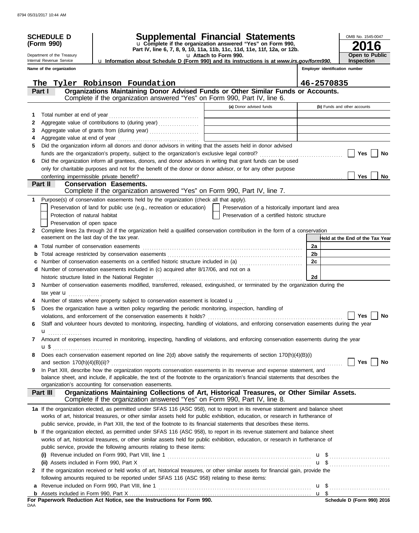|        | <b>SCHEDULE D</b>                         |                                                                                                                                                                                         | Supplemental Financial Statements                                                                                                      | OMB No. 1545-0047               |
|--------|-------------------------------------------|-----------------------------------------------------------------------------------------------------------------------------------------------------------------------------------------|----------------------------------------------------------------------------------------------------------------------------------------|---------------------------------|
|        | (Form 990)                                |                                                                                                                                                                                         | U Complete if the organization answered "Yes" on Form 990,<br>Part IV, line 6, 7, 8, 9, 10, 11a, 11b, 11c, 11d, 11e, 11f, 12a, or 12b. | 16                              |
|        | Department of the Treasury                |                                                                                                                                                                                         | U Attach to Form 990.                                                                                                                  | Open to Public                  |
|        | Internal Revenue Service                  | <b>La Information about Schedule D (Form 990) and its instructions is at www.irs.gov/form990.</b>                                                                                       |                                                                                                                                        | Inspection                      |
|        | Name of the organization                  |                                                                                                                                                                                         |                                                                                                                                        | Employer identification number  |
|        |                                           | The Tyler Robinson Foundation                                                                                                                                                           |                                                                                                                                        | 46-2570835                      |
|        | Part I                                    | Organizations Maintaining Donor Advised Funds or Other Similar Funds or Accounts.                                                                                                       |                                                                                                                                        |                                 |
|        |                                           | Complete if the organization answered "Yes" on Form 990, Part IV, line 6.                                                                                                               |                                                                                                                                        |                                 |
|        |                                           |                                                                                                                                                                                         | (a) Donor advised funds                                                                                                                | (b) Funds and other accounts    |
| 1.     | Total number at end of year               |                                                                                                                                                                                         |                                                                                                                                        |                                 |
| 2      |                                           |                                                                                                                                                                                         |                                                                                                                                        |                                 |
| 3<br>4 | Aggregate value at end of year            |                                                                                                                                                                                         |                                                                                                                                        |                                 |
| 5      |                                           | Did the organization inform all donors and donor advisors in writing that the assets held in donor advised                                                                              |                                                                                                                                        |                                 |
|        |                                           | funds are the organization's property, subject to the organization's exclusive legal control?                                                                                           |                                                                                                                                        | Yes<br>No                       |
| 6      |                                           | Did the organization inform all grantees, donors, and donor advisors in writing that grant funds can be used                                                                            |                                                                                                                                        |                                 |
|        |                                           | only for charitable purposes and not for the benefit of the donor or donor advisor, or for any other purpose                                                                            |                                                                                                                                        |                                 |
|        | conferring impermissible private benefit? |                                                                                                                                                                                         |                                                                                                                                        | <b>Yes</b><br>No                |
|        | Part II                                   | <b>Conservation Easements.</b>                                                                                                                                                          |                                                                                                                                        |                                 |
|        |                                           | Complete if the organization answered "Yes" on Form 990, Part IV, line 7.                                                                                                               |                                                                                                                                        |                                 |
|        |                                           | 1 Purpose(s) of conservation easements held by the organization (check all that apply).                                                                                                 |                                                                                                                                        |                                 |
|        | Protection of natural habitat             | Preservation of land for public use (e.g., recreation or education)                                                                                                                     | Preservation of a historically important land area<br>Preservation of a certified historic structure                                   |                                 |
|        | Preservation of open space                |                                                                                                                                                                                         |                                                                                                                                        |                                 |
| 2      |                                           | Complete lines 2a through 2d if the organization held a qualified conservation contribution in the form of a conservation                                                               |                                                                                                                                        |                                 |
|        | easement on the last day of the tax year. |                                                                                                                                                                                         |                                                                                                                                        | Held at the End of the Tax Year |
| а      | Total number of conservation easements    |                                                                                                                                                                                         |                                                                                                                                        | 2a                              |
|        |                                           |                                                                                                                                                                                         |                                                                                                                                        | 2 <sub>b</sub>                  |
|        |                                           | Number of conservation easements on a certified historic structure included in (a)                                                                                                      |                                                                                                                                        | 2c                              |
|        |                                           | Number of conservation easements included in (c) acquired after 8/17/06, and not on a                                                                                                   |                                                                                                                                        |                                 |
|        |                                           | historic structure listed in the National Register                                                                                                                                      |                                                                                                                                        | 2d                              |
| 3      |                                           | Number of conservation easements modified, transferred, released, extinguished, or terminated by the organization during the                                                            |                                                                                                                                        |                                 |
|        | tax year <b>u</b>                         |                                                                                                                                                                                         |                                                                                                                                        |                                 |
|        |                                           | Number of states where property subject to conservation easement is located U<br>Does the organization have a written policy regarding the periodic monitoring, inspection, handling of |                                                                                                                                        |                                 |
|        |                                           |                                                                                                                                                                                         |                                                                                                                                        |                                 |
| 6      |                                           | Staff and volunteer hours devoted to monitoring, inspecting, handling of violations, and enforcing conservation easements during the year                                               |                                                                                                                                        |                                 |
|        | u                                         |                                                                                                                                                                                         |                                                                                                                                        |                                 |
| 7      |                                           | Amount of expenses incurred in monitoring, inspecting, handling of violations, and enforcing conservation easements during the year                                                     |                                                                                                                                        |                                 |
|        | u\$                                       |                                                                                                                                                                                         |                                                                                                                                        |                                 |
| 8      |                                           | Does each conservation easement reported on line 2(d) above satisfy the requirements of section 170(h)(4)(B)(i)                                                                         |                                                                                                                                        |                                 |
|        |                                           |                                                                                                                                                                                         |                                                                                                                                        | Yes<br>No                       |
| 9      |                                           | In Part XIII, describe how the organization reports conservation easements in its revenue and expense statement, and                                                                    |                                                                                                                                        |                                 |
|        |                                           | balance sheet, and include, if applicable, the text of the footnote to the organization's financial statements that describes the                                                       |                                                                                                                                        |                                 |
|        | Part III                                  | organization's accounting for conservation easements.<br>Organizations Maintaining Collections of Art, Historical Treasures, or Other Similar Assets.                                   |                                                                                                                                        |                                 |
|        |                                           | Complete if the organization answered "Yes" on Form 990, Part IV, line 8.                                                                                                               |                                                                                                                                        |                                 |
|        |                                           | 1a If the organization elected, as permitted under SFAS 116 (ASC 958), not to report in its revenue statement and balance sheet                                                         |                                                                                                                                        |                                 |
|        |                                           | works of art, historical treasures, or other similar assets held for public exhibition, education, or research in furtherance of                                                        |                                                                                                                                        |                                 |
|        |                                           | public service, provide, in Part XIII, the text of the footnote to its financial statements that describes these items.                                                                 |                                                                                                                                        |                                 |
|        |                                           | <b>b</b> If the organization elected, as permitted under SFAS 116 (ASC 958), to report in its revenue statement and balance sheet                                                       |                                                                                                                                        |                                 |
|        |                                           | works of art, historical treasures, or other similar assets held for public exhibition, education, or research in furtherance of                                                        |                                                                                                                                        |                                 |
|        |                                           | public service, provide the following amounts relating to these items:                                                                                                                  |                                                                                                                                        |                                 |
|        |                                           |                                                                                                                                                                                         |                                                                                                                                        |                                 |
|        |                                           |                                                                                                                                                                                         |                                                                                                                                        |                                 |
| 2      |                                           | If the organization received or held works of art, historical treasures, or other similar assets for financial gain, provide the                                                        |                                                                                                                                        |                                 |
|        |                                           | following amounts required to be reported under SFAS 116 (ASC 958) relating to these items:<br>Revenue included on Form 990, Part VIII, line 1                                          |                                                                                                                                        |                                 |
| a      |                                           |                                                                                                                                                                                         |                                                                                                                                        |                                 |
|        |                                           |                                                                                                                                                                                         |                                                                                                                                        |                                 |

| For Paperwork Reduction Act Notice, see the Instructions for Form 990. |  |
|------------------------------------------------------------------------|--|
| DAA                                                                    |  |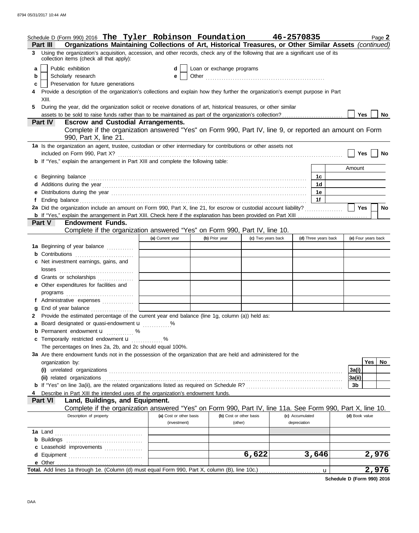|    | Schedule D (Form 990) 2016 The Tyler Robinson Foundation                                                                                                                     |                         |                         |                    | 46-2570835           | Page 2              |
|----|------------------------------------------------------------------------------------------------------------------------------------------------------------------------------|-------------------------|-------------------------|--------------------|----------------------|---------------------|
| 3. | Organizations Maintaining Collections of Art, Historical Treasures, or Other Similar Assets (continued)<br>Part III                                                          |                         |                         |                    |                      |                     |
|    | Using the organization's acquisition, accession, and other records, check any of the following that are a significant use of its<br>collection items (check all that apply): |                         |                         |                    |                      |                     |
| a  | Public exhibition<br>Loan or exchange programs<br>d                                                                                                                          |                         |                         |                    |                      |                     |
| b  | Scholarly research                                                                                                                                                           | е                       |                         |                    |                      |                     |
| С  | Preservation for future generations                                                                                                                                          |                         |                         |                    |                      |                     |
|    | Provide a description of the organization's collections and explain how they further the organization's exempt purpose in Part                                               |                         |                         |                    |                      |                     |
|    | XIII.                                                                                                                                                                        |                         |                         |                    |                      |                     |
| 5. | During the year, did the organization solicit or receive donations of art, historical treasures, or other similar                                                            |                         |                         |                    |                      |                     |
|    |                                                                                                                                                                              |                         |                         |                    |                      | Yes<br>No           |
|    | <b>Escrow and Custodial Arrangements.</b><br><b>Part IV</b>                                                                                                                  |                         |                         |                    |                      |                     |
|    | Complete if the organization answered "Yes" on Form 990, Part IV, line 9, or reported an amount on Form<br>990, Part X, line 21.                                             |                         |                         |                    |                      |                     |
|    | 1a Is the organization an agent, trustee, custodian or other intermediary for contributions or other assets not                                                              |                         |                         |                    |                      |                     |
|    |                                                                                                                                                                              |                         |                         |                    |                      | Yes<br>No           |
|    | <b>b</b> If "Yes," explain the arrangement in Part XIII and complete the following table:                                                                                    |                         |                         |                    |                      |                     |
|    |                                                                                                                                                                              |                         |                         |                    |                      | Amount              |
|    | c Beginning balance                                                                                                                                                          |                         |                         |                    | 1с.                  |                     |
|    |                                                                                                                                                                              |                         |                         |                    | 1d                   |                     |
|    |                                                                                                                                                                              |                         |                         |                    | 1е                   |                     |
| Ť. |                                                                                                                                                                              |                         |                         |                    | 1f                   |                     |
|    | 2a Did the organization include an amount on Form 990, Part X, line 21, for escrow or custodial account liability?                                                           |                         |                         |                    |                      | Yes<br>No           |
|    |                                                                                                                                                                              |                         |                         |                    |                      |                     |
|    | Part V<br><b>Endowment Funds.</b>                                                                                                                                            |                         |                         |                    |                      |                     |
|    | Complete if the organization answered "Yes" on Form 990, Part IV, line 10.                                                                                                   |                         |                         |                    |                      |                     |
|    |                                                                                                                                                                              | (a) Current year        | (b) Prior year          | (c) Two years back | (d) Three years back | (e) Four years back |
|    | 1a Beginning of year balance                                                                                                                                                 |                         |                         |                    |                      |                     |
|    | <b>b</b> Contributions                                                                                                                                                       |                         |                         |                    |                      |                     |
|    | c Net investment earnings, gains, and                                                                                                                                        |                         |                         |                    |                      |                     |
|    | d Grants or scholarships                                                                                                                                                     |                         |                         |                    |                      |                     |
|    | e Other expenditures for facilities and                                                                                                                                      |                         |                         |                    |                      |                     |
|    |                                                                                                                                                                              |                         |                         |                    |                      |                     |
|    | f Administrative expenses                                                                                                                                                    |                         |                         |                    |                      |                     |
| g  | End of year balance                                                                                                                                                          |                         |                         |                    |                      |                     |
|    | Provide the estimated percentage of the current year end balance (line 1g, column (a)) held as:                                                                              |                         |                         |                    |                      |                     |
|    | a Board designated or quasi-endowment u                                                                                                                                      |                         |                         |                    |                      |                     |
|    | <b>b</b> Permanent endowment <b>u</b> %                                                                                                                                      |                         |                         |                    |                      |                     |
|    | c Temporarily restricted endowment u                                                                                                                                         |                         |                         |                    |                      |                     |
|    | The percentages on lines 2a, 2b, and 2c should equal 100%.                                                                                                                   |                         |                         |                    |                      |                     |
|    | 3a Are there endowment funds not in the possession of the organization that are held and administered for the                                                                |                         |                         |                    |                      |                     |
|    | organization by:                                                                                                                                                             |                         |                         |                    |                      | Yes $ $<br>No       |
|    |                                                                                                                                                                              |                         |                         |                    |                      | 3a(i)               |
|    |                                                                                                                                                                              |                         |                         |                    |                      | 3a(ii)              |
|    |                                                                                                                                                                              |                         |                         |                    |                      | 3b                  |
|    | Describe in Part XIII the intended uses of the organization's endowment funds.                                                                                               |                         |                         |                    |                      |                     |
|    | Land, Buildings, and Equipment.<br><b>Part VI</b>                                                                                                                            |                         |                         |                    |                      |                     |
|    | Complete if the organization answered "Yes" on Form 990, Part IV, line 11a. See Form 990, Part X, line 10.                                                                   |                         |                         |                    |                      |                     |
|    | Description of property                                                                                                                                                      | (a) Cost or other basis | (b) Cost or other basis |                    | (c) Accumulated      | (d) Book value      |
|    |                                                                                                                                                                              | (investment)            | (other)                 |                    | depreciation         |                     |
|    |                                                                                                                                                                              |                         |                         |                    |                      |                     |
|    |                                                                                                                                                                              |                         |                         |                    |                      |                     |
|    | c Leasehold improvements                                                                                                                                                     |                         |                         |                    |                      |                     |
|    |                                                                                                                                                                              |                         |                         | 6,622              | 3,646                | 2,976               |
|    |                                                                                                                                                                              |                         |                         |                    |                      |                     |
|    | Total. Add lines 1a through 1e. (Column (d) must equal Form 990, Part X, column (B), line 10c.)                                                                              |                         |                         |                    | u                    | 2,976               |

**Schedule D (Form 990) 2016**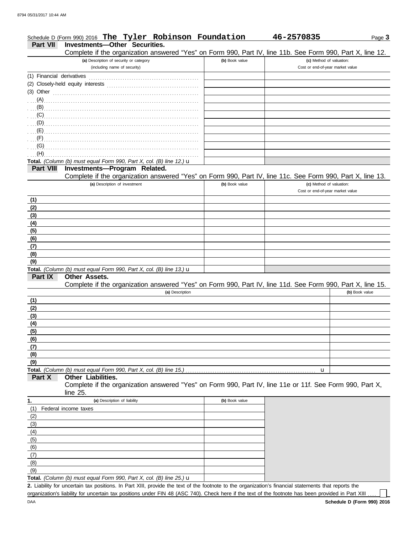|                           | Schedule D (Form 990) 2016 The Tyler Robinson Foundation                                                                |                | 46-2570835                                                   | Page 3         |
|---------------------------|-------------------------------------------------------------------------------------------------------------------------|----------------|--------------------------------------------------------------|----------------|
| Part VII                  | <b>Investments-Other Securities.</b>                                                                                    |                |                                                              |                |
|                           | Complete if the organization answered "Yes" on Form 990, Part IV, line 11b. See Form 990, Part X, line 12.              |                |                                                              |                |
|                           | (a) Description of security or category<br>(including name of security)                                                 | (b) Book value | (c) Method of valuation:<br>Cost or end-of-year market value |                |
| (1) Financial derivatives |                                                                                                                         |                |                                                              |                |
|                           |                                                                                                                         |                |                                                              |                |
|                           | $(3)$ Other $\ldots$ $\ldots$ $\ldots$ $\ldots$ $\ldots$ $\ldots$ $\ldots$ $\ldots$ $\ldots$ $\ldots$ $\ldots$ $\ldots$ |                |                                                              |                |
|                           |                                                                                                                         |                |                                                              |                |
|                           |                                                                                                                         |                |                                                              |                |
|                           |                                                                                                                         |                |                                                              |                |
| (D)                       |                                                                                                                         |                |                                                              |                |
| $\mathbf{E}(\mathsf{E})$  |                                                                                                                         |                |                                                              |                |
| (F)                       |                                                                                                                         |                |                                                              |                |
| (G)                       |                                                                                                                         |                |                                                              |                |
| (H)                       |                                                                                                                         |                |                                                              |                |
|                           | Total. (Column (b) must equal Form 990, Part X, col. (B) line 12.) u                                                    |                |                                                              |                |
| <b>Part VIII</b>          | Investments-Program Related.                                                                                            |                |                                                              |                |
|                           | Complete if the organization answered "Yes" on Form 990, Part IV, line 11c. See Form 990, Part X, line 13.              |                |                                                              |                |
|                           | (a) Description of investment                                                                                           | (b) Book value | (c) Method of valuation:                                     |                |
|                           |                                                                                                                         |                | Cost or end-of-year market value                             |                |
| (1)                       |                                                                                                                         |                |                                                              |                |
| (2)                       |                                                                                                                         |                |                                                              |                |
| (3)                       |                                                                                                                         |                |                                                              |                |
| (4)                       |                                                                                                                         |                |                                                              |                |
| (5)                       |                                                                                                                         |                |                                                              |                |
| (6)                       |                                                                                                                         |                |                                                              |                |
| (7)                       |                                                                                                                         |                |                                                              |                |
| (8)                       |                                                                                                                         |                |                                                              |                |
| (9)                       |                                                                                                                         |                |                                                              |                |
|                           | Total. (Column (b) must equal Form 990, Part X, col. (B) line 13.) u                                                    |                |                                                              |                |
| Part IX                   | <b>Other Assets.</b>                                                                                                    |                |                                                              |                |
|                           | Complete if the organization answered "Yes" on Form 990, Part IV, line 11d. See Form 990, Part X, line 15.              |                |                                                              |                |
|                           | (a) Description                                                                                                         |                |                                                              | (b) Book value |
| (1)                       |                                                                                                                         |                |                                                              |                |
| (2)                       |                                                                                                                         |                |                                                              |                |
| (3)                       |                                                                                                                         |                |                                                              |                |
| (4)                       |                                                                                                                         |                |                                                              |                |
| (5)                       |                                                                                                                         |                |                                                              |                |
|                           |                                                                                                                         |                |                                                              |                |
| (6)                       |                                                                                                                         |                |                                                              |                |
| (7)                       |                                                                                                                         |                |                                                              |                |
| (8)                       |                                                                                                                         |                |                                                              |                |
| (9)                       |                                                                                                                         |                |                                                              |                |
| Part X                    | Total. (Column (b) must equal Form 990, Part X, col. (B) line 15.)<br>Other Liabilities.                                |                | u                                                            |                |
|                           | Complete if the organization answered "Yes" on Form 990, Part IV, line 11e or 11f. See Form 990, Part X,                |                |                                                              |                |
|                           |                                                                                                                         |                |                                                              |                |
|                           | line $25$ .                                                                                                             | (b) Book value |                                                              |                |
| 1.                        | (a) Description of liability                                                                                            |                |                                                              |                |
| (1)                       | Federal income taxes                                                                                                    |                |                                                              |                |
| (2)                       |                                                                                                                         |                |                                                              |                |
| (3)                       |                                                                                                                         |                |                                                              |                |
| (4)                       |                                                                                                                         |                |                                                              |                |
| (5)                       |                                                                                                                         |                |                                                              |                |
| (6)                       |                                                                                                                         |                |                                                              |                |
| (7)                       |                                                                                                                         |                |                                                              |                |
| (8)                       |                                                                                                                         |                |                                                              |                |
| (9)                       |                                                                                                                         |                |                                                              |                |
|                           | Total. (Column (b) must equal Form 990, Part X, col. (B) line 25.) u                                                    |                |                                                              |                |

Liability for uncertain tax positions. In Part XIII, provide the text of the footnote to the organization's financial statements that reports the **2.** organization's liability for uncertain tax positions under FIN 48 (ASC 740). Check here if the text of the footnote has been provided in Part XIII ..

 $\Box$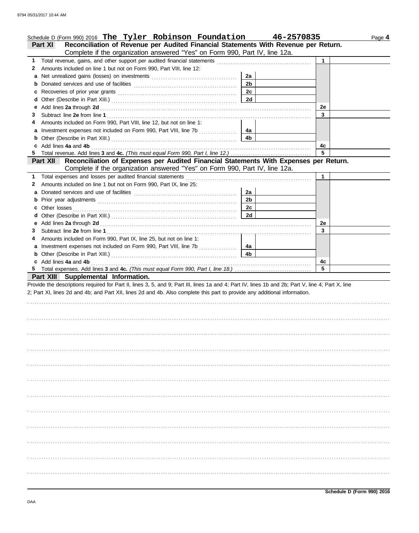|    | Schedule D (Form 990) 2016 The Tyler Robinson Foundation                                                                                                                                                                       | 46-2570835     | Page 4 |
|----|--------------------------------------------------------------------------------------------------------------------------------------------------------------------------------------------------------------------------------|----------------|--------|
|    | Reconciliation of Revenue per Audited Financial Statements With Revenue per Return.<br><b>Part XI</b>                                                                                                                          |                |        |
|    | Complete if the organization answered "Yes" on Form 990, Part IV, line 12a.                                                                                                                                                    |                |        |
| 1. |                                                                                                                                                                                                                                |                | 1      |
| 2  | Amounts included on line 1 but not on Form 990, Part VIII, line 12:                                                                                                                                                            |                |        |
| a  |                                                                                                                                                                                                                                | 2a             |        |
| b  |                                                                                                                                                                                                                                | 2 <sub>b</sub> |        |
| c  | Recoveries of prior year grants [11] respectively and the coveries of prior year grants [11] respectively and the cover of the cover of the cover of the cover of the cover of the cover of the cover of the cover of the cove | 2c             |        |
| d  |                                                                                                                                                                                                                                | 2d             |        |
| е  |                                                                                                                                                                                                                                |                | 2e     |
| З  |                                                                                                                                                                                                                                |                | 3      |
| 4  | Amounts included on Form 990, Part VIII, line 12, but not on line 1:                                                                                                                                                           |                |        |
| a  |                                                                                                                                                                                                                                | 4a             |        |
|    |                                                                                                                                                                                                                                | 4b             |        |
|    | c Add lines 4a and 4b                                                                                                                                                                                                          |                | 4c     |
| 5  |                                                                                                                                                                                                                                |                | 5      |
|    | Reconciliation of Expenses per Audited Financial Statements With Expenses per Return.<br><b>Part XII</b>                                                                                                                       |                |        |
|    | Complete if the organization answered "Yes" on Form 990, Part IV, line 12a.                                                                                                                                                    |                |        |
| 1. | Total expenses and losses per audited financial statements                                                                                                                                                                     |                | 1      |
| 2  | Amounts included on line 1 but not on Form 990, Part IX, line 25:                                                                                                                                                              |                |        |
| a  |                                                                                                                                                                                                                                | 2a             |        |
|    |                                                                                                                                                                                                                                | 2 <sub>b</sub> |        |
|    | Other losses                                                                                                                                                                                                                   | 2c             |        |
|    |                                                                                                                                                                                                                                | 2d             |        |
| е  |                                                                                                                                                                                                                                |                | 2e     |
| 3  |                                                                                                                                                                                                                                |                | 3      |
| 4  | Amounts included on Form 990, Part IX, line 25, but not on line 1:                                                                                                                                                             |                |        |
| a  | Investment expenses not included on Form 990, Part VIII, line 7b                                                                                                                                                               | 4a             |        |
|    |                                                                                                                                                                                                                                | 4 <sub>b</sub> |        |
|    | c Add lines 4a and 4b                                                                                                                                                                                                          |                | 4c     |
|    |                                                                                                                                                                                                                                |                |        |
|    |                                                                                                                                                                                                                                |                | 5      |
|    | Part XIII Supplemental Information.                                                                                                                                                                                            |                |        |
|    | Provide the descriptions required for Part II, lines 3, 5, and 9; Part III, lines 1a and 4; Part IV, lines 1b and 2b; Part V, line 4; Part X, line                                                                             |                |        |
|    | 2; Part XI, lines 2d and 4b; and Part XII, lines 2d and 4b. Also complete this part to provide any additional information.                                                                                                     |                |        |
|    |                                                                                                                                                                                                                                |                |        |
|    |                                                                                                                                                                                                                                |                |        |
|    |                                                                                                                                                                                                                                |                |        |
|    |                                                                                                                                                                                                                                |                |        |
|    |                                                                                                                                                                                                                                |                |        |
|    |                                                                                                                                                                                                                                |                |        |
|    |                                                                                                                                                                                                                                |                |        |
|    |                                                                                                                                                                                                                                |                |        |
|    |                                                                                                                                                                                                                                |                |        |
|    |                                                                                                                                                                                                                                |                |        |
|    |                                                                                                                                                                                                                                |                |        |
|    |                                                                                                                                                                                                                                |                |        |
|    |                                                                                                                                                                                                                                |                |        |
|    |                                                                                                                                                                                                                                |                |        |
|    |                                                                                                                                                                                                                                |                |        |
|    |                                                                                                                                                                                                                                |                |        |
|    |                                                                                                                                                                                                                                |                |        |
|    |                                                                                                                                                                                                                                |                |        |
|    |                                                                                                                                                                                                                                |                |        |
|    |                                                                                                                                                                                                                                |                |        |
|    |                                                                                                                                                                                                                                |                |        |
|    |                                                                                                                                                                                                                                |                |        |
|    |                                                                                                                                                                                                                                |                |        |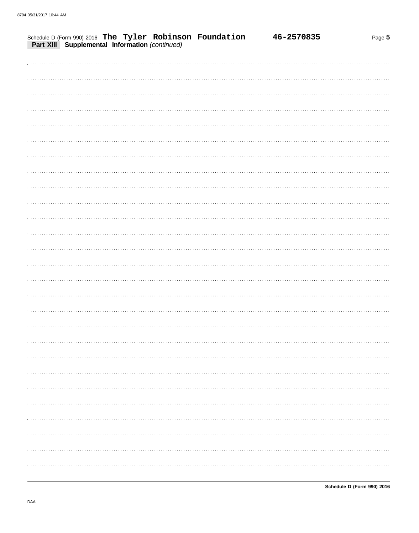|   |  |  |                                                                                                            | 46-2570835 | Page 5 |
|---|--|--|------------------------------------------------------------------------------------------------------------|------------|--------|
|   |  |  | Schedule D (Form 990) 2016 The Tyler Robinson Foundation<br>Part XIII Supplemental Information (continued) |            |        |
|   |  |  |                                                                                                            |            |        |
|   |  |  |                                                                                                            |            |        |
|   |  |  |                                                                                                            |            |        |
|   |  |  |                                                                                                            |            |        |
|   |  |  |                                                                                                            |            |        |
|   |  |  |                                                                                                            |            |        |
|   |  |  |                                                                                                            |            |        |
|   |  |  |                                                                                                            |            |        |
|   |  |  |                                                                                                            |            |        |
|   |  |  |                                                                                                            |            |        |
|   |  |  |                                                                                                            |            |        |
|   |  |  |                                                                                                            |            |        |
|   |  |  |                                                                                                            |            |        |
|   |  |  |                                                                                                            |            |        |
|   |  |  |                                                                                                            |            |        |
|   |  |  |                                                                                                            |            |        |
|   |  |  |                                                                                                            |            |        |
|   |  |  |                                                                                                            |            |        |
|   |  |  |                                                                                                            |            |        |
|   |  |  |                                                                                                            |            |        |
|   |  |  |                                                                                                            |            |        |
|   |  |  |                                                                                                            |            |        |
|   |  |  |                                                                                                            |            |        |
|   |  |  |                                                                                                            |            |        |
|   |  |  |                                                                                                            |            |        |
|   |  |  |                                                                                                            |            |        |
|   |  |  |                                                                                                            |            |        |
|   |  |  |                                                                                                            |            |        |
|   |  |  |                                                                                                            |            |        |
|   |  |  |                                                                                                            |            |        |
|   |  |  |                                                                                                            |            |        |
|   |  |  |                                                                                                            |            |        |
|   |  |  |                                                                                                            |            |        |
|   |  |  |                                                                                                            |            |        |
|   |  |  |                                                                                                            |            |        |
| . |  |  |                                                                                                            |            |        |
|   |  |  |                                                                                                            |            |        |
|   |  |  |                                                                                                            |            |        |
| . |  |  |                                                                                                            |            |        |
|   |  |  |                                                                                                            |            |        |
|   |  |  |                                                                                                            |            |        |
|   |  |  |                                                                                                            |            |        |
|   |  |  |                                                                                                            |            |        |
|   |  |  |                                                                                                            |            |        |
|   |  |  |                                                                                                            |            |        |
|   |  |  |                                                                                                            |            |        |
|   |  |  |                                                                                                            |            |        |
|   |  |  |                                                                                                            |            |        |
|   |  |  |                                                                                                            |            |        |
|   |  |  |                                                                                                            |            |        |
|   |  |  |                                                                                                            |            |        |
|   |  |  |                                                                                                            |            |        |

Schedule D (Form 990) 2016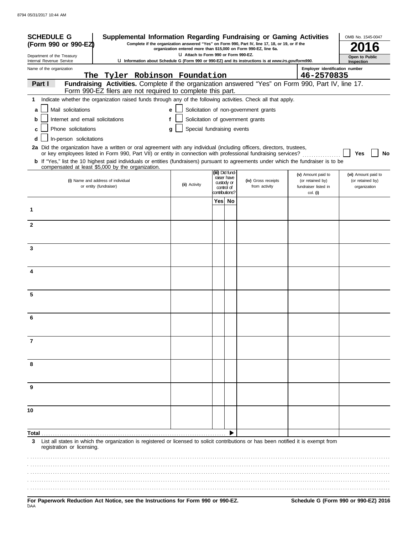| <b>SCHEDULE G</b><br>Supplemental Information Regarding Fundraising or Gaming Activities<br>Complete if the organization answered "Yes" on Form 990, Part IV, line 17, 18, or 19, or if the<br>(Form 990 or 990-EZ) |                                                                  |                 |                          | OMB No. 1545-0047                                                                                   |                                          |                                  |
|---------------------------------------------------------------------------------------------------------------------------------------------------------------------------------------------------------------------|------------------------------------------------------------------|-----------------|--------------------------|-----------------------------------------------------------------------------------------------------|------------------------------------------|----------------------------------|
|                                                                                                                                                                                                                     | organization entered more than \$15,000 on Form 990-EZ, line 6a. |                 |                          |                                                                                                     |                                          |                                  |
| Department of the Treasury<br>Internal Revenue Service                                                                                                                                                              | U Attach to Form 990 or Form 990-EZ.                             |                 |                          | U Information about Schedule G (Form 990 or 990-EZ) and its instructions is at www.irs.gov/form990. |                                          | Open to Public<br>Inspection     |
| Name of the organization                                                                                                                                                                                            |                                                                  |                 |                          |                                                                                                     | Employer identification number           |                                  |
| The Tyler Robinson Foundation                                                                                                                                                                                       |                                                                  |                 |                          |                                                                                                     | 46-2570835                               |                                  |
| Fundraising Activities. Complete if the organization answered "Yes" on Form 990, Part IV, line 17.<br>Part I<br>Form 990-EZ filers are not required to complete this part.                                          |                                                                  |                 |                          |                                                                                                     |                                          |                                  |
| 1 Indicate whether the organization raised funds through any of the following activities. Check all that apply.                                                                                                     |                                                                  |                 |                          |                                                                                                     |                                          |                                  |
| Mail solicitations<br>a                                                                                                                                                                                             | e                                                                |                 |                          | Solicitation of non-government grants                                                               |                                          |                                  |
| Internet and email solicitations<br>b                                                                                                                                                                               | f                                                                |                 |                          | Solicitation of government grants                                                                   |                                          |                                  |
| Phone solicitations<br>c                                                                                                                                                                                            | Special fundraising events<br>a                                  |                 |                          |                                                                                                     |                                          |                                  |
| In-person solicitations<br>d                                                                                                                                                                                        |                                                                  |                 |                          |                                                                                                     |                                          |                                  |
| 2a Did the organization have a written or oral agreement with any individual (including officers, directors, trustees,                                                                                              |                                                                  |                 |                          |                                                                                                     |                                          |                                  |
| or key employees listed in Form 990, Part VII) or entity in connection with professional fundraising services?                                                                                                      |                                                                  |                 |                          |                                                                                                     |                                          | Yes<br>No                        |
| b If "Yes," list the 10 highest paid individuals or entities (fundraisers) pursuant to agreements under which the fundraiser is to be<br>compensated at least \$5,000 by the organization.                          |                                                                  |                 |                          |                                                                                                     |                                          |                                  |
|                                                                                                                                                                                                                     |                                                                  | (iii) Did fund- | raiser have              |                                                                                                     | (v) Amount paid to                       | (vi) Amount paid to              |
| (i) Name and address of individual<br>or entity (fundraiser)                                                                                                                                                        | (ii) Activity                                                    |                 | custody or<br>control of | (iv) Gross receipts<br>from activity                                                                | (or retained by)<br>fundraiser listed in | (or retained by)<br>organization |
|                                                                                                                                                                                                                     |                                                                  |                 | contributions?           |                                                                                                     | col. (i)                                 |                                  |
|                                                                                                                                                                                                                     |                                                                  | Yesl No         |                          |                                                                                                     |                                          |                                  |
| 1                                                                                                                                                                                                                   |                                                                  |                 |                          |                                                                                                     |                                          |                                  |
| $\mathbf{2}$                                                                                                                                                                                                        |                                                                  |                 |                          |                                                                                                     |                                          |                                  |
|                                                                                                                                                                                                                     |                                                                  |                 |                          |                                                                                                     |                                          |                                  |
| 3                                                                                                                                                                                                                   |                                                                  |                 |                          |                                                                                                     |                                          |                                  |
|                                                                                                                                                                                                                     |                                                                  |                 |                          |                                                                                                     |                                          |                                  |
|                                                                                                                                                                                                                     |                                                                  |                 |                          |                                                                                                     |                                          |                                  |
| 4                                                                                                                                                                                                                   |                                                                  |                 |                          |                                                                                                     |                                          |                                  |
|                                                                                                                                                                                                                     |                                                                  |                 |                          |                                                                                                     |                                          |                                  |
| 5                                                                                                                                                                                                                   |                                                                  |                 |                          |                                                                                                     |                                          |                                  |
|                                                                                                                                                                                                                     |                                                                  |                 |                          |                                                                                                     |                                          |                                  |
|                                                                                                                                                                                                                     |                                                                  |                 |                          |                                                                                                     |                                          |                                  |
| 6                                                                                                                                                                                                                   |                                                                  |                 |                          |                                                                                                     |                                          |                                  |
|                                                                                                                                                                                                                     |                                                                  |                 |                          |                                                                                                     |                                          |                                  |
| 7                                                                                                                                                                                                                   |                                                                  |                 |                          |                                                                                                     |                                          |                                  |
|                                                                                                                                                                                                                     |                                                                  |                 |                          |                                                                                                     |                                          |                                  |
| 8                                                                                                                                                                                                                   |                                                                  |                 |                          |                                                                                                     |                                          |                                  |
|                                                                                                                                                                                                                     |                                                                  |                 |                          |                                                                                                     |                                          |                                  |
|                                                                                                                                                                                                                     |                                                                  |                 |                          |                                                                                                     |                                          |                                  |
| 9                                                                                                                                                                                                                   |                                                                  |                 |                          |                                                                                                     |                                          |                                  |
|                                                                                                                                                                                                                     |                                                                  |                 |                          |                                                                                                     |                                          |                                  |
| 10                                                                                                                                                                                                                  |                                                                  |                 |                          |                                                                                                     |                                          |                                  |
|                                                                                                                                                                                                                     |                                                                  |                 |                          |                                                                                                     |                                          |                                  |
| Total                                                                                                                                                                                                               |                                                                  |                 |                          |                                                                                                     |                                          |                                  |
| List all states in which the organization is registered or licensed to solicit contributions or has been notified it is exempt from<br>3<br>registration or licensing.                                              |                                                                  |                 |                          |                                                                                                     |                                          |                                  |
|                                                                                                                                                                                                                     |                                                                  |                 |                          |                                                                                                     |                                          |                                  |
|                                                                                                                                                                                                                     |                                                                  |                 |                          |                                                                                                     |                                          |                                  |
|                                                                                                                                                                                                                     |                                                                  |                 |                          |                                                                                                     |                                          |                                  |
|                                                                                                                                                                                                                     |                                                                  |                 |                          |                                                                                                     |                                          |                                  |
|                                                                                                                                                                                                                     |                                                                  |                 |                          |                                                                                                     |                                          |                                  |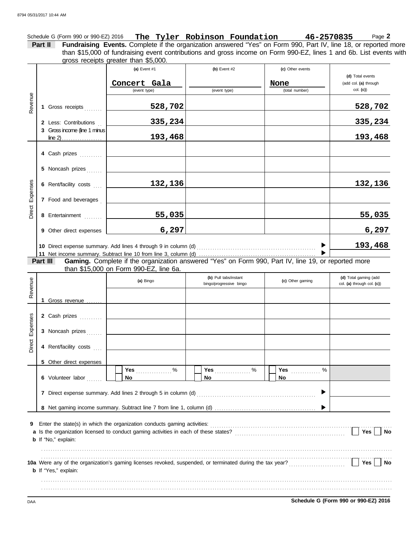Schedule G (Form 990 or 990-EZ) 2016 **The Tyler Robinson Foundation 46-2570835** Page **2 Part II Fundraising Events.** Complete if the organization answered "Yes" on Form 990, Part IV, line 18, or reported more gross receipts greater than \$5,000. than \$15,000 of fundraising event contributions and gross income on Form 990-EZ, lines 1 and 6b. List events with

|                 |                                | (a) Event #1                                                                                              | (b) Event $#2$          | (c) Other events       |                                   |
|-----------------|--------------------------------|-----------------------------------------------------------------------------------------------------------|-------------------------|------------------------|-----------------------------------|
|                 |                                |                                                                                                           |                         |                        | (d) Total events                  |
|                 |                                | Concert Gala<br>(event type)                                                                              | (event type)            | None<br>(total number) | (add col. (a) through<br>col. (c) |
|                 |                                |                                                                                                           |                         |                        |                                   |
| Revenue         | 1 Gross receipts               | 528,702                                                                                                   |                         |                        | 528,702                           |
|                 | 2 Less: Contributions          | 335,234                                                                                                   |                         |                        | 335,234                           |
|                 | 3 Gross income (line 1 minus   | 193,468                                                                                                   |                         |                        | 193,468                           |
|                 |                                |                                                                                                           |                         |                        |                                   |
|                 | 4 Cash prizes                  |                                                                                                           |                         |                        |                                   |
|                 | 5 Noncash prizes               |                                                                                                           |                         |                        |                                   |
|                 | 6 Rent/facility costs          | 132,136                                                                                                   |                         |                        | 132,136                           |
| Direct Expenses | 7 Food and beverages           |                                                                                                           |                         |                        |                                   |
|                 |                                |                                                                                                           |                         |                        |                                   |
|                 | 8 Entertainment                | 55,035                                                                                                    |                         |                        | 55,035                            |
|                 | <b>9</b> Other direct expenses | 6,297                                                                                                     |                         |                        | 6,297                             |
|                 |                                |                                                                                                           |                         |                        | 193,468                           |
|                 |                                |                                                                                                           |                         |                        |                                   |
|                 | Part III                       | Gaming. Complete if the organization answered "Yes" on Form 990, Part IV, line 19, or reported more       |                         |                        |                                   |
|                 |                                | than \$15,000 on Form 990-EZ, line 6a.                                                                    | (b) Pull tabs/instant   |                        | (d) Total gaming (add             |
| Revenue         |                                | (a) Bingo                                                                                                 | bingo/progressive bingo | (c) Other gaming       | col. (a) through col. (c))        |
|                 |                                |                                                                                                           |                         |                        |                                   |
|                 | 1 Gross revenue                |                                                                                                           |                         |                        |                                   |
|                 | 2 Cash prizes                  |                                                                                                           |                         |                        |                                   |
| Expenses        | 3 Noncash prizes               |                                                                                                           |                         |                        |                                   |
| Direct          |                                |                                                                                                           |                         |                        |                                   |
|                 | 4 Rent/facility costs          |                                                                                                           |                         |                        |                                   |
|                 | 5 Other direct expenses        |                                                                                                           |                         |                        |                                   |
|                 | 6 Volunteer labor              | $\%$<br>Yes<br>No                                                                                         | $\%$<br>Yes<br>No.      | %<br>Yes<br><b>No</b>  |                                   |
|                 |                                |                                                                                                           |                         |                        |                                   |
|                 |                                |                                                                                                           |                         |                        |                                   |
|                 |                                |                                                                                                           |                         |                        |                                   |
| 9               |                                |                                                                                                           |                         |                        |                                   |
|                 |                                | a Is the organization licensed to conduct gaming activities in each of these states?                      |                         |                        | Yes<br>No                         |
|                 | b If "No," explain:            |                                                                                                           |                         |                        |                                   |
|                 |                                |                                                                                                           |                         |                        |                                   |
|                 |                                | 10a Were any of the organization's gaming licenses revoked, suspended, or terminated during the tax year? |                         |                        | Yes<br>No                         |
|                 | <b>b</b> If "Yes," explain:    |                                                                                                           |                         |                        |                                   |
|                 |                                |                                                                                                           |                         |                        |                                   |
|                 |                                |                                                                                                           |                         |                        |                                   |
|                 |                                |                                                                                                           |                         |                        |                                   |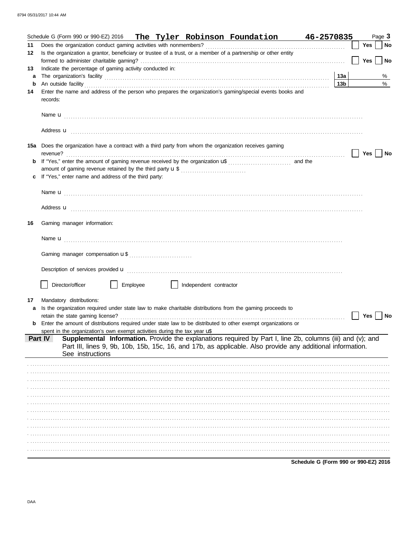|    | Schedule G (Form 990 or 990-EZ) 2016 The Tyler Robinson Foundation 46-2570835                                                                              |                                      |                 |            | Page 3 |
|----|------------------------------------------------------------------------------------------------------------------------------------------------------------|--------------------------------------|-----------------|------------|--------|
| 11 |                                                                                                                                                            |                                      |                 | Yes        | No     |
| 12 | Is the organization a grantor, beneficiary or trustee of a trust, or a member of a partnership or other entity                                             |                                      |                 |            |        |
|    |                                                                                                                                                            |                                      |                 | <b>Yes</b> | No     |
| 13 | Indicate the percentage of gaming activity conducted in:                                                                                                   |                                      |                 |            |        |
| a  |                                                                                                                                                            |                                      | 13a             |            | %      |
| b  |                                                                                                                                                            |                                      | 13 <sub>b</sub> |            | %      |
| 14 | Enter the name and address of the person who prepares the organization's gaming/special events books and<br>records:                                       |                                      |                 |            |        |
|    |                                                                                                                                                            |                                      |                 |            |        |
|    | Address <b>u</b>                                                                                                                                           |                                      |                 |            |        |
|    | 15a Does the organization have a contract with a third party from whom the organization receives gaming                                                    |                                      |                 | Yes        | No     |
| b  |                                                                                                                                                            |                                      |                 |            |        |
|    | amount of gaming revenue retained by the third party <b>u</b> \$                                                                                           |                                      |                 |            |        |
| C  | If "Yes," enter name and address of the third party:                                                                                                       |                                      |                 |            |        |
|    |                                                                                                                                                            |                                      |                 |            |        |
|    |                                                                                                                                                            |                                      |                 |            |        |
|    |                                                                                                                                                            |                                      |                 |            |        |
|    | Address <b>u</b>                                                                                                                                           |                                      |                 |            |        |
| 16 | Gaming manager information:                                                                                                                                |                                      |                 |            |        |
|    |                                                                                                                                                            |                                      |                 |            |        |
|    |                                                                                                                                                            |                                      |                 |            |        |
|    |                                                                                                                                                            |                                      |                 |            |        |
|    |                                                                                                                                                            |                                      |                 |            |        |
|    | Director/officer<br>Employee<br>    Independent contractor                                                                                                 |                                      |                 |            |        |
|    |                                                                                                                                                            |                                      |                 |            |        |
| 17 | Mandatory distributions:                                                                                                                                   |                                      |                 |            |        |
| a  | Is the organization required under state law to make charitable distributions from the gaming proceeds to                                                  |                                      |                 |            |        |
|    | retain the state gaming license?<br><b>b</b> Enter the amount of distributions required under state law to be distributed to other exempt organizations or |                                      |                 | Yes        | No     |
|    | spent in the organization's own exempt activities during the tax year $\mathcal{L}$                                                                        |                                      |                 |            |        |
|    | Supplemental Information. Provide the explanations required by Part I, line 2b, columns (iii) and (v); and<br>Part IV                                      |                                      |                 |            |        |
|    | Part III, lines 9, 9b, 10b, 15b, 15c, 16, and 17b, as applicable. Also provide any additional information.<br>See instructions                             |                                      |                 |            |        |
|    |                                                                                                                                                            |                                      |                 |            |        |
|    |                                                                                                                                                            |                                      |                 |            |        |
|    |                                                                                                                                                            |                                      |                 |            |        |
|    |                                                                                                                                                            |                                      |                 |            |        |
|    |                                                                                                                                                            |                                      |                 |            |        |
|    |                                                                                                                                                            |                                      |                 |            |        |
|    |                                                                                                                                                            |                                      |                 |            |        |
|    |                                                                                                                                                            |                                      |                 |            |        |
|    |                                                                                                                                                            |                                      |                 |            |        |
|    |                                                                                                                                                            |                                      |                 |            |        |
|    |                                                                                                                                                            |                                      |                 |            |        |
|    |                                                                                                                                                            |                                      |                 |            |        |
|    |                                                                                                                                                            | Schedule G (Form 990 or 990-EZ) 2016 |                 |            |        |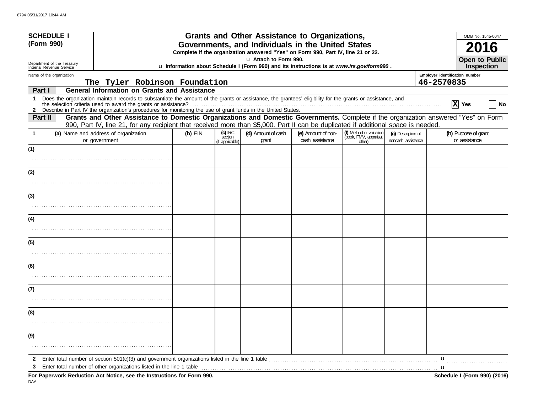| <b>SCHEDULE I</b>                                      |                                                                                                                                                                                                                                                                               |                                                                                                                                       |                                         | Grants and Other Assistance to Organizations,                                                                              |                                       |                                                             |                                          | OMB No. 1545-0047                                                                                                                   |
|--------------------------------------------------------|-------------------------------------------------------------------------------------------------------------------------------------------------------------------------------------------------------------------------------------------------------------------------------|---------------------------------------------------------------------------------------------------------------------------------------|-----------------------------------------|----------------------------------------------------------------------------------------------------------------------------|---------------------------------------|-------------------------------------------------------------|------------------------------------------|-------------------------------------------------------------------------------------------------------------------------------------|
| (Form 990)                                             |                                                                                                                                                                                                                                                                               | Governments, and Individuals in the United States<br>Complete if the organization answered "Yes" on Form 990, Part IV, line 21 or 22. |                                         |                                                                                                                            |                                       |                                                             |                                          |                                                                                                                                     |
| Department of the Treasury<br>Internal Revenue Service |                                                                                                                                                                                                                                                                               |                                                                                                                                       |                                         | La Attach to Form 990.<br><b>u Information about Schedule I (Form 990) and its instructions is at www.irs.gov/form990.</b> |                                       |                                                             |                                          | <b>Open to Public</b><br>Inspection                                                                                                 |
| Name of the organization                               | The Tyler Robinson Foundation                                                                                                                                                                                                                                                 |                                                                                                                                       |                                         |                                                                                                                            |                                       |                                                             |                                          | Employer identification number<br>46-2570835                                                                                        |
| Part I                                                 | <b>General Information on Grants and Assistance</b>                                                                                                                                                                                                                           |                                                                                                                                       |                                         |                                                                                                                            |                                       |                                                             |                                          |                                                                                                                                     |
| 1.                                                     | Does the organization maintain records to substantiate the amount of the grants or assistance, the grantees' eligibility for the grants or assistance, and<br>2 Describe in Part IV the organization's procedures for monitoring the use of grant funds in the United States. |                                                                                                                                       |                                         |                                                                                                                            |                                       |                                                             |                                          | $ X $ Yes<br>No                                                                                                                     |
| Part II                                                | 990, Part IV, line 21, for any recipient that received more than \$5,000. Part II can be duplicated if additional space is needed.                                                                                                                                            |                                                                                                                                       |                                         |                                                                                                                            |                                       |                                                             |                                          | Grants and Other Assistance to Domestic Organizations and Domestic Governments. Complete if the organization answered "Yes" on Form |
| 1                                                      | (a) Name and address of organization<br>or government                                                                                                                                                                                                                         | $(b)$ EIN                                                                                                                             | $(c)$ IRC<br>séction<br>(if applicable) | (d) Amount of cash<br>grant                                                                                                | (e) Amount of non-<br>cash assistance | (f) Method of valuation<br>(book, FMV, appraisal,<br>other) | (g) Description of<br>noncash assistance | (h) Purpose of grant<br>or assistance                                                                                               |
| (1)                                                    |                                                                                                                                                                                                                                                                               |                                                                                                                                       |                                         |                                                                                                                            |                                       |                                                             |                                          |                                                                                                                                     |
|                                                        |                                                                                                                                                                                                                                                                               |                                                                                                                                       |                                         |                                                                                                                            |                                       |                                                             |                                          |                                                                                                                                     |
| (2)                                                    |                                                                                                                                                                                                                                                                               |                                                                                                                                       |                                         |                                                                                                                            |                                       |                                                             |                                          |                                                                                                                                     |
|                                                        |                                                                                                                                                                                                                                                                               |                                                                                                                                       |                                         |                                                                                                                            |                                       |                                                             |                                          |                                                                                                                                     |
| (3)                                                    |                                                                                                                                                                                                                                                                               |                                                                                                                                       |                                         |                                                                                                                            |                                       |                                                             |                                          |                                                                                                                                     |
|                                                        |                                                                                                                                                                                                                                                                               |                                                                                                                                       |                                         |                                                                                                                            |                                       |                                                             |                                          |                                                                                                                                     |
| (4)                                                    |                                                                                                                                                                                                                                                                               |                                                                                                                                       |                                         |                                                                                                                            |                                       |                                                             |                                          |                                                                                                                                     |
|                                                        |                                                                                                                                                                                                                                                                               |                                                                                                                                       |                                         |                                                                                                                            |                                       |                                                             |                                          |                                                                                                                                     |
| (5)                                                    |                                                                                                                                                                                                                                                                               |                                                                                                                                       |                                         |                                                                                                                            |                                       |                                                             |                                          |                                                                                                                                     |
|                                                        |                                                                                                                                                                                                                                                                               |                                                                                                                                       |                                         |                                                                                                                            |                                       |                                                             |                                          |                                                                                                                                     |
| (6)                                                    |                                                                                                                                                                                                                                                                               |                                                                                                                                       |                                         |                                                                                                                            |                                       |                                                             |                                          |                                                                                                                                     |
|                                                        |                                                                                                                                                                                                                                                                               |                                                                                                                                       |                                         |                                                                                                                            |                                       |                                                             |                                          |                                                                                                                                     |
| (7)                                                    |                                                                                                                                                                                                                                                                               |                                                                                                                                       |                                         |                                                                                                                            |                                       |                                                             |                                          |                                                                                                                                     |
|                                                        |                                                                                                                                                                                                                                                                               |                                                                                                                                       |                                         |                                                                                                                            |                                       |                                                             |                                          |                                                                                                                                     |
| (8)                                                    |                                                                                                                                                                                                                                                                               |                                                                                                                                       |                                         |                                                                                                                            |                                       |                                                             |                                          |                                                                                                                                     |
|                                                        |                                                                                                                                                                                                                                                                               |                                                                                                                                       |                                         |                                                                                                                            |                                       |                                                             |                                          |                                                                                                                                     |
| (9)                                                    |                                                                                                                                                                                                                                                                               |                                                                                                                                       |                                         |                                                                                                                            |                                       |                                                             |                                          |                                                                                                                                     |
|                                                        |                                                                                                                                                                                                                                                                               |                                                                                                                                       |                                         |                                                                                                                            |                                       |                                                             |                                          |                                                                                                                                     |
| 3                                                      | Enter total number of other organizations listed in the line 1 table <i>manufacture in the content of the line</i> 1 table manufacture in the line 1 table manufacture in the line of the line of the line 1 table manufacture in t                                           |                                                                                                                                       |                                         |                                                                                                                            |                                       |                                                             |                                          | u                                                                                                                                   |
|                                                        | For Paperwork Reduction Act Notice, see the Instructions for Form 990.                                                                                                                                                                                                        |                                                                                                                                       |                                         |                                                                                                                            |                                       |                                                             |                                          | Schedule I (Form 990) (2016)                                                                                                        |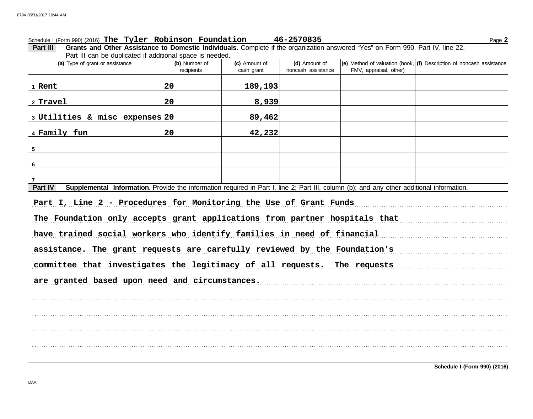## Schedule I (Form 990) (2016) Page **2 The Tyler Robinson Foundation 46-2570835**

**Part III Grants and Other Assistance to Domestic Individuals.** Complete if the organization answered "Yes" on Form 990, Part IV, line 22. Part III can be duplicated if additional space is needed.

| (a) Type of grant or assistance                                                                                                                      | (b) Number of<br>recipients | (c) Amount of<br>cash grant | (d) Amount of<br>noncash assistance | FMV, appraisal, other) | $\vert$ (e) Method of valuation (book, $\vert$ (f) Description of noncash assistance |  |  |  |  |
|------------------------------------------------------------------------------------------------------------------------------------------------------|-----------------------------|-----------------------------|-------------------------------------|------------------------|--------------------------------------------------------------------------------------|--|--|--|--|
| 1 Rent                                                                                                                                               | 20                          | 189,193                     |                                     |                        |                                                                                      |  |  |  |  |
| 2 Travel                                                                                                                                             | 20                          | 8,939                       |                                     |                        |                                                                                      |  |  |  |  |
| 3 Utilities & misc expenses 20                                                                                                                       |                             | 89,462                      |                                     |                        |                                                                                      |  |  |  |  |
| 4 Family fun                                                                                                                                         | 20                          | 42,232                      |                                     |                        |                                                                                      |  |  |  |  |
| $\overline{\mathbf{5}}$                                                                                                                              |                             |                             |                                     |                        |                                                                                      |  |  |  |  |
| 6                                                                                                                                                    |                             |                             |                                     |                        |                                                                                      |  |  |  |  |
| $\overline{7}$                                                                                                                                       |                             |                             |                                     |                        |                                                                                      |  |  |  |  |
| Supplemental Information. Provide the information required in Part I, line 2; Part III, column (b); and any other additional information.<br>Part IV |                             |                             |                                     |                        |                                                                                      |  |  |  |  |
| Part I, Line 2 - Procedures for Monitoring the Use of Grant Funds                                                                                    |                             |                             |                                     |                        |                                                                                      |  |  |  |  |
| The Foundation only accepts grant applications from partner hospitals that                                                                           |                             |                             |                                     |                        |                                                                                      |  |  |  |  |
| have trained social workers who identify families in need of financial                                                                               |                             |                             |                                     |                        |                                                                                      |  |  |  |  |
| assistance. The grant requests are carefully reviewed by the Foundation's                                                                            |                             |                             |                                     |                        |                                                                                      |  |  |  |  |
| committee that investigates the legitimacy of all requests. The requests                                                                             |                             |                             |                                     |                        |                                                                                      |  |  |  |  |
| are granted based upon need and circumstances.                                                                                                       |                             |                             |                                     |                        |                                                                                      |  |  |  |  |
|                                                                                                                                                      |                             |                             |                                     |                        |                                                                                      |  |  |  |  |
|                                                                                                                                                      |                             |                             |                                     |                        |                                                                                      |  |  |  |  |
|                                                                                                                                                      |                             |                             |                                     |                        |                                                                                      |  |  |  |  |
|                                                                                                                                                      |                             |                             |                                     |                        |                                                                                      |  |  |  |  |
|                                                                                                                                                      |                             |                             |                                     |                        |                                                                                      |  |  |  |  |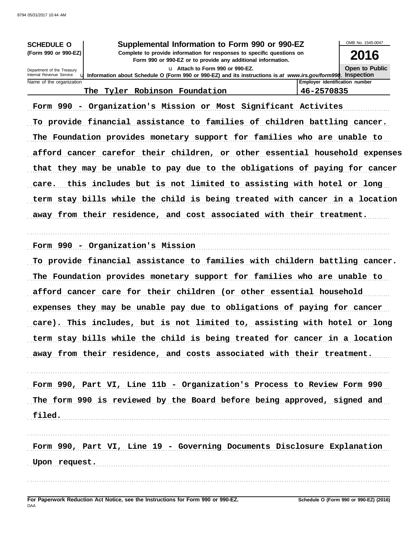| <b>SCHEDULE O</b>                                      | Supplemental Information to Form 990 or 990-EZ                                                                                                     |                                              | OMB No. 1545-0047<br>2016 |  |
|--------------------------------------------------------|----------------------------------------------------------------------------------------------------------------------------------------------------|----------------------------------------------|---------------------------|--|
| (Form 990 or 990-EZ)                                   | Complete to provide information for responses to specific questions on<br>Form 990 or 990-EZ or to provide any additional information.             |                                              |                           |  |
| Department of the Treasury<br>Internal Revenue Service | U Attach to Form 990 or 990-EZ.<br>ul Information about Schedule O (Form 990 or 990-EZ) and its instructions is at www.irs.gov/form990. Inspection |                                              | <b>Open to Public</b>     |  |
| Name of the organization                               | The Tyler Robinson Foundation                                                                                                                      | Employer identification number<br>46-2570835 |                           |  |
|                                                        | Form 990 - Organization's Mission or Most Significant Activites                                                                                    |                                              |                           |  |
|                                                        | To provide financial assistance to families of children battling cancer.                                                                           |                                              |                           |  |
|                                                        | The Foundation provides monetary support for families who are unable to                                                                            |                                              |                           |  |
|                                                        | afford cancer carefor their children, or other essential household expenses                                                                        |                                              |                           |  |
|                                                        | that they may be unable to pay due to the obligations of paying for cancer                                                                         |                                              |                           |  |
| care.                                                  | this includes but is not limited to assisting with hotel or long                                                                                   |                                              |                           |  |
|                                                        | term stay bills while the child is being treated with cancer in a location                                                                         |                                              |                           |  |
|                                                        | away from their residence, and cost associated with their treatment.                                                                               |                                              |                           |  |
|                                                        |                                                                                                                                                    |                                              |                           |  |
|                                                        | Form 990 - Organization's Mission                                                                                                                  |                                              |                           |  |
|                                                        | To provide financial assistance to families with childern battling cancer.                                                                         |                                              |                           |  |
|                                                        | The Foundation provides monetary support for families who are unable to                                                                            |                                              |                           |  |
|                                                        | afford cancer care for their children (or other essential household                                                                                |                                              |                           |  |
|                                                        | expenses they may be unable pay due to obligations of paying for cancer                                                                            |                                              |                           |  |
|                                                        | care). This includes, but is not limited to, assisting with hotel or long                                                                          |                                              |                           |  |
|                                                        | term stay bills while the child is being treated for cancer in a location                                                                          |                                              |                           |  |
|                                                        | away from their residence, and costs associated with their treatment.                                                                              |                                              |                           |  |
|                                                        |                                                                                                                                                    |                                              |                           |  |
|                                                        | Form 990, Part VI, Line 11b - Organization's Process to Review Form 990                                                                            |                                              |                           |  |
|                                                        | The form 990 is reviewed by the Board before being approved, signed and                                                                            |                                              |                           |  |
| filed.                                                 |                                                                                                                                                    |                                              |                           |  |
|                                                        |                                                                                                                                                    |                                              |                           |  |
|                                                        | Form 990, Part VI, Line 19 - Governing Documents Disclosure Explanation                                                                            |                                              |                           |  |
| Upon request.                                          |                                                                                                                                                    |                                              |                           |  |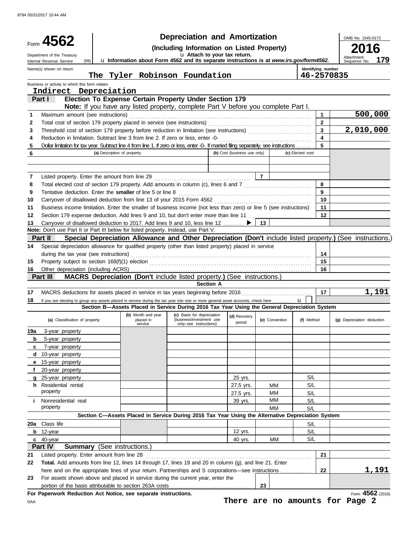|          |                                                                                                                                                                        |                             |                                            | <b>Depreciation and Amortization</b>                                                               |                               |                |                         | OMB No. 1545-0172                                                                                          |
|----------|------------------------------------------------------------------------------------------------------------------------------------------------------------------------|-----------------------------|--------------------------------------------|----------------------------------------------------------------------------------------------------|-------------------------------|----------------|-------------------------|------------------------------------------------------------------------------------------------------------|
|          | Form 4562<br>(Including Information on Listed Property)                                                                                                                |                             |                                            |                                                                                                    |                               |                |                         |                                                                                                            |
|          | Department of the Treasury<br>(99)<br>Internal Revenue Service                                                                                                         |                             |                                            | La Information about Form 4562 and its separate instructions is at www.irs.gov/form4562.           | La Attach to your tax return. |                |                         | Attachment<br>179<br>Sequence No.                                                                          |
|          | Name(s) shown on return                                                                                                                                                |                             |                                            |                                                                                                    |                               |                | Identifying number      |                                                                                                            |
|          |                                                                                                                                                                        |                             |                                            | The Tyler Robinson Foundation                                                                      |                               |                | 46-2570835              |                                                                                                            |
|          | Business or activity to which this form relates                                                                                                                        |                             |                                            |                                                                                                    |                               |                |                         |                                                                                                            |
|          | Indirect Depreciation<br>Part I                                                                                                                                        |                             |                                            | Election To Expense Certain Property Under Section 179                                             |                               |                |                         |                                                                                                            |
|          |                                                                                                                                                                        |                             |                                            | <b>Note:</b> If you have any listed property, complete Part V before you complete Part I.          |                               |                |                         |                                                                                                            |
| 1        | Maximum amount (see instructions)                                                                                                                                      |                             |                                            |                                                                                                    |                               |                | $\mathbf{1}$            | 500,000                                                                                                    |
| 2        |                                                                                                                                                                        |                             |                                            |                                                                                                    |                               |                | $\mathbf{2}$            |                                                                                                            |
| 3        |                                                                                                                                                                        |                             |                                            |                                                                                                    |                               |                | $\mathbf{3}$            | 2,010,000                                                                                                  |
| 4        | Reduction in limitation. Subtract line 3 from line 2. If zero or less, enter -0-                                                                                       |                             |                                            |                                                                                                    |                               |                | $\overline{\mathbf{A}}$ |                                                                                                            |
| 5<br>6   | Dollar limitation for tax year. Subtract line 4 from line 1. If zero or less, enter -0-. If married filing separately, see instructions                                | (a) Description of property |                                            |                                                                                                    | (b) Cost (business use only)  |                | 5<br>(c) Elected cost   |                                                                                                            |
|          |                                                                                                                                                                        |                             |                                            |                                                                                                    |                               |                |                         |                                                                                                            |
|          |                                                                                                                                                                        |                             |                                            |                                                                                                    |                               |                |                         |                                                                                                            |
| 7        | Listed property. Enter the amount from line 29                                                                                                                         |                             |                                            |                                                                                                    |                               | $\overline{7}$ |                         |                                                                                                            |
| 8        | Total elected cost of section 179 property. Add amounts in column (c), lines 6 and 7 [[[[[[[[[[[[[[[[[[[[[[[[                                                          |                             |                                            |                                                                                                    |                               |                | 8                       |                                                                                                            |
| 9        | Tentative deduction. Enter the smaller of line 5 or line 8                                                                                                             |                             |                                            |                                                                                                    |                               |                | 9                       |                                                                                                            |
| 10       |                                                                                                                                                                        |                             |                                            |                                                                                                    |                               |                | 10                      |                                                                                                            |
| 11       | Business income limitation. Enter the smaller of business income (not less than zero) or line 5 (see instructions)                                                     |                             |                                            |                                                                                                    |                               |                | 11<br>12                |                                                                                                            |
| 12<br>13 | Section 179 expense deduction. Add lines 9 and 10, but don't enter more than line 11<br>Carryover of disallowed deduction to 2017. Add lines 9 and 10, less line 12  ▶ |                             |                                            |                                                                                                    |                               | 13             |                         |                                                                                                            |
|          | Note: Don't use Part II or Part III below for listed property. Instead, use Part V.                                                                                    |                             |                                            |                                                                                                    |                               |                |                         |                                                                                                            |
|          | Part II                                                                                                                                                                |                             |                                            |                                                                                                    |                               |                |                         | Special Depreciation Allowance and Other Depreciation (Don't include listed property.) (See instructions.) |
| 14       | Special depreciation allowance for qualified property (other than listed property) placed in service                                                                   |                             |                                            |                                                                                                    |                               |                |                         |                                                                                                            |
|          | during the tax year (see instructions)                                                                                                                                 |                             |                                            |                                                                                                    |                               |                | 14                      |                                                                                                            |
| 15       |                                                                                                                                                                        |                             |                                            |                                                                                                    |                               |                | 15                      |                                                                                                            |
| 16       |                                                                                                                                                                        |                             |                                            |                                                                                                    |                               |                | 16                      |                                                                                                            |
|          | Part III                                                                                                                                                               |                             |                                            | <b>MACRS Depreciation (Don't include listed property.) (See instructions.)</b><br><b>Section A</b> |                               |                |                         |                                                                                                            |
| 17       | MACRS deductions for assets placed in service in tax years beginning before 2016                                                                                       |                             |                                            |                                                                                                    |                               |                | 17                      | 1,191                                                                                                      |
| 18       | If you are electing to group any assets placed in service during the tax year into one or more general asset accounts, check here                                      |                             |                                            |                                                                                                    |                               |                | u                       |                                                                                                            |
|          |                                                                                                                                                                        |                             |                                            | Section B-Assets Placed in Service During 2016 Tax Year Using the General Depreciation System      |                               |                |                         |                                                                                                            |
|          | (a) Classification of property                                                                                                                                         |                             | (b) Month and year<br>placed in<br>service | (c) Basis for depreciation<br>(business/investment use<br>only-see instructions)                   | (d) Recovery<br>period        | (e) Convention | (f) Method              | (g) Depreciation deduction                                                                                 |
| 19a      | 3-year property                                                                                                                                                        |                             |                                            |                                                                                                    |                               |                |                         |                                                                                                            |
| b        | 5-year property                                                                                                                                                        |                             |                                            |                                                                                                    |                               |                |                         |                                                                                                            |
| c        | 7-year property                                                                                                                                                        |                             |                                            |                                                                                                    |                               |                |                         |                                                                                                            |
| d        | 10-year property                                                                                                                                                       |                             |                                            |                                                                                                    |                               |                |                         |                                                                                                            |
| е        | 15-year property                                                                                                                                                       |                             |                                            |                                                                                                    |                               |                |                         |                                                                                                            |
|          | 20-year property                                                                                                                                                       |                             |                                            |                                                                                                    |                               |                | S/L                     |                                                                                                            |
| a        | 25-year property<br>h Residential rental                                                                                                                               |                             |                                            |                                                                                                    | 25 yrs.<br>27.5 yrs.          | МM             | S/L                     |                                                                                                            |
|          | property                                                                                                                                                               |                             |                                            |                                                                                                    | 27.5 yrs.                     | MM             | S/L                     |                                                                                                            |
| Ť.       | Nonresidential real                                                                                                                                                    |                             |                                            |                                                                                                    | 39 yrs.                       | МM             | S/L                     |                                                                                                            |
|          | property                                                                                                                                                               |                             |                                            |                                                                                                    |                               | <b>MM</b>      | S/L                     |                                                                                                            |
|          |                                                                                                                                                                        |                             |                                            | Section C-Assets Placed in Service During 2016 Tax Year Using the Alternative Depreciation System  |                               |                |                         |                                                                                                            |
| 20a      | Class life                                                                                                                                                             |                             |                                            |                                                                                                    |                               |                | S/L                     |                                                                                                            |
| b        | 12-year                                                                                                                                                                |                             |                                            |                                                                                                    | 12 yrs.                       |                | S/L                     |                                                                                                            |
|          | c 40-year                                                                                                                                                              |                             |                                            |                                                                                                    | 40 yrs.                       | MМ             | S/L                     |                                                                                                            |
|          | Part IV                                                                                                                                                                |                             | <b>Summary</b> (See instructions.)         |                                                                                                    |                               |                |                         |                                                                                                            |
| 21<br>22 | Listed property. Enter amount from line 28<br>Total. Add amounts from line 12, lines 14 through 17, lines 19 and 20 in column (g), and line 21. Enter                  |                             |                                            |                                                                                                    |                               |                | 21                      |                                                                                                            |
|          | here and on the appropriate lines of your return. Partnerships and S corporations—see instructions                                                                     |                             |                                            |                                                                                                    |                               |                | 22                      | <u>1,191</u>                                                                                               |
| 23       | For assets shown above and placed in service during the current year, enter the                                                                                        |                             |                                            |                                                                                                    |                               |                |                         |                                                                                                            |
|          | portion of the basis attributable to section 263A costs                                                                                                                |                             |                                            |                                                                                                    |                               | 23             |                         |                                                                                                            |
|          | For Paperwork Reduction Act Notice, see separate instructions.                                                                                                         |                             |                                            |                                                                                                    |                               |                |                         | Form 4562 (2016)                                                                                           |
| DAA      |                                                                                                                                                                        |                             |                                            |                                                                                                    |                               |                |                         | There are no amounts for Page 2                                                                            |